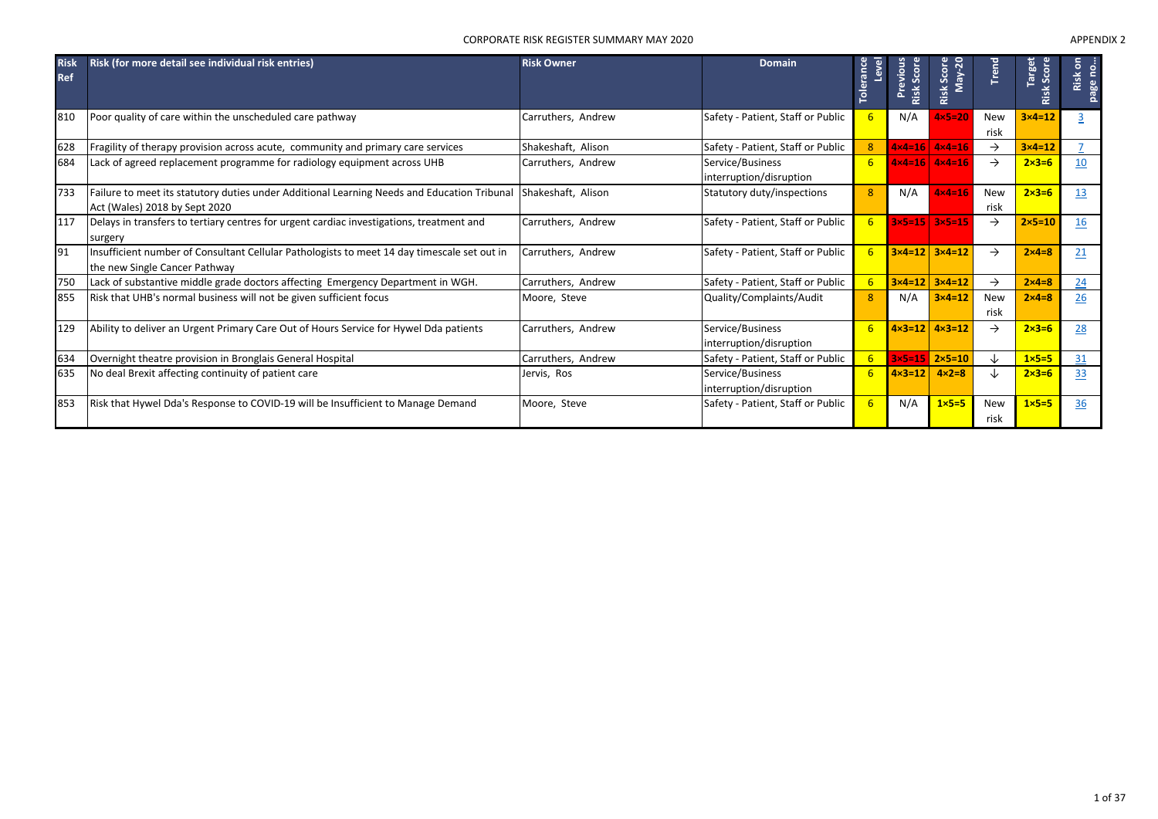#### CORPORATE RISK REGISTER SUMMARY MAY 2020 APPENDIX 2

| <b>Risk</b><br><b>Ref</b> | Risk (for more detail see individual risk entries)                                                                           | <b>Risk Owner</b>  | Domain                                      | olerance       | evious<br>Score<br>Risk | May-20<br>Score                     | Trend              | <b>Target</b><br>Risk Score | δ.<br>page no<br>Risk |
|---------------------------|------------------------------------------------------------------------------------------------------------------------------|--------------------|---------------------------------------------|----------------|-------------------------|-------------------------------------|--------------------|-----------------------------|-----------------------|
| 810                       | Poor quality of care within the unscheduled care pathway                                                                     | Carruthers, Andrew | Safety - Patient, Staff or Public           | 6 <sup>1</sup> | N/A                     | $4x5=20$                            | New<br>risk        | $3 \times 4 = 12$           | 3                     |
| 628                       | Fragility of therapy provision across acute, community and primary care services                                             | Shakeshaft, Alison | Safety - Patient, Staff or Public           | 8              |                         | $4 \times 4 = 16$ $4 \times 4 = 16$ | $\rightarrow$      | $3 \times 4 = 12$           | 7 <sup>7</sup>        |
| 684                       | Lack of agreed replacement programme for radiology equipment across UHB                                                      | Carruthers, Andrew | Service/Business<br>interruption/disruption | 6              |                         | $4 \times 4 = 16$ $4 \times 4 = 16$ | $\rightarrow$      | $2 \times 3 = 6$            | 10                    |
| 733                       | Failure to meet its statutory duties under Additional Learning Needs and Education Tribunal<br>Act (Wales) 2018 by Sept 2020 | Shakeshaft, Alison | Statutory duty/inspections                  | 8              | N/A                     | $4 \times 4 = 16$                   | New<br>risk        | $2 \times 3 = 6$            | 13                    |
| 117                       | Delays in transfers to tertiary centres for urgent cardiac investigations, treatment and<br>surgery                          | Carruthers, Andrew | Safety - Patient, Staff or Public           | 6 <sup>1</sup> |                         | $3x5=15$ $3x5=15$                   | $\rightarrow$      | $2 \times 5 = 10$           | 16                    |
| 91                        | Insufficient number of Consultant Cellular Pathologists to meet 14 day timescale set out in<br>the new Single Cancer Pathway | Carruthers, Andrew | Safety - Patient, Staff or Public           | 6 <sup>1</sup> |                         | $3 \times 4 = 12$ $3 \times 4 = 12$ | $\rightarrow$      | $2\times 4=8$               | 21                    |
| 750                       | Lack of substantive middle grade doctors affecting Emergency Department in WGH.                                              | Carruthers, Andrew | Safety - Patient, Staff or Public           | 6 <sup>1</sup> |                         | $3 \times 4 = 12$ $3 \times 4 = 12$ | $\rightarrow$      | $2 \times 4 = 8$            | 24                    |
| 855                       | Risk that UHB's normal business will not be given sufficient focus                                                           | Moore, Steve       | Quality/Complaints/Audit                    | 8              | N/A                     | $3 \times 4 = 12$                   | <b>New</b><br>risk | $2\times 4=8$               | 26                    |
| 129                       | Ability to deliver an Urgent Primary Care Out of Hours Service for Hywel Dda patients                                        | Carruthers, Andrew | Service/Business<br>interruption/disruption | 6              |                         | $4 \times 3 = 12$ $4 \times 3 = 12$ | $\rightarrow$      | $2 \times 3 = 6$            | 28                    |
| 634                       | Overnight theatre provision in Bronglais General Hospital                                                                    | Carruthers, Andrew | Safety - Patient, Staff or Public           | 6 <sup>1</sup> |                         | $3 \times 5 = 15$ $2 \times 5 = 10$ | ↓                  | $1 \times 5 = 5$            | 31                    |
| 635                       | No deal Brexit affecting continuity of patient care                                                                          | Jervis, Ros        | Service/Business<br>interruption/disruption | 6 <sup>1</sup> | $4 \times 3 = 12$       | $4 \times 2 = 8$                    | ↓                  | $2 \times 3 = 6$            | 33                    |
| 853                       | Risk that Hywel Dda's Response to COVID-19 will be Insufficient to Manage Demand                                             | Moore, Steve       | Safety - Patient, Staff or Public           | 6 <sup>1</sup> | N/A                     | $1 \times 5 = 5$                    | New<br>risk        | $1 \times 5 = 5$            | 36                    |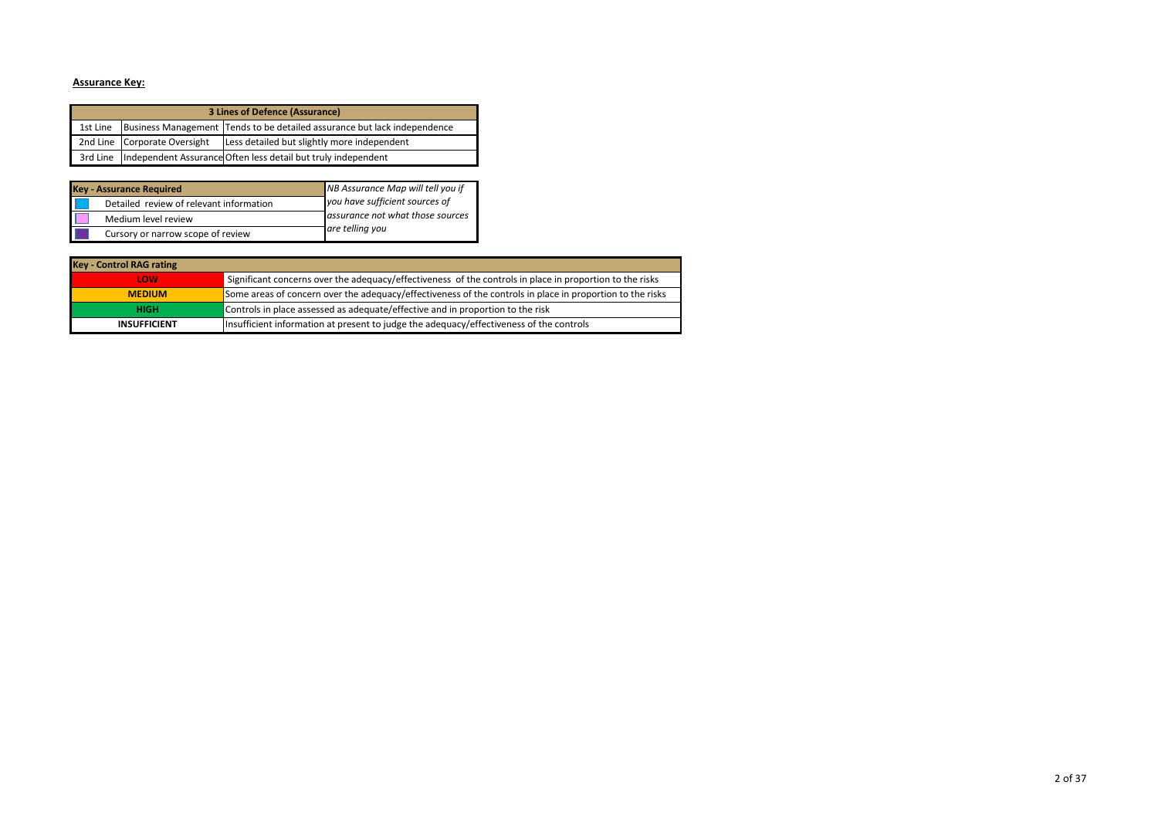# **Assurance Key:**

| 3 Lines of Defence (Assurance)                                                       |                              |                                                                        |  |  |  |  |  |  |
|--------------------------------------------------------------------------------------|------------------------------|------------------------------------------------------------------------|--|--|--|--|--|--|
| Business Management Tends to be detailed assurance but lack independence<br>1st Line |                              |                                                                        |  |  |  |  |  |  |
|                                                                                      | 2nd Line Corporate Oversight | Less detailed but slightly more independent                            |  |  |  |  |  |  |
|                                                                                      |                              | 3rd Line Independent Assurance Often less detail but truly independent |  |  |  |  |  |  |

| <b>Key - Assurance Required</b>         | NB Assurance Map will tell you if |  |  |  |
|-----------------------------------------|-----------------------------------|--|--|--|
| Detailed review of relevant information | you have sufficient sources of    |  |  |  |
| Medium level review                     | assurance not what those sources  |  |  |  |
| Cursory or narrow scope of review       | are telling you                   |  |  |  |

| <b>Key - Control RAG rating</b> |                                                                                                           |
|---------------------------------|-----------------------------------------------------------------------------------------------------------|
| LOW                             | Significant concerns over the adequacy/effectiveness of the controls in place in proportion to the risks  |
| <b>MEDIUM</b>                   | Some areas of concern over the adequacy/effectiveness of the controls in place in proportion to the risks |
| <b>HIGH</b>                     | Controls in place assessed as adequate/effective and in proportion to the risk                            |
| <b>INSUFFICIENT</b>             | Insufficient information at present to judge the adequacy/effectiveness of the controls                   |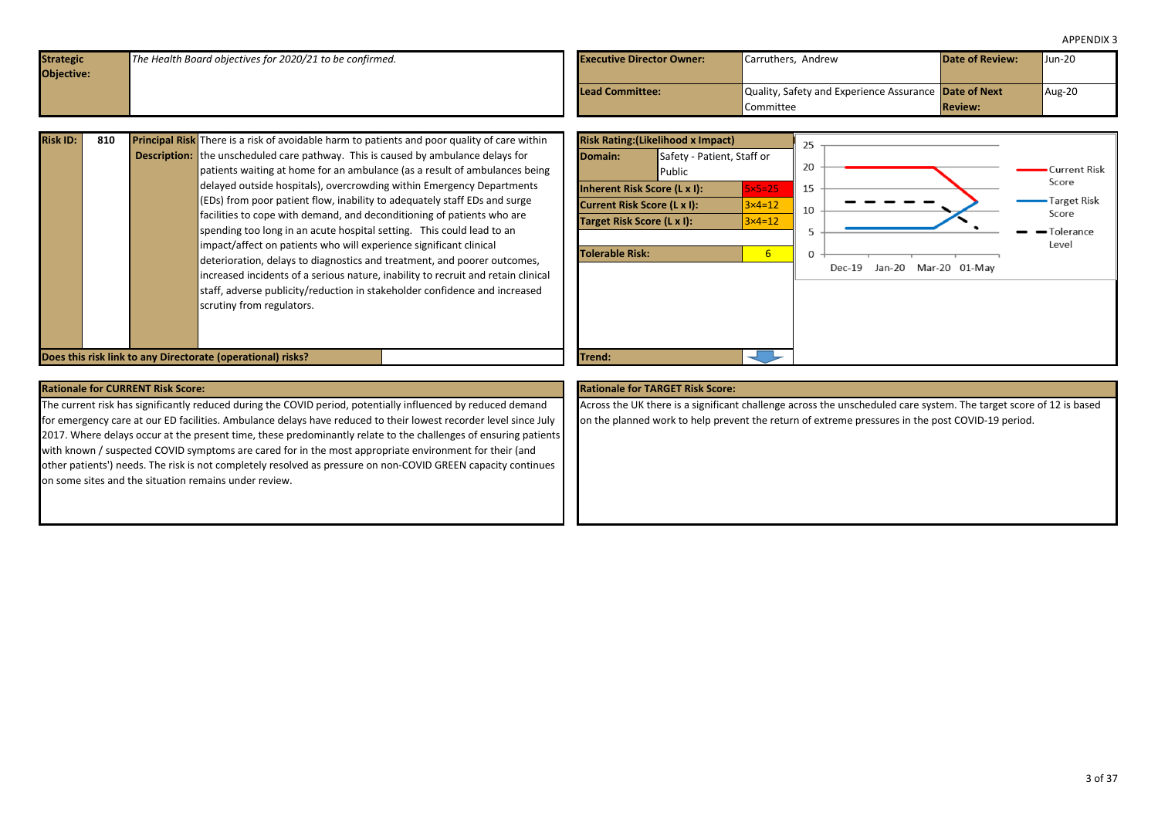<span id="page-2-0"></span>

| Quality, Safety and Experience Assurance Date of Next<br>Aug-20<br>Lead Committee:<br><b>Review:</b><br><b>Committee</b> | <b>Strategic</b> | The Health Board objectives for 2020/21 to be confirmed. | <b>Executive Director Owner:</b> | Carruthers, Andrew | <b>Date of Review:</b> | Jun-20 |
|--------------------------------------------------------------------------------------------------------------------------|------------------|----------------------------------------------------------|----------------------------------|--------------------|------------------------|--------|
|                                                                                                                          | Objective:       |                                                          |                                  |                    |                        |        |
|                                                                                                                          |                  |                                                          |                                  |                    |                        |        |
|                                                                                                                          |                  |                                                          |                                  |                    |                        |        |

| <b>Risk ID:</b> | 810 | <b>Principal Risk</b> There is a risk of avoidable harm to patients and poor quality of care within |
|-----------------|-----|-----------------------------------------------------------------------------------------------------|
|                 |     | <b>Description:</b> the unscheduled care pathway. This is caused by ambulance delays for            |
|                 |     | patients waiting at home for an ambulance (as a result of ambulances being                          |
|                 |     | delayed outside hospitals), overcrowding within Emergency Departments                               |
|                 |     | (EDs) from poor patient flow, inability to adequately staff EDs and surge                           |
|                 |     | facilities to cope with demand, and deconditioning of patients who are                              |
|                 |     | spending too long in an acute hospital setting. This could lead to an                               |
|                 |     | impact/affect on patients who will experience significant clinical                                  |
|                 |     | deterioration, delays to diagnostics and treatment, and poorer outcomes,                            |
|                 |     | increased incidents of a serious nature, inability to recruit and retain clinical                   |
|                 |     | staff, adverse publicity/reduction in stakeholder confidence and increased                          |
|                 |     | scrutiny from regulators.                                                                           |
|                 |     |                                                                                                     |
|                 |     |                                                                                                     |
|                 |     |                                                                                                     |

**Does this risk link to any Directorate (operational) risks?** Trend: Trend: Trend:



#### **Rationale for CURRENT Risk Score: Rationale for TARGET Risk Score:**

The current risk has significantly reduced during the COVID period, potentially influenced by reduced demand for emergency care at our ED facilities. Ambulance delays have reduced to their lowest recorder level since July 2017. Where delays occur at the present time, these predominantly relate to the challenges of ensuring patients with known / suspected COVID symptoms are cared for in the most appropriate environment for their (and other patients') needs. The risk is not completely resolved as pressure on non-COVID GREEN capacity continues on some sites and the situation remains under review.

Across the UK there is a significant challenge across the unscheduled care system. The target score of 12 is based on the planned work to help prevent the return of extreme pressures in the post COVID-19 period.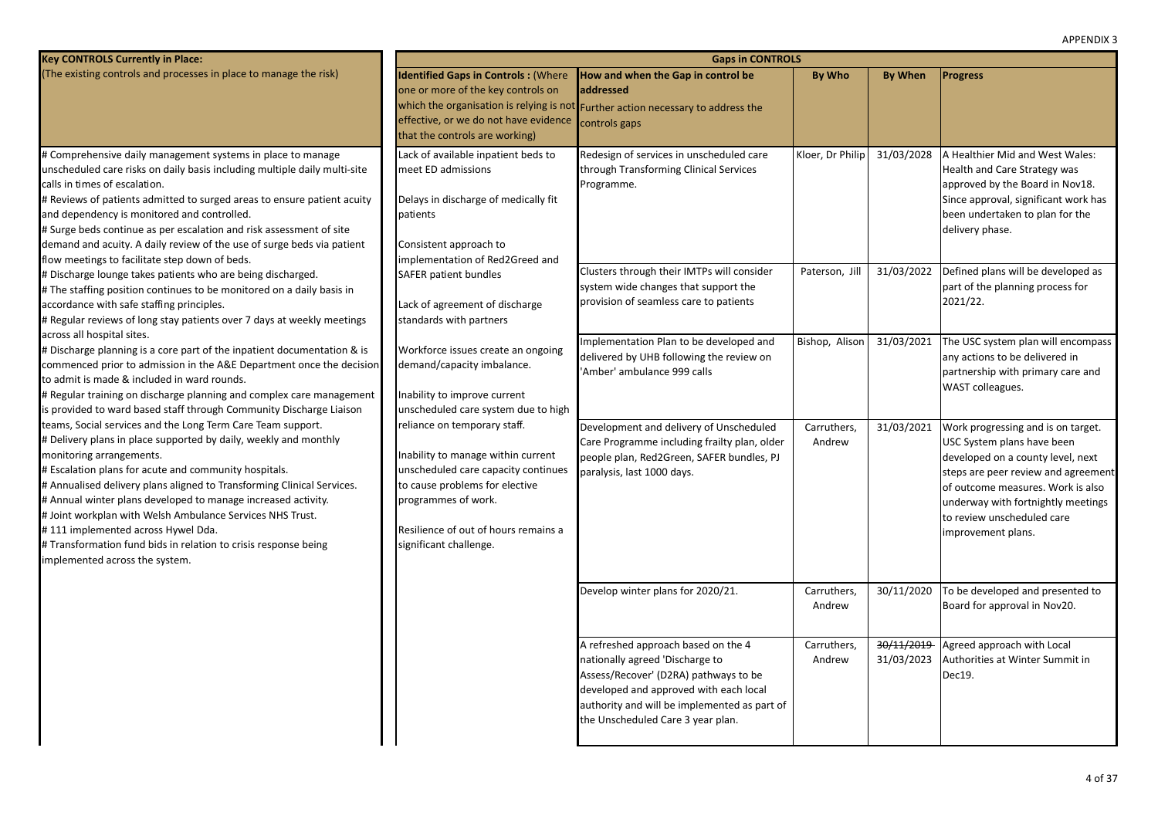| <b>Key CONTROLS Currently in Place:</b>                                                                                                                                                                                                                                                                                                                                                                                                                                                                                                                                 | <b>Gaps in CONTROLS</b>                                                                                                                                                                                                                                                                                                                                                         |                                                                                                                                                                                                                                                |                       |                          |                                                                                                                                                                                                                                                                             |  |  |  |  |
|-------------------------------------------------------------------------------------------------------------------------------------------------------------------------------------------------------------------------------------------------------------------------------------------------------------------------------------------------------------------------------------------------------------------------------------------------------------------------------------------------------------------------------------------------------------------------|---------------------------------------------------------------------------------------------------------------------------------------------------------------------------------------------------------------------------------------------------------------------------------------------------------------------------------------------------------------------------------|------------------------------------------------------------------------------------------------------------------------------------------------------------------------------------------------------------------------------------------------|-----------------------|--------------------------|-----------------------------------------------------------------------------------------------------------------------------------------------------------------------------------------------------------------------------------------------------------------------------|--|--|--|--|
| (The existing controls and processes in place to manage the risk)                                                                                                                                                                                                                                                                                                                                                                                                                                                                                                       | <b>Identified Gaps in Controls: (Where</b><br>one or more of the key controls on<br>effective, or we do not have evidence<br>that the controls are working)                                                                                                                                                                                                                     | How and when the Gap in control be<br>addressed<br>which the organisation is relying is not Further action necessary to address the<br>controls gaps                                                                                           | By Who                | <b>By When</b>           | <b>Progress</b>                                                                                                                                                                                                                                                             |  |  |  |  |
| # Comprehensive daily management systems in place to manage<br>unscheduled care risks on daily basis including multiple daily multi-site<br>calls in times of escalation.<br># Reviews of patients admitted to surged areas to ensure patient acuity<br>and dependency is monitored and controlled.<br># Surge beds continue as per escalation and risk assessment of site<br>demand and acuity. A daily review of the use of surge beds via patient<br>flow meetings to facilitate step down of beds.                                                                  | Lack of available inpatient beds to<br>meet ED admissions<br>Delays in discharge of medically fit<br>patients<br>Consistent approach to<br>implementation of Red2Greed and                                                                                                                                                                                                      | Redesign of services in unscheduled care<br>through Transforming Clinical Services<br>Programme.                                                                                                                                               | Kloer, Dr Philip      | 31/03/2028               | A Healthier Mid and West Wales:<br>Health and Care Strategy was<br>approved by the Board in Nov18.<br>Since approval, significant work has<br>been undertaken to plan for the<br>delivery phase.                                                                            |  |  |  |  |
| # Discharge lounge takes patients who are being discharged.<br># The staffing position continues to be monitored on a daily basis in<br>accordance with safe staffing principles.<br># Regular reviews of long stay patients over 7 days at weekly meetings                                                                                                                                                                                                                                                                                                             | <b>SAFER patient bundles</b><br>Lack of agreement of discharge<br>standards with partners                                                                                                                                                                                                                                                                                       | Clusters through their IMTPs will consider<br>system wide changes that support the<br>provision of seamless care to patients                                                                                                                   | Paterson, Jill        | 31/03/2022               | Defined plans will be developed as<br>part of the planning process for<br>2021/22.                                                                                                                                                                                          |  |  |  |  |
| across all hospital sites.<br># Discharge planning is a core part of the inpatient documentation & is<br>commenced prior to admission in the A&E Department once the decision<br>to admit is made & included in ward rounds.<br># Regular training on discharge planning and complex care management<br>is provided to ward based staff through Community Discharge Liaison                                                                                                                                                                                             | Workforce issues create an ongoing<br>demand/capacity imbalance.<br>Inability to improve current<br>unscheduled care system due to high<br>reliance on temporary staff.<br>Inability to manage within current<br>unscheduled care capacity continues<br>to cause problems for elective<br>programmes of work.<br>Resilience of out of hours remains a<br>significant challenge. | Implementation Plan to be developed and<br>delivered by UHB following the review on<br>'Amber' ambulance 999 calls                                                                                                                             | Bishop, Alison        | 31/03/2021               | The USC system plan will encompass<br>any actions to be delivered in<br>partnership with primary care and<br>WAST colleagues.                                                                                                                                               |  |  |  |  |
| teams, Social services and the Long Term Care Team support.<br># Delivery plans in place supported by daily, weekly and monthly<br>monitoring arrangements.<br># Escalation plans for acute and community hospitals.<br># Annualised delivery plans aligned to Transforming Clinical Services.<br># Annual winter plans developed to manage increased activity.<br># Joint workplan with Welsh Ambulance Services NHS Trust.<br>#111 implemented across Hywel Dda.<br># Transformation fund bids in relation to crisis response being<br>implemented across the system. |                                                                                                                                                                                                                                                                                                                                                                                 | Development and delivery of Unscheduled<br>Care Programme including frailty plan, older<br>people plan, Red2Green, SAFER bundles, PJ<br>paralysis, last 1000 days.                                                                             | Carruthers,<br>Andrew | 31/03/2021               | Work progressing and is on target.<br>USC System plans have been<br>developed on a county level, next<br>steps are peer review and agreement<br>of outcome measures. Work is also<br>underway with fortnightly meetings<br>to review unscheduled care<br>improvement plans. |  |  |  |  |
|                                                                                                                                                                                                                                                                                                                                                                                                                                                                                                                                                                         |                                                                                                                                                                                                                                                                                                                                                                                 | Develop winter plans for 2020/21.                                                                                                                                                                                                              | Carruthers,<br>Andrew | 30/11/2020               | To be developed and presented to<br>Board for approval in Nov20.                                                                                                                                                                                                            |  |  |  |  |
|                                                                                                                                                                                                                                                                                                                                                                                                                                                                                                                                                                         |                                                                                                                                                                                                                                                                                                                                                                                 | A refreshed approach based on the 4<br>nationally agreed 'Discharge to<br>Assess/Recover' (D2RA) pathways to be<br>developed and approved with each local<br>authority and will be implemented as part of<br>the Unscheduled Care 3 year plan. | Carruthers,<br>Andrew | 30/11/2019<br>31/03/2023 | Agreed approach with Local<br>Authorities at Winter Summit in<br>Dec19.                                                                                                                                                                                                     |  |  |  |  |
|                                                                                                                                                                                                                                                                                                                                                                                                                                                                                                                                                                         |                                                                                                                                                                                                                                                                                                                                                                                 |                                                                                                                                                                                                                                                |                       |                          |                                                                                                                                                                                                                                                                             |  |  |  |  |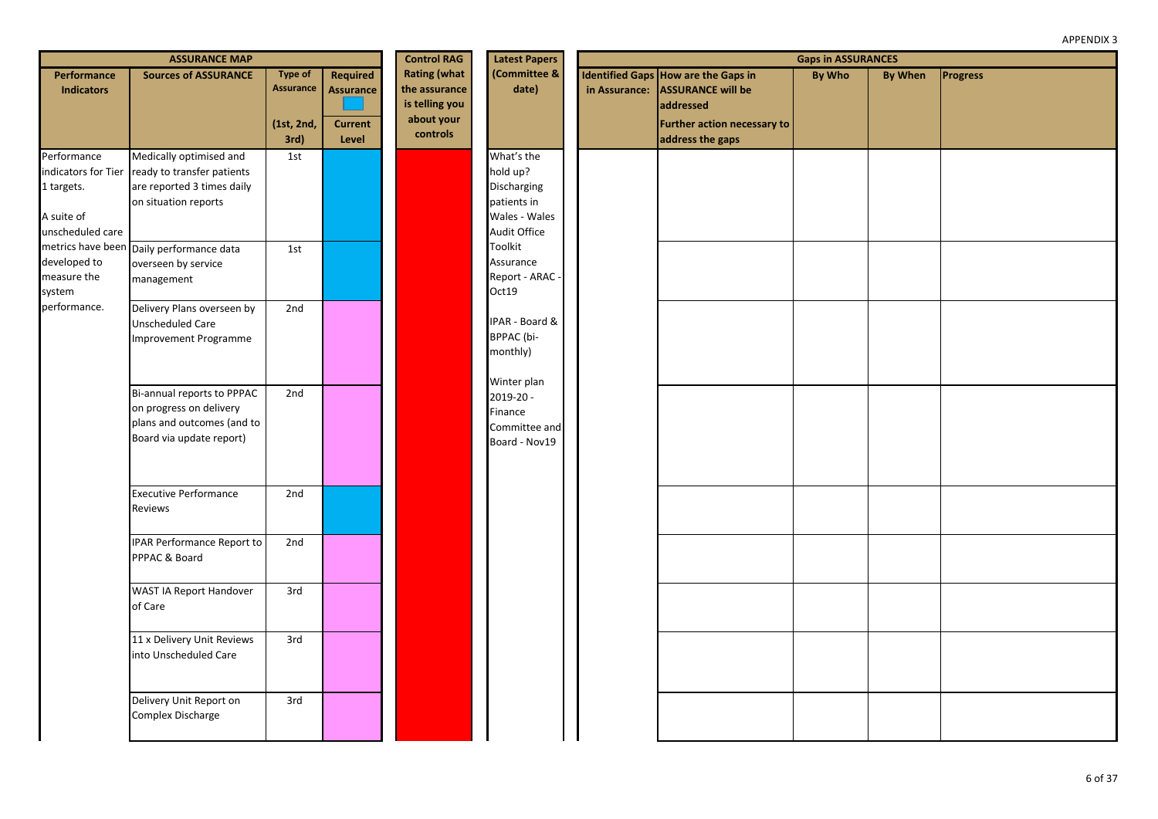| <b>ASSURANCE MAP</b>                                                               |                                                                                                                 |                                                          | <b>Control RAG</b>                                             | <b>Latest Papers</b>                                                             |                                                                                       | <b>Gaps in ASSURANCES</b> |                                                                                                                                        |               |                |                 |
|------------------------------------------------------------------------------------|-----------------------------------------------------------------------------------------------------------------|----------------------------------------------------------|----------------------------------------------------------------|----------------------------------------------------------------------------------|---------------------------------------------------------------------------------------|---------------------------|----------------------------------------------------------------------------------------------------------------------------------------|---------------|----------------|-----------------|
| Performance<br><b>Indicators</b>                                                   | <b>Sources of ASSURANCE</b>                                                                                     | <b>Type of</b><br><b>Assurance</b><br>(1st, 2nd,<br>3rd) | <b>Required</b><br><b>Assurance</b><br><b>Current</b><br>Level | <b>Rating (what</b><br>the assurance<br>is telling you<br>about your<br>controls | (Committee &<br>date)                                                                 | in Assurance:             | <b>Identified Gaps How are the Gaps in</b><br><b>ASSURANCE will be</b><br>addressed<br>Further action necessary to<br>address the gaps | <b>By Who</b> | <b>By When</b> | <b>Progress</b> |
| Performance<br>indicators for Tier<br>1 targets.<br>A suite of<br>unscheduled care | Medically optimised and<br>ready to transfer patients<br>are reported 3 times daily<br>on situation reports     | 1st                                                      |                                                                |                                                                                  | What's the<br>hold up?<br>Discharging<br>patients in<br>Wales - Wales<br>Audit Office |                           |                                                                                                                                        |               |                |                 |
| developed to<br>measure the<br>system                                              | metrics have been Daily performance data<br>overseen by service<br>management                                   | 1st                                                      |                                                                |                                                                                  | Toolkit<br>Assurance<br>Report - ARAC -<br>Oct19                                      |                           |                                                                                                                                        |               |                |                 |
| performance.                                                                       | Delivery Plans overseen by<br><b>Unscheduled Care</b><br>Improvement Programme                                  | 2nd                                                      |                                                                |                                                                                  | IPAR - Board &<br>BPPAC (bi-<br>monthly)<br>Winter plan                               |                           |                                                                                                                                        |               |                |                 |
|                                                                                    | Bi-annual reports to PPPAC<br>on progress on delivery<br>plans and outcomes (and to<br>Board via update report) | 2nd                                                      |                                                                |                                                                                  | 2019-20 -<br>Finance<br>Committee and<br>Board - Nov19                                |                           |                                                                                                                                        |               |                |                 |
|                                                                                    | <b>Executive Performance</b><br>Reviews                                                                         | 2nd                                                      |                                                                |                                                                                  |                                                                                       |                           |                                                                                                                                        |               |                |                 |
|                                                                                    | <b>IPAR Performance Report to</b><br>PPPAC & Board                                                              | 2nd                                                      |                                                                |                                                                                  |                                                                                       |                           |                                                                                                                                        |               |                |                 |
|                                                                                    | WAST IA Report Handover<br>of Care                                                                              | 3rd                                                      |                                                                |                                                                                  |                                                                                       |                           |                                                                                                                                        |               |                |                 |
|                                                                                    | 11 x Delivery Unit Reviews<br>into Unscheduled Care                                                             | 3rd                                                      |                                                                |                                                                                  |                                                                                       |                           |                                                                                                                                        |               |                |                 |
|                                                                                    | Delivery Unit Report on<br>Complex Discharge                                                                    | 3rd                                                      |                                                                |                                                                                  |                                                                                       |                           |                                                                                                                                        |               |                |                 |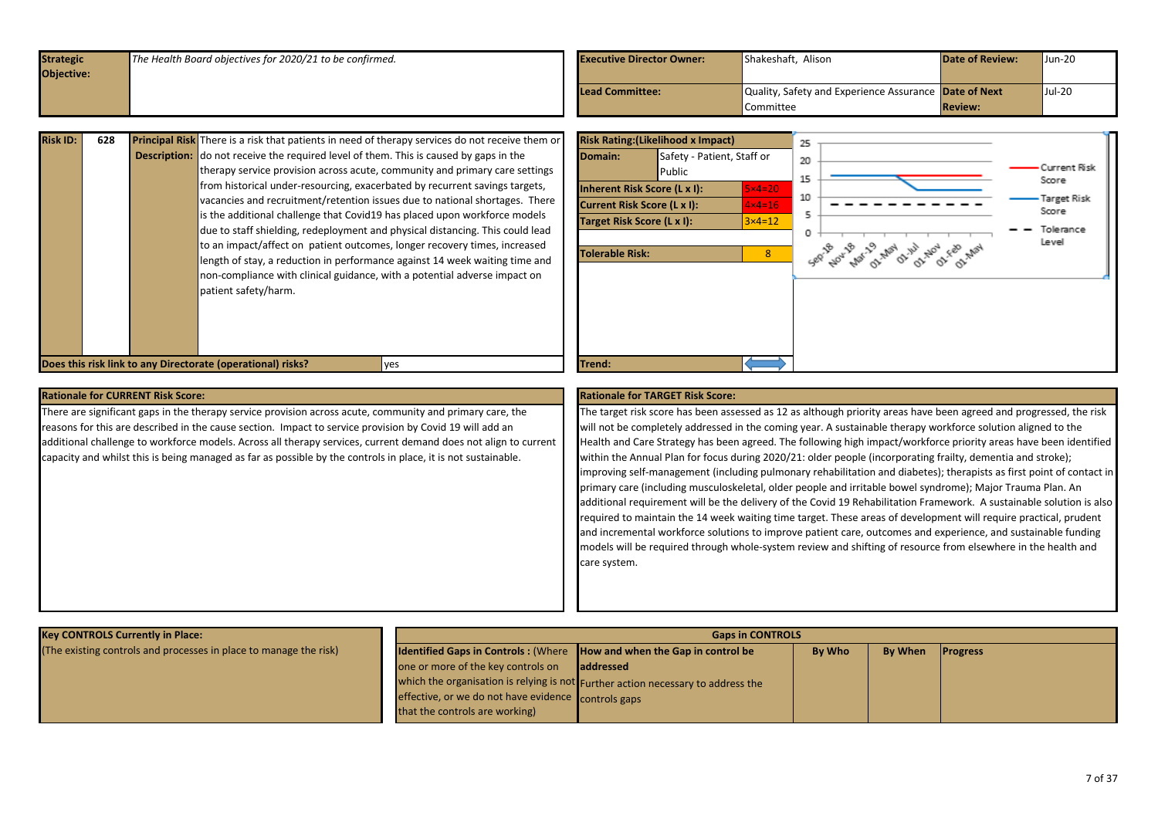<span id="page-6-0"></span>

| <b>Strategic</b><br><b>Objective:</b> |     | The Health Board objectives for 2020/21 to be confirmed.                                                                                                                                               | <b>Executive Director Owner:</b>                     |                            | Shakeshaft, Alison |                                                       | <b>Date of Review:</b> | Jun-20           |
|---------------------------------------|-----|--------------------------------------------------------------------------------------------------------------------------------------------------------------------------------------------------------|------------------------------------------------------|----------------------------|--------------------|-------------------------------------------------------|------------------------|------------------|
|                                       |     |                                                                                                                                                                                                        | Lead Committee:                                      |                            | <b>Committee</b>   | Quality, Safety and Experience Assurance Date of Next | <b>Review:</b>         | Jul-20           |
| <b>Risk ID:</b>                       | 628 | <b>Principal Risk</b> There is a risk that patients in need of therapy services do not receive them or<br><b>Description:</b> do not receive the required level of them. This is caused by gaps in the | <b>Risk Rating: (Likelihood x Impact)</b><br>Domain: | Safety - Patient, Staff or |                    |                                                       |                        | Company's Direkt |

|  | <b>Description:</b> do not receive the required level of them. This is caused by gaps in the |
|--|----------------------------------------------------------------------------------------------|
|  | therapy service provision across acute, community and primary care settings                  |
|  | from historical under-resourcing, exacerbated by recurrent savings targets,                  |
|  | vacancies and recruitment/retention issues due to national shortages. There                  |
|  | is the additional challenge that Covid19 has placed upon workforce models                    |
|  | due to staff shielding, redeployment and physical distancing. This could lead                |
|  | to an impact/affect on patient outcomes, longer recovery times, increased                    |
|  | length of stay, a reduction in performance against 14 week waiting time and                  |
|  | non-compliance with clinical guidance, with a potential adverse impact on                    |
|  | patient safety/harm.                                                                         |
|  |                                                                                              |
|  |                                                                                              |
|  |                                                                                              |



# **Rationale for CURRENT Risk Score: Rationale for TARGET Risk Score:**

There are significant gaps in the therapy service provision across acute, community and primary care, the reasons for this are described in the cause section. Impact to service provision by Covid 19 will add an additional challenge to workforce models. Across all therapy services, current demand does not align to current capacity and whilst this is being managed as far as possible by the controls in place, it is not sustainable.

The target risk score has been assessed as 12 as although priority areas have been agreed and progressed, the risk will not be completely addressed in the coming year. A sustainable therapy workforce solution aligned to the Health and Care Strategy has been agreed. The following high impact/workforce priority areas have been identified within the Annual Plan for focus during 2020/21: older people (incorporating frailty, dementia and stroke); improving self-management (including pulmonary rehabilitation and diabetes); therapists as first point of contact in primary care (including musculoskeletal, older people and irritable bowel syndrome); Major Trauma Plan. An additional requirement will be the delivery of the Covid 19 Rehabilitation Framework. A sustainable solution is also required to maintain the 14 week waiting time target. These areas of development will require practical, prudent and incremental workforce solutions to improve patient care, outcomes and experience, and sustainable funding models will be required through whole-system review and shifting of resource from elsewhere in the health and care system.

| <b>Key CONTROLS Currently in Place:</b>                           | <b>Gaps in CONTROLS</b>                                                       |                                                                                  |               |                |                 |  |  |  |
|-------------------------------------------------------------------|-------------------------------------------------------------------------------|----------------------------------------------------------------------------------|---------------|----------------|-----------------|--|--|--|
| (The existing controls and processes in place to manage the risk) | <b>Identified Gaps in Controls: (Where How and when the Gap in control be</b> |                                                                                  | <b>By Who</b> | <b>By When</b> | <b>Progress</b> |  |  |  |
|                                                                   | one or more of the key controls on                                            | laddressed                                                                       |               |                |                 |  |  |  |
|                                                                   |                                                                               | which the organisation is relying is not Further action necessary to address the |               |                |                 |  |  |  |
|                                                                   | effective, or we do not have evidence controls gaps                           |                                                                                  |               |                |                 |  |  |  |
|                                                                   | that the controls are working)                                                |                                                                                  |               |                |                 |  |  |  |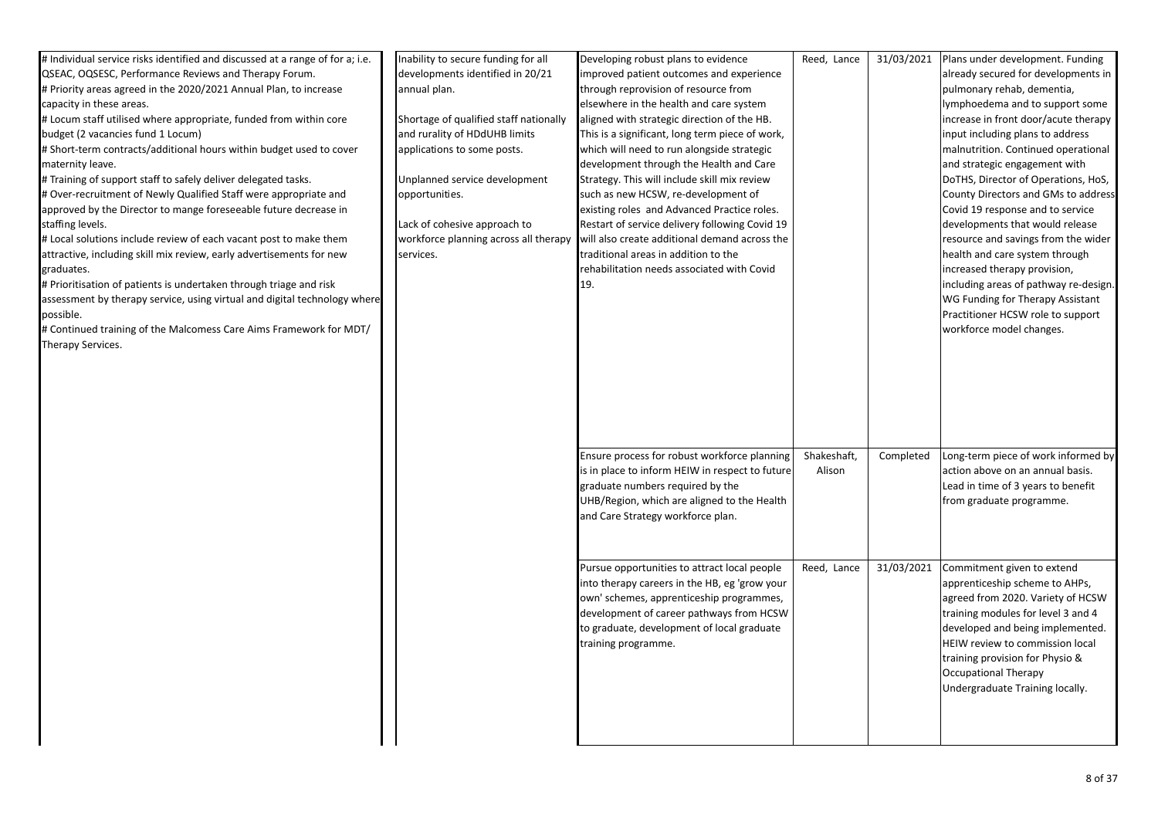| # Individual service risks identified and discussed at a range of for a; i.e.<br>QSEAC, OQSESC, Performance Reviews and Therapy Forum.<br># Priority areas agreed in the 2020/2021 Annual Plan, to increase<br>capacity in these areas.<br># Locum staff utilised where appropriate, funded from within core<br>budget (2 vacancies fund 1 Locum)<br># Short-term contracts/additional hours within budget used to cover<br>maternity leave.<br># Training of support staff to safely deliver delegated tasks.<br># Over-recruitment of Newly Qualified Staff were appropriate and<br>approved by the Director to mange foreseeable future decrease in<br>staffing levels.<br># Local solutions include review of each vacant post to make them<br>attractive, including skill mix review, early advertisements for new<br>graduates.<br># Prioritisation of patients is undertaken through triage and risk<br>assessment by therapy service, using virtual and digital technology where<br>possible.<br># Continued training of the Malcomess Care Aims Framework for MDT/<br>Therapy Services. | Inability to secure funding for all<br>developments identified in 20/21<br>annual plan.<br>Shortage of qualified staff nationally<br>and rurality of HDdUHB limits<br>applications to some posts.<br>Unplanned service development<br>opportunities.<br>Lack of cohesive approach to<br>workforce planning across all therapy<br>services. | Developing robust plans to evidence<br>improved patient outcomes and experience<br>through reprovision of resource from<br>elsewhere in the health and care system<br>aligned with strategic direction of the HB.<br>This is a significant, long term piece of work,<br>which will need to run alongside strategic<br>development through the Health and Care<br>Strategy. This will include skill mix review<br>such as new HCSW, re-development of<br>existing roles and Advanced Practice roles.<br>Restart of service delivery following Covid 19<br>will also create additional demand across the<br>traditional areas in addition to the<br>rehabilitation needs associated with Covid<br>19. | Reed, Lance           | 31/03/2021 | Plans under development. Funding<br>already secured for developments in<br>pulmonary rehab, dementia,<br>lymphoedema and to support some<br>increase in front door/acute therapy<br>input including plans to address<br>malnutrition. Continued operational<br>and strategic engagement with<br>DoTHS, Director of Operations, HoS,<br>County Directors and GMs to address<br>Covid 19 response and to service<br>developments that would release<br>resource and savings from the wider<br>health and care system through<br>increased therapy provision,<br>including areas of pathway re-design.<br>WG Funding for Therapy Assistant<br>Practitioner HCSW role to support<br>workforce model changes. |
|--------------------------------------------------------------------------------------------------------------------------------------------------------------------------------------------------------------------------------------------------------------------------------------------------------------------------------------------------------------------------------------------------------------------------------------------------------------------------------------------------------------------------------------------------------------------------------------------------------------------------------------------------------------------------------------------------------------------------------------------------------------------------------------------------------------------------------------------------------------------------------------------------------------------------------------------------------------------------------------------------------------------------------------------------------------------------------------------------|--------------------------------------------------------------------------------------------------------------------------------------------------------------------------------------------------------------------------------------------------------------------------------------------------------------------------------------------|-----------------------------------------------------------------------------------------------------------------------------------------------------------------------------------------------------------------------------------------------------------------------------------------------------------------------------------------------------------------------------------------------------------------------------------------------------------------------------------------------------------------------------------------------------------------------------------------------------------------------------------------------------------------------------------------------------|-----------------------|------------|----------------------------------------------------------------------------------------------------------------------------------------------------------------------------------------------------------------------------------------------------------------------------------------------------------------------------------------------------------------------------------------------------------------------------------------------------------------------------------------------------------------------------------------------------------------------------------------------------------------------------------------------------------------------------------------------------------|
|                                                                                                                                                                                                                                                                                                                                                                                                                                                                                                                                                                                                                                                                                                                                                                                                                                                                                                                                                                                                                                                                                                  |                                                                                                                                                                                                                                                                                                                                            | Ensure process for robust workforce planning<br>is in place to inform HEIW in respect to future<br>graduate numbers required by the<br>UHB/Region, which are aligned to the Health<br>and Care Strategy workforce plan.                                                                                                                                                                                                                                                                                                                                                                                                                                                                             | Shakeshaft,<br>Alison | Completed  | Long-term piece of work informed by<br>action above on an annual basis.<br>Lead in time of 3 years to benefit<br>from graduate programme.                                                                                                                                                                                                                                                                                                                                                                                                                                                                                                                                                                |
|                                                                                                                                                                                                                                                                                                                                                                                                                                                                                                                                                                                                                                                                                                                                                                                                                                                                                                                                                                                                                                                                                                  |                                                                                                                                                                                                                                                                                                                                            | Pursue opportunities to attract local people<br>into therapy careers in the HB, eg 'grow your<br>own' schemes, apprenticeship programmes,<br>development of career pathways from HCSW<br>to graduate, development of local graduate<br>training programme.                                                                                                                                                                                                                                                                                                                                                                                                                                          | Reed, Lance           | 31/03/2021 | Commitment given to extend<br>apprenticeship scheme to AHPs,<br>agreed from 2020. Variety of HCSW<br>training modules for level 3 and 4<br>developed and being implemented.<br>HEIW review to commission local<br>training provision for Physio &<br><b>Occupational Therapy</b><br>Undergraduate Training locally.                                                                                                                                                                                                                                                                                                                                                                                      |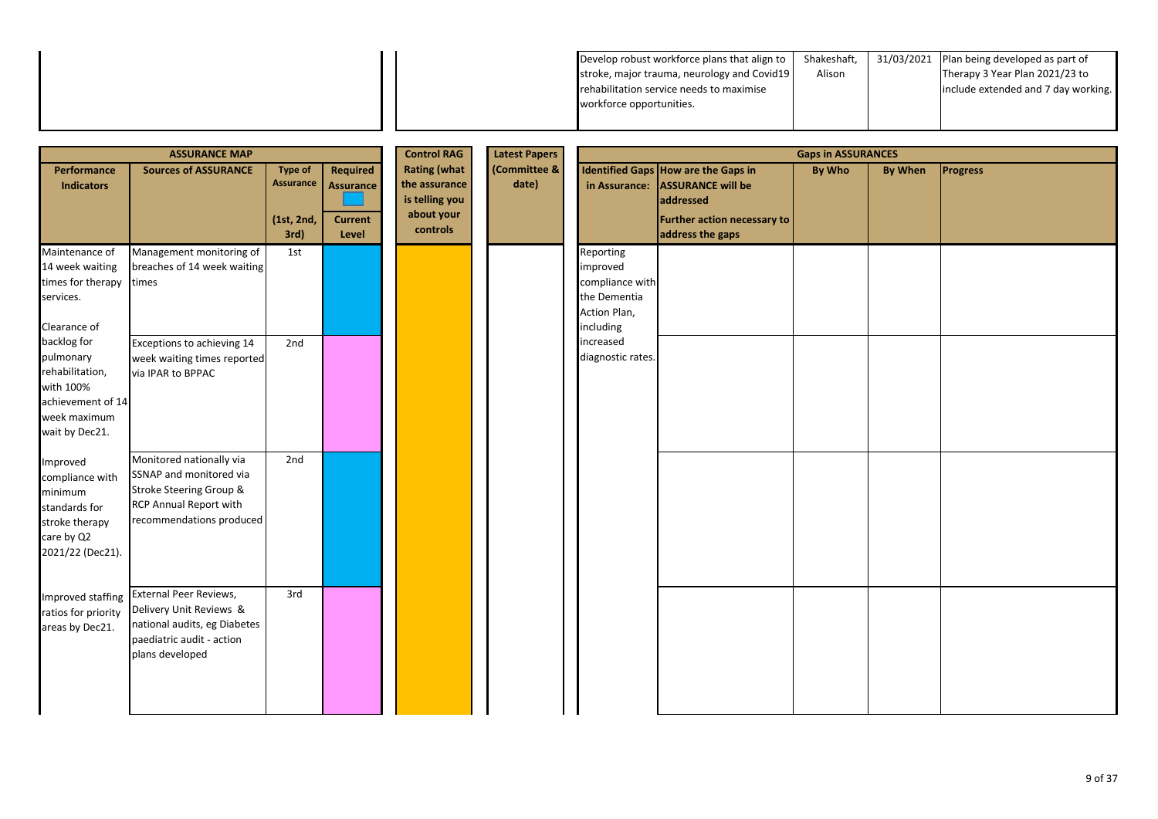| Develop robust workforce plans that align to | Shakeshaft, | 31/03/2021 | Plan being developed as part of     |
|----------------------------------------------|-------------|------------|-------------------------------------|
| stroke, major trauma, neurology and Covid19  | Alison      |            | Therapy 3 Year Plan 2021/23 to      |
| rehabilitation service needs to maximise     |             |            | include extended and 7 day working. |
| workforce opportunities.                     |             |            |                                     |
|                                              |             |            |                                     |

|                                                                                                                 | <b>ASSURANCE MAP</b>                                                                                                                 |                                                   |                                                         | <b>Control RAG</b>                                                               | <b>Latest Papers</b>  | <b>Gaps in ASSURANCES</b>                                                             |                                                                                                                                                      |        |         |                 |  |
|-----------------------------------------------------------------------------------------------------------------|--------------------------------------------------------------------------------------------------------------------------------------|---------------------------------------------------|---------------------------------------------------------|----------------------------------------------------------------------------------|-----------------------|---------------------------------------------------------------------------------------|------------------------------------------------------------------------------------------------------------------------------------------------------|--------|---------|-----------------|--|
| Performance<br><b>Indicators</b>                                                                                | <b>Sources of ASSURANCE</b>                                                                                                          | <b>Type of</b><br>Assurance<br>(1st, 2nd,<br>3rd) | Required<br><b>Assurance</b><br><b>Current</b><br>Level | <b>Rating (what</b><br>the assurance<br>is telling you<br>about your<br>controls | (Committee &<br>date) |                                                                                       | <b>Identified Gaps How are the Gaps in</b><br>in Assurance: ASSURANCE will be<br>addressed<br><b>Further action necessary to</b><br>address the gaps | By Who | By When | <b>Progress</b> |  |
| Maintenance of<br>14 week waiting<br>times for therapy<br>services.<br>Clearance of                             | Management monitoring of<br>breaches of 14 week waiting<br>times                                                                     | 1st                                               |                                                         |                                                                                  |                       | Reporting<br>improved<br>compliance with<br>the Dementia<br>Action Plan,<br>including |                                                                                                                                                      |        |         |                 |  |
| backlog for<br>pulmonary<br>rehabilitation,<br>with 100%<br>achievement of 14<br>week maximum<br>wait by Dec21. | Exceptions to achieving 14<br>week waiting times reported<br>via IPAR to BPPAC                                                       | 2nd                                               |                                                         |                                                                                  |                       | increased<br>diagnostic rates.                                                        |                                                                                                                                                      |        |         |                 |  |
| Improved<br>compliance with<br>minimum<br>standards for<br>stroke therapy<br>care by Q2<br>2021/22 (Dec21).     | Monitored nationally via<br>SSNAP and monitored via<br>Stroke Steering Group &<br>RCP Annual Report with<br>recommendations produced | 2nd                                               |                                                         |                                                                                  |                       |                                                                                       |                                                                                                                                                      |        |         |                 |  |
| Improved staffing<br>ratios for priority<br>areas by Dec21.                                                     | External Peer Reviews,<br>Delivery Unit Reviews &<br>national audits, eg Diabetes<br>paediatric audit - action<br>plans developed    | 3rd                                               |                                                         |                                                                                  |                       |                                                                                       |                                                                                                                                                      |        |         |                 |  |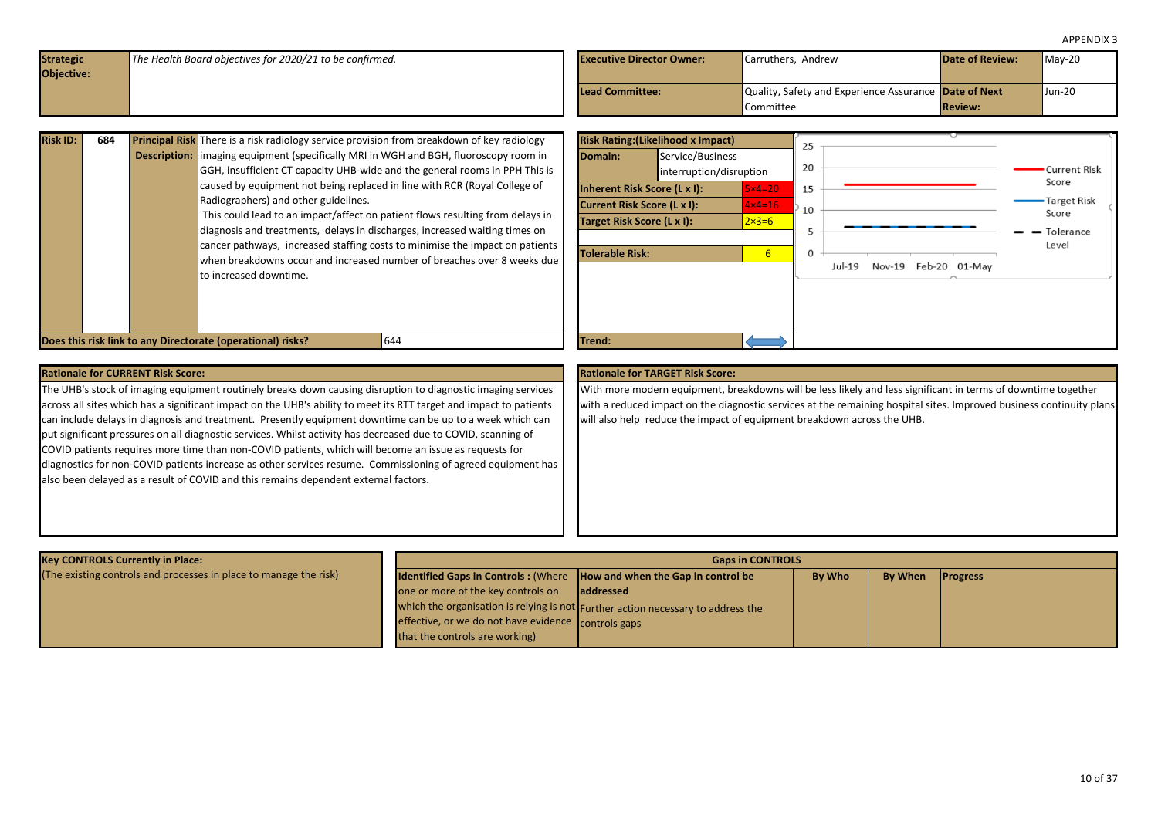<span id="page-9-0"></span>

| <b>Strategic</b> | The Health Board objectives for 2020/21 to be confirmed. | <b>Executive Director Owner:</b> | Carruthers, Andrew                                    | <b>Date of Review:</b> | $Mav-20$ |
|------------------|----------------------------------------------------------|----------------------------------|-------------------------------------------------------|------------------------|----------|
| Objective:       |                                                          |                                  |                                                       |                        |          |
|                  |                                                          | Lead Committee:                  | Quality, Safety and Experience Assurance Date of Next |                        | $Jun-20$ |
|                  |                                                          |                                  | <b>Committee</b>                                      | <b>Review:</b>         |          |
|                  |                                                          |                                  |                                                       |                        |          |

| <b>Risk ID:</b> | 684 |                     | <b>Principal Risk</b> There is a risk radiology service provision from breakdown of key radiology                                                           | <b>Risk Rating: (Likelihoo</b> |       |
|-----------------|-----|---------------------|-------------------------------------------------------------------------------------------------------------------------------------------------------------|--------------------------------|-------|
|                 |     | <b>Description:</b> | Imaging equipment (specifically MRI in WGH and BGH, fluoroscopy room in                                                                                     | Domain:                        | Servi |
|                 |     |                     | GGH, insufficient CT capacity UHB-wide and the general rooms in PPH This is                                                                                 |                                | inter |
|                 |     |                     | caused by equipment not being replaced in line with RCR (Royal College of                                                                                   | <b>Inherent Risk Score (L</b>  |       |
|                 |     |                     | Radiographers) and other guidelines.                                                                                                                        | <b>Current Risk Score (L)</b>  |       |
|                 |     |                     | This could lead to an impact/affect on patient flows resulting from delays in<br>diagnosis and treatments, delays in discharges, increased waiting times on | <b>Target Risk Score (Lx</b>   |       |
|                 |     |                     | cancer pathways, increased staffing costs to minimise the impact on patients<br>when breakdowns occur and increased number of breaches over 8 weeks due     | Tolerable Risk:                |       |
|                 |     |                     | to increased downtime.                                                                                                                                      |                                |       |
|                 |     |                     |                                                                                                                                                             |                                |       |
|                 |     |                     |                                                                                                                                                             |                                |       |
|                 |     |                     | Does this risk link to any Directorate (operational) risks?<br>644                                                                                          | Trend:                         |       |



The UHB's stock of imaging equipment routinely breaks down causing disruption to diagnostic imaging services across all sites which has a significant impact on the UHB's ability to meet its RTT target and impact to patients can include delays in diagnosis and treatment. Presently equipment downtime can be up to a week which can put significant pressures on all diagnostic services. Whilst activity has decreased due to COVID, scanning of COVID patients requires more time than non-COVID patients, which will become an issue as requests for diagnostics for non-COVID patients increase as other services resume. Commissioning of agreed equipment has also been delayed as a result of COVID and this remains dependent external factors.

# **Rationale for TARGET Risk Score:**

With more modern equipment, breakdowns will be less likely and less significant in terms of downtime together with a reduced impact on the diagnostic services at the remaining hospital sites. Improved business continuity plans will also help reduce the impact of equipment breakdown across the UHB.

| <b>Key CONTROLS Currently in Place:</b>                           |                                                                               | <b>Gaps in CONTROLS</b>                                                          |               |                |                 |  |  |  |  |  |
|-------------------------------------------------------------------|-------------------------------------------------------------------------------|----------------------------------------------------------------------------------|---------------|----------------|-----------------|--|--|--|--|--|
| (The existing controls and processes in place to manage the risk) | <b>Identified Gaps in Controls: (Where How and when the Gap in control be</b> |                                                                                  | <b>By Who</b> | <b>By When</b> | <b>Progress</b> |  |  |  |  |  |
|                                                                   | one or more of the key controls on                                            | laddressed                                                                       |               |                |                 |  |  |  |  |  |
|                                                                   |                                                                               | which the organisation is relying is not Further action necessary to address the |               |                |                 |  |  |  |  |  |
|                                                                   | effective, or we do not have evidence controls gaps                           |                                                                                  |               |                |                 |  |  |  |  |  |
|                                                                   | that the controls are working)                                                |                                                                                  |               |                |                 |  |  |  |  |  |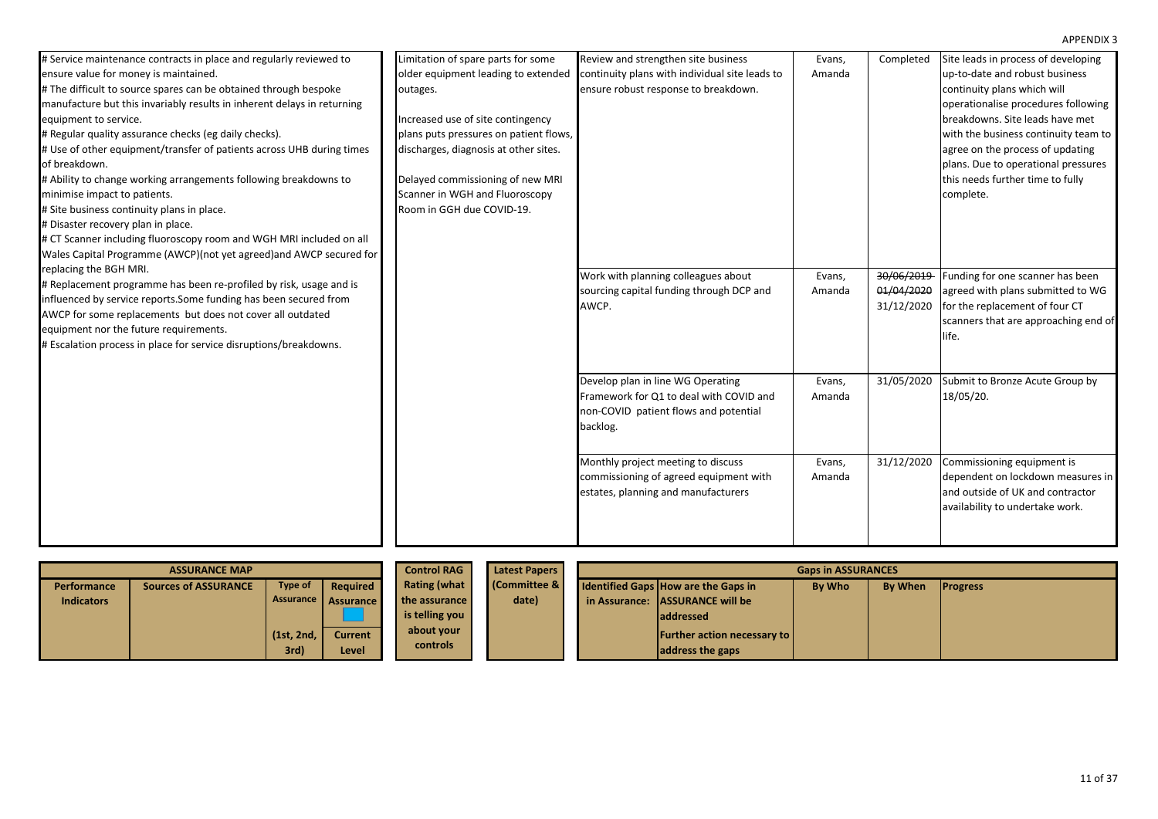| # Service maintenance contracts in place and regularly reviewed to<br>ensure value for money is maintained.<br># The difficult to source spares can be obtained through bespoke<br>manufacture but this invariably results in inherent delays in returning<br>equipment to service.<br># Regular quality assurance checks (eg daily checks).<br># Use of other equipment/transfer of patients across UHB during times<br>of breakdown.<br># Ability to change working arrangements following breakdowns to<br>minimise impact to patients.<br># Site business continuity plans in place.<br># Disaster recovery plan in place.<br># CT Scanner including fluoroscopy room and WGH MRI included on all<br>Wales Capital Programme (AWCP)(not yet agreed) and AWCP secured for | Limitation of spare parts for some<br>older equipment leading to extended<br>outages.<br>Increased use of site contingency<br>plans puts pressures on patient flows,<br>discharges, diagnosis at other sites.<br>Delayed commissioning of new MRI<br>Scanner in WGH and Fluoroscopy<br>Room in GGH due COVID-19. | Review and strengthen site business<br>continuity plans with individual site leads to<br>ensure robust response to breakdown.     | Evans,<br>Amanda | Completed                              | Site leads in process of developing<br>up-to-date and robust business<br>continuity plans which will<br>operationalise procedures following<br>breakdowns. Site leads have met<br>with the business continuity team to<br>agree on the process of updating<br>plans. Due to operational pressures<br>this needs further time to fully<br>complete. |
|------------------------------------------------------------------------------------------------------------------------------------------------------------------------------------------------------------------------------------------------------------------------------------------------------------------------------------------------------------------------------------------------------------------------------------------------------------------------------------------------------------------------------------------------------------------------------------------------------------------------------------------------------------------------------------------------------------------------------------------------------------------------------|------------------------------------------------------------------------------------------------------------------------------------------------------------------------------------------------------------------------------------------------------------------------------------------------------------------|-----------------------------------------------------------------------------------------------------------------------------------|------------------|----------------------------------------|----------------------------------------------------------------------------------------------------------------------------------------------------------------------------------------------------------------------------------------------------------------------------------------------------------------------------------------------------|
| replacing the BGH MRI.<br># Replacement programme has been re-profiled by risk, usage and is<br>influenced by service reports. Some funding has been secured from<br>AWCP for some replacements but does not cover all outdated<br>equipment nor the future requirements.<br># Escalation process in place for service disruptions/breakdowns.                                                                                                                                                                                                                                                                                                                                                                                                                               |                                                                                                                                                                                                                                                                                                                  | Work with planning colleagues about<br>sourcing capital funding through DCP and<br>AWCP.                                          | Evans,<br>Amanda | 30/06/2019<br>01/04/2020<br>31/12/2020 | Funding for one scanner has been<br>agreed with plans submitted to WG<br>for the replacement of four CT<br>scanners that are approaching end of<br>life.                                                                                                                                                                                           |
|                                                                                                                                                                                                                                                                                                                                                                                                                                                                                                                                                                                                                                                                                                                                                                              |                                                                                                                                                                                                                                                                                                                  | Develop plan in line WG Operating<br>Framework for Q1 to deal with COVID and<br>non-COVID patient flows and potential<br>backlog. | Evans,<br>Amanda | 31/05/2020                             | Submit to Bronze Acute Group by<br>18/05/20.                                                                                                                                                                                                                                                                                                       |
|                                                                                                                                                                                                                                                                                                                                                                                                                                                                                                                                                                                                                                                                                                                                                                              |                                                                                                                                                                                                                                                                                                                  | Monthly project meeting to discuss<br>commissioning of agreed equipment with<br>estates, planning and manufacturers               | Evans,<br>Amanda | 31/12/2020                             | Commissioning equipment is<br>dependent on lockdown measures in<br>and outside of UK and contractor<br>availability to undertake work.                                                                                                                                                                                                             |

|                   | <b>ASSURANCE MAP</b>        |                    |                         | <b>Control RAG</b>     | <b>Latest Papers</b>   | <b>Gaps in ASSURANCES</b>                                                                 |  |  |  |  |
|-------------------|-----------------------------|--------------------|-------------------------|------------------------|------------------------|-------------------------------------------------------------------------------------------|--|--|--|--|
| Performance       | <b>Sources of ASSURANCE</b> | Type of            | Required                | <b>Rating (what</b>    | <b>Committee &amp;</b> | <b>Identified Gaps How are the Gaps in</b><br><b>By Who</b><br>By When<br><b>Progress</b> |  |  |  |  |
| <b>Indicators</b> |                             |                    | Assurance Assurance     | the assurance          | date)                  | in Assurance: ASSURANCE will be                                                           |  |  |  |  |
|                   |                             |                    |                         | is telling you         |                        | <b>laddressed</b>                                                                         |  |  |  |  |
|                   |                             | (1st, 2nd,<br>3rd) | <b>Current</b><br>Level | about your<br>controls |                        | <b>Further action necessary to</b><br>address the gaps                                    |  |  |  |  |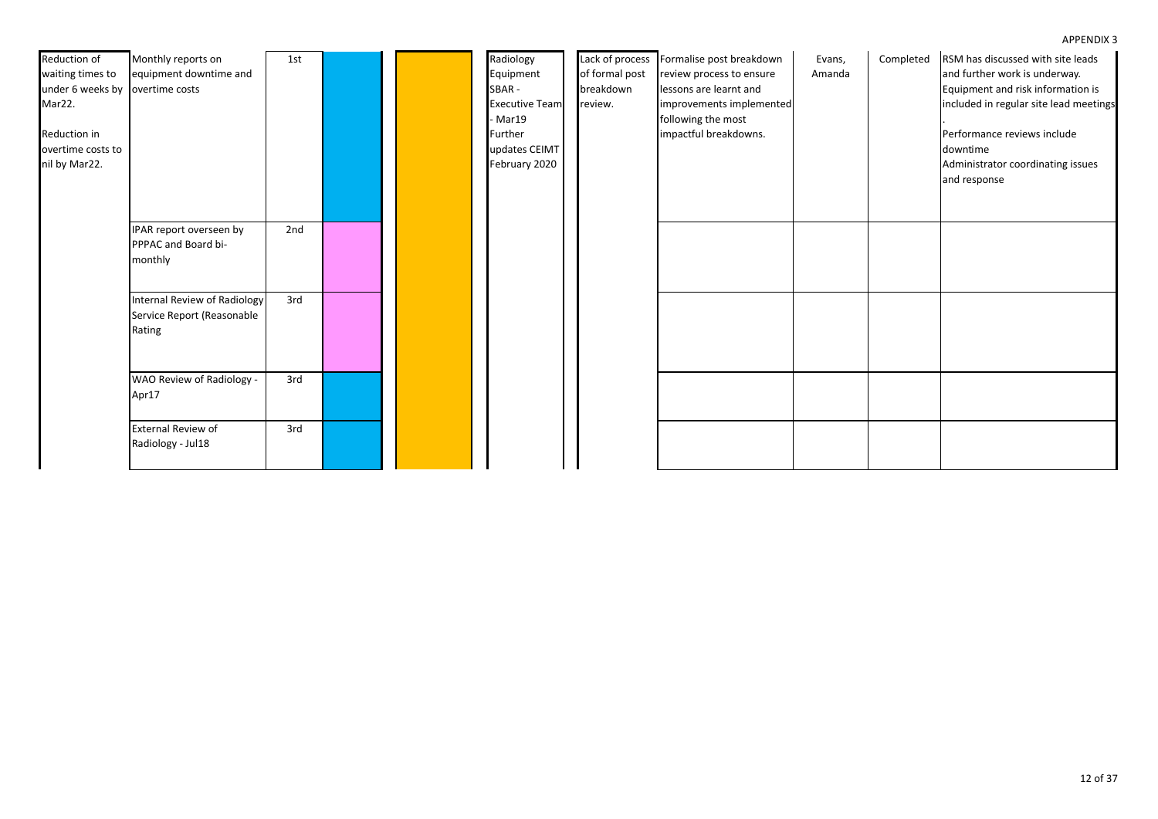| Reduction of<br>waiting times to<br>under 6 weeks by overtime costs<br>Mar22.<br>Reduction in<br>overtime costs to<br>nil by Mar22. | Monthly reports on<br>equipment downtime and                                | 1st |  | Radiology<br>Equipment<br>SBAR -<br><b>Executive Team</b><br>- Mar19<br>Further<br>updates CEIMT<br>February 2020 | Lack of process<br>of formal post<br>breakdown<br>review. | Formalise post breakdown<br>review process to ensure<br>lessons are learnt and<br>improvements implemented<br>following the most<br>impactful breakdowns. | Evans,<br>Amanda | Completed | RSM has discussed with site leads<br>and further work is underway.<br>Equipment and risk information is<br>included in regular site lead meetings<br>Performance reviews include<br>downtime<br>Administrator coordinating issues |
|-------------------------------------------------------------------------------------------------------------------------------------|-----------------------------------------------------------------------------|-----|--|-------------------------------------------------------------------------------------------------------------------|-----------------------------------------------------------|-----------------------------------------------------------------------------------------------------------------------------------------------------------|------------------|-----------|-----------------------------------------------------------------------------------------------------------------------------------------------------------------------------------------------------------------------------------|
|                                                                                                                                     | IPAR report overseen by<br>PPPAC and Board bi-<br>monthly                   | 2nd |  |                                                                                                                   |                                                           |                                                                                                                                                           |                  |           | and response                                                                                                                                                                                                                      |
|                                                                                                                                     | <b>Internal Review of Radiology</b><br>Service Report (Reasonable<br>Rating | 3rd |  |                                                                                                                   |                                                           |                                                                                                                                                           |                  |           |                                                                                                                                                                                                                                   |
|                                                                                                                                     | WAO Review of Radiology -<br>Apr17                                          | 3rd |  |                                                                                                                   |                                                           |                                                                                                                                                           |                  |           |                                                                                                                                                                                                                                   |
|                                                                                                                                     | <b>External Review of</b><br>Radiology - Jul18                              | 3rd |  |                                                                                                                   |                                                           |                                                                                                                                                           |                  |           |                                                                                                                                                                                                                                   |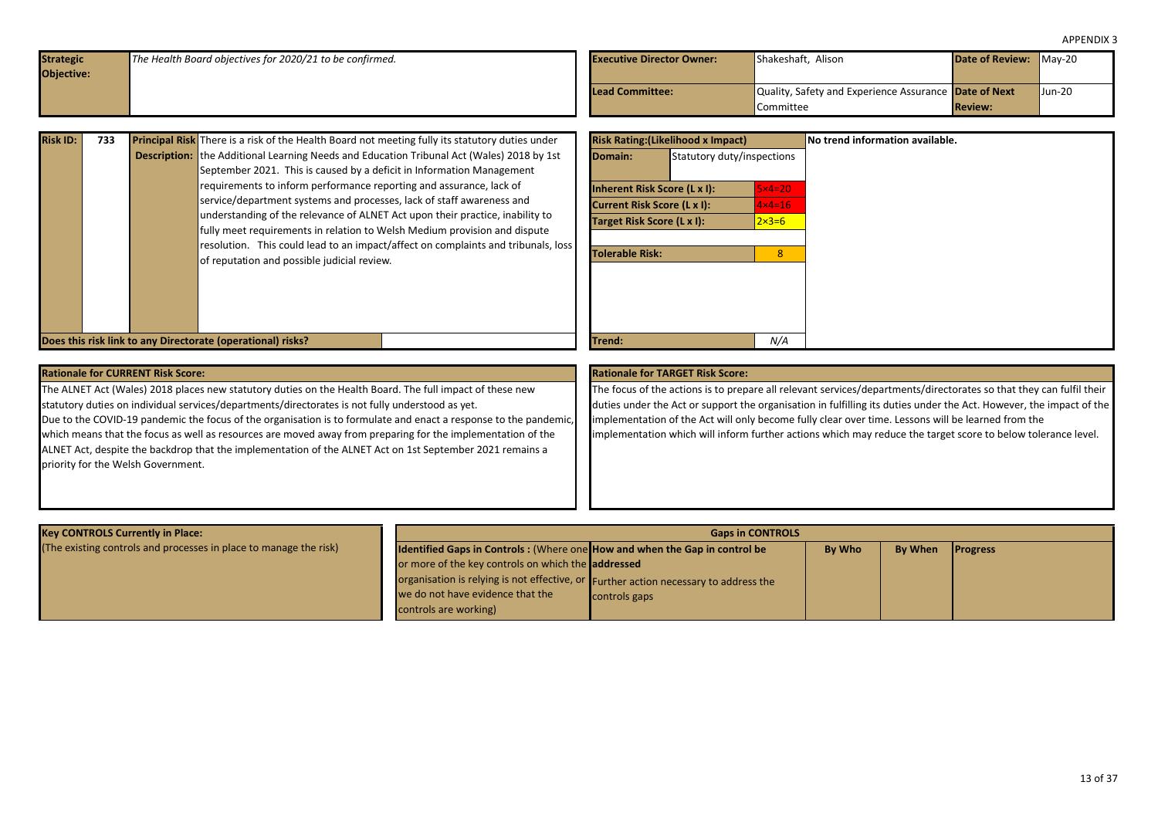<span id="page-12-0"></span>

| <b>Strategic</b><br><b>Objective:</b> |     |                                                                                | The Health Board objectives for 2020/21 to be confirmed.                                                                                                                                                                                                                                                                                                                                                                                                                                                                                                                                                                                         |                                                                                                                 | <b>Executive Director Owner:</b>                                                                                                                                            | Shakeshaft, Alison                                                                         |                                                                                                                                                                                                                                                                                                                                                                                                                                                                  | <b>Date of Review:</b> | <b>May-20</b> |
|---------------------------------------|-----|--------------------------------------------------------------------------------|--------------------------------------------------------------------------------------------------------------------------------------------------------------------------------------------------------------------------------------------------------------------------------------------------------------------------------------------------------------------------------------------------------------------------------------------------------------------------------------------------------------------------------------------------------------------------------------------------------------------------------------------------|-----------------------------------------------------------------------------------------------------------------|-----------------------------------------------------------------------------------------------------------------------------------------------------------------------------|--------------------------------------------------------------------------------------------|------------------------------------------------------------------------------------------------------------------------------------------------------------------------------------------------------------------------------------------------------------------------------------------------------------------------------------------------------------------------------------------------------------------------------------------------------------------|------------------------|---------------|
|                                       |     |                                                                                |                                                                                                                                                                                                                                                                                                                                                                                                                                                                                                                                                                                                                                                  |                                                                                                                 | <b>Lead Committee:</b>                                                                                                                                                      | Committee                                                                                  | Quality, Safety and Experience Assurance Date of Next                                                                                                                                                                                                                                                                                                                                                                                                            | <b>Review:</b>         | Jun-20        |
| <b>Risk ID:</b>                       | 733 |                                                                                | <b>Principal Risk</b> There is a risk of the Health Board not meeting fully its statutory duties under<br><b>Description:</b> the Additional Learning Needs and Education Tribunal Act (Wales) 2018 by 1st<br>September 2021. This is caused by a deficit in Information Management<br>requirements to inform performance reporting and assurance, lack of<br>service/department systems and processes, lack of staff awareness and<br>understanding of the relevance of ALNET Act upon their practice, inability to<br>fully meet requirements in relation to Welsh Medium provision and dispute<br>of reputation and possible judicial review. | resolution. This could lead to an impact/affect on complaints and tribunals, loss                               | <b>Risk Rating: (Likelihood x Impact)</b><br>Domain:<br>Inherent Risk Score (L x I):<br>Current Risk Score (L x I):<br>Target Risk Score (L x I):<br><b>Tolerable Risk:</b> | Statutory duty/inspections<br>$5\times 4=20$<br>$4 \times 4 = 16$<br>$2 \times 3 = 6$<br>8 | No trend information available.                                                                                                                                                                                                                                                                                                                                                                                                                                  |                        |               |
|                                       |     |                                                                                | Does this risk link to any Directorate (operational) risks?                                                                                                                                                                                                                                                                                                                                                                                                                                                                                                                                                                                      |                                                                                                                 | Trend:                                                                                                                                                                      | N/A                                                                                        |                                                                                                                                                                                                                                                                                                                                                                                                                                                                  |                        |               |
|                                       |     | <b>Rationale for CURRENT Risk Score:</b><br>priority for the Welsh Government. | The ALNET Act (Wales) 2018 places new statutory duties on the Health Board. The full impact of these new<br>statutory duties on individual services/departments/directorates is not fully understood as yet.<br>which means that the focus as well as resources are moved away from preparing for the implementation of the<br>ALNET Act, despite the backdrop that the implementation of the ALNET Act on 1st September 2021 remains a                                                                                                                                                                                                          | Due to the COVID-19 pandemic the focus of the organisation is to formulate and enact a response to the pandemic | <b>Rationale for TARGET Risk Score:</b>                                                                                                                                     |                                                                                            | The focus of the actions is to prepare all relevant services/departments/directorates so that they can fulfil their<br>duties under the Act or support the organisation in fulfilling its duties under the Act. However, the impact of the<br>implementation of the Act will only become fully clear over time. Lessons will be learned from the<br>implementation which will inform further actions which may reduce the target score to below tolerance level. |                        |               |

| <b>Key CONTROLS Currently in Place:</b>                           |                                                                            | <b>Gaps in CONTROLS</b>                                                              |               |         |                 |  |  |  |  |  |  |
|-------------------------------------------------------------------|----------------------------------------------------------------------------|--------------------------------------------------------------------------------------|---------------|---------|-----------------|--|--|--|--|--|--|
| (The existing controls and processes in place to manage the risk) | Identified Gaps in Controls: (Where one How and when the Gap in control be |                                                                                      | <b>By Who</b> | By When | <b>Progress</b> |  |  |  |  |  |  |
|                                                                   | or more of the key controls on which the addressed                         |                                                                                      |               |         |                 |  |  |  |  |  |  |
|                                                                   |                                                                            | organisation is relying is not effective, or Further action necessary to address the |               |         |                 |  |  |  |  |  |  |
|                                                                   | we do not have evidence that the                                           | controls gaps                                                                        |               |         |                 |  |  |  |  |  |  |
|                                                                   | controls are working)                                                      |                                                                                      |               |         |                 |  |  |  |  |  |  |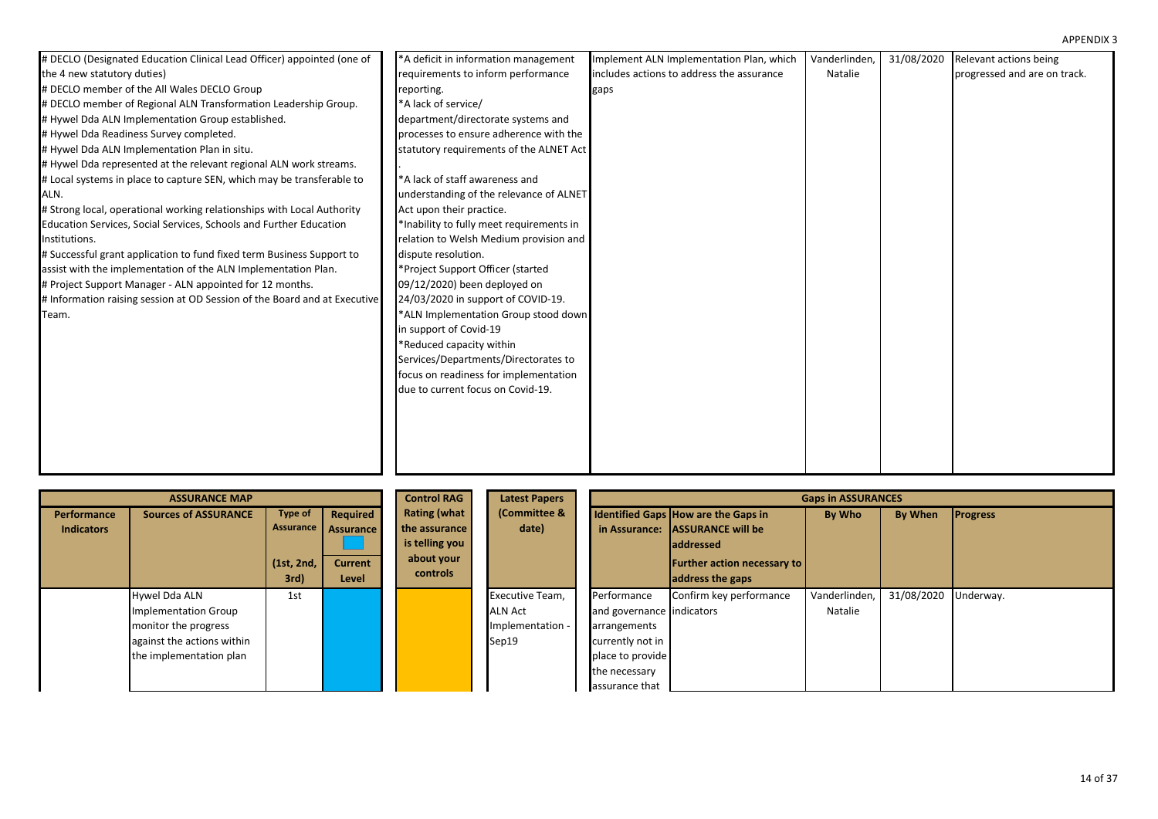| # DECLO (Designated Education Clinical Lead Officer) appointed (one of    | *A deficit in information management     | Implement ALN Implementation Plan, which  | Vanderlinden | 31/08/2020 | Relevant actions being       |
|---------------------------------------------------------------------------|------------------------------------------|-------------------------------------------|--------------|------------|------------------------------|
| the 4 new statutory duties)                                               | requirements to inform performance       | includes actions to address the assurance | Natalie      |            | progressed and are on track. |
| # DECLO member of the All Wales DECLO Group                               | reporting.                               | gaps                                      |              |            |                              |
| # DECLO member of Regional ALN Transformation Leadership Group.           | *A lack of service/                      |                                           |              |            |                              |
| # Hywel Dda ALN Implementation Group established.                         | department/directorate systems and       |                                           |              |            |                              |
| # Hywel Dda Readiness Survey completed.                                   | processes to ensure adherence with the   |                                           |              |            |                              |
| # Hywel Dda ALN Implementation Plan in situ.                              | statutory requirements of the ALNET Act  |                                           |              |            |                              |
| # Hywel Dda represented at the relevant regional ALN work streams.        |                                          |                                           |              |            |                              |
| # Local systems in place to capture SEN, which may be transferable to     | *A lack of staff awareness and           |                                           |              |            |                              |
| ALN.                                                                      | understanding of the relevance of ALNET  |                                           |              |            |                              |
| # Strong local, operational working relationships with Local Authority    | Act upon their practice.                 |                                           |              |            |                              |
| Education Services, Social Services, Schools and Further Education        | *Inability to fully meet requirements in |                                           |              |            |                              |
| Institutions.                                                             | relation to Welsh Medium provision and   |                                           |              |            |                              |
| # Successful grant application to fund fixed term Business Support to     | dispute resolution.                      |                                           |              |            |                              |
| assist with the implementation of the ALN Implementation Plan.            | *Project Support Officer (started        |                                           |              |            |                              |
| # Project Support Manager - ALN appointed for 12 months.                  | 09/12/2020) been deployed on             |                                           |              |            |                              |
| # Information raising session at OD Session of the Board and at Executive | 24/03/2020 in support of COVID-19.       |                                           |              |            |                              |
| Team.                                                                     | *ALN Implementation Group stood down     |                                           |              |            |                              |
|                                                                           | in support of Covid-19                   |                                           |              |            |                              |
|                                                                           | *Reduced capacity within                 |                                           |              |            |                              |
|                                                                           | Services/Departments/Directorates to     |                                           |              |            |                              |
|                                                                           | focus on readiness for implementation    |                                           |              |            |                              |
|                                                                           | due to current focus on Covid-19.        |                                           |              |            |                              |
|                                                                           |                                          |                                           |              |            |                              |
|                                                                           |                                          |                                           |              |            |                              |
|                                                                           |                                          |                                           |              |            |                              |
|                                                                           |                                          |                                           |              |            |                              |
|                                                                           |                                          |                                           |              |            |                              |
|                                                                           |                                          |                                           |              |            |                              |

|                   | <b>ASSURANCE MAP</b>        |            |                  | <b>Control RAG</b>  | <b>Latest Papers</b>   |                           |                                      | <b>Gaps in ASSURANCES</b> |            |                 |
|-------------------|-----------------------------|------------|------------------|---------------------|------------------------|---------------------------|--------------------------------------|---------------------------|------------|-----------------|
| Performance       | <b>Sources of ASSURANCE</b> | Type of    | Required         | <b>Rating (what</b> | (Committee &           |                           | Identified Gaps How are the Gaps in  | By Who                    | By When    | <b>Progress</b> |
| <b>Indicators</b> |                             | Assurance  | <b>Assurance</b> | the assurance       | date)                  |                           | in Assurance: ASSURANCE will be      |                           |            |                 |
|                   |                             |            |                  | is telling you      |                        |                           | <b>laddressed</b>                    |                           |            |                 |
|                   |                             | (1st, 2nd, | <b>Current</b>   | about your          |                        |                           | <b>Further action necessary to  </b> |                           |            |                 |
|                   |                             | 3rd)       | Level            | controls            |                        |                           | address the gaps                     |                           |            |                 |
|                   | Hywel Dda ALN               | 1st        |                  |                     | <b>Executive Team,</b> | Performance               | Confirm key performance              | Vanderlinden              | 31/08/2020 | Underway.       |
|                   | Implementation Group        |            |                  |                     | <b>ALN Act</b>         | and governance indicators |                                      | Natalie                   |            |                 |
|                   | monitor the progress        |            |                  |                     | Implementation -       | arrangements              |                                      |                           |            |                 |
|                   | against the actions within  |            |                  |                     | Sep19                  | currently not in          |                                      |                           |            |                 |
|                   | the implementation plan     |            |                  |                     |                        | place to provide          |                                      |                           |            |                 |
|                   |                             |            |                  |                     |                        | the necessary             |                                      |                           |            |                 |
|                   |                             |            |                  |                     |                        | assurance that            |                                      |                           |            |                 |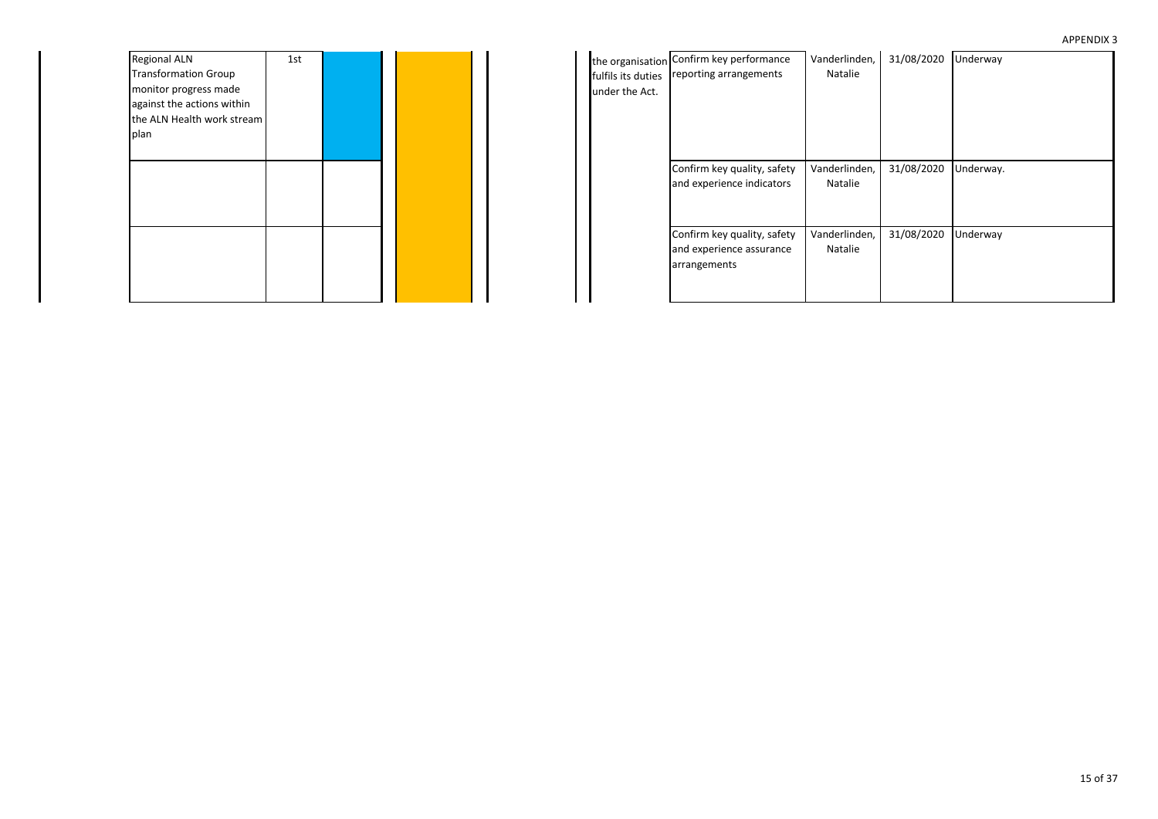| <b>APPENDIX 3</b> |  |
|-------------------|--|
|-------------------|--|

| <b>Regional ALN</b>         | 1st |  |  |
|-----------------------------|-----|--|--|
| <b>Transformation Group</b> |     |  |  |
| monitor progress made       |     |  |  |
| against the actions within  |     |  |  |
| the ALN Health work stream  |     |  |  |
| plan                        |     |  |  |
|                             |     |  |  |
|                             |     |  |  |
|                             |     |  |  |
|                             |     |  |  |
|                             |     |  |  |
|                             |     |  |  |
|                             |     |  |  |
|                             |     |  |  |
|                             |     |  |  |
|                             |     |  |  |

| 1st |  |  | fulfils its duties<br>under the Act. | the organisation Confirm key performance<br>reporting arrangements      | Vanderlinden,<br>Natalie | 31/08/2020 | Underway  |
|-----|--|--|--------------------------------------|-------------------------------------------------------------------------|--------------------------|------------|-----------|
|     |  |  |                                      | Confirm key quality, safety<br>and experience indicators                | Vanderlinden,<br>Natalie | 31/08/2020 | Underway. |
|     |  |  |                                      | Confirm key quality, safety<br>and experience assurance<br>arrangements | Vanderlinden,<br>Natalie | 31/08/2020 | Underway  |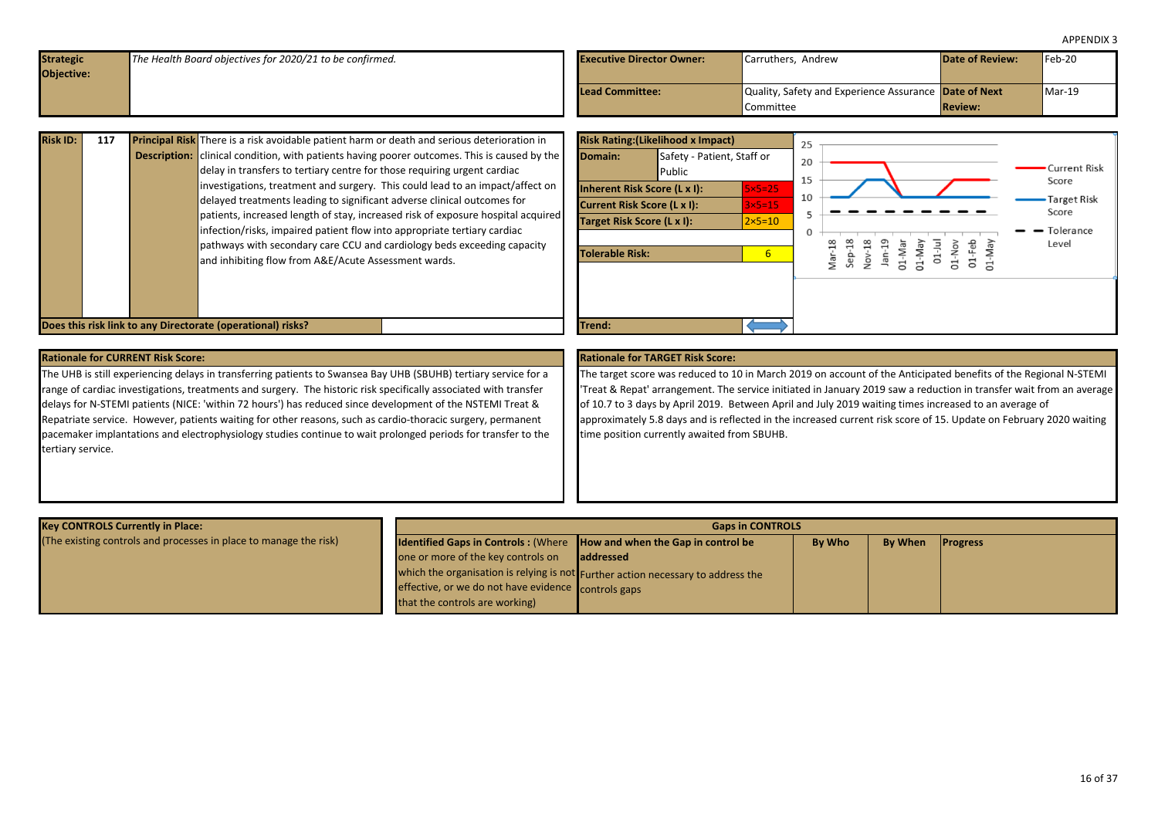<span id="page-15-0"></span>

| <b>Strategic</b><br>Objective: | The Health Board objectives for 2020/21 to be confirmed. | <b>Executive Director Owner:</b> | Carruthers, Andrew                                    | <b>Date of Review:</b> | $Feb-20$ |
|--------------------------------|----------------------------------------------------------|----------------------------------|-------------------------------------------------------|------------------------|----------|
|                                |                                                          |                                  |                                                       |                        |          |
|                                |                                                          | <b>Lead Committee:</b>           | Quality, Safety and Experience Assurance Date of Next |                        | $Mar-19$ |
|                                |                                                          |                                  | <b>Committee</b>                                      | <b>Review:</b>         |          |

| <b>Risk ID:</b> | 117 | Principal Risk There is a risk avoidable patient harm or death and serious deterioration in                                                                  |  |                 |                              | <b>Risk Rating: (Likelihood x Impact)</b> |                |
|-----------------|-----|--------------------------------------------------------------------------------------------------------------------------------------------------------------|--|-----------------|------------------------------|-------------------------------------------|----------------|
|                 |     | <b>Description:</b> clinical condition, with patients having poorer outcomes. This is caused by the                                                          |  |                 | Domain:                      | Safety - Patient, Staff or                |                |
|                 |     | delay in transfers to tertiary centre for those requiring urgent cardiac                                                                                     |  |                 |                              | Public                                    |                |
|                 |     | investigations, treatment and surgery. This could lead to an impact/affect on                                                                                |  |                 | Inherent Risk Score (L x I): |                                           | $5\times 5=25$ |
|                 |     | delayed treatments leading to significant adverse clinical outcomes for                                                                                      |  |                 | Current Risk Score (L x I):  |                                           | $3\times 5=15$ |
|                 |     | patients, increased length of stay, increased risk of exposure hospital acquired<br>infection/risks, impaired patient flow into appropriate tertiary cardiac |  |                 | Target Risk Score (L x I):   |                                           | $2\times 5=10$ |
|                 |     | pathways with secondary care CCU and cardiology beds exceeding capacity                                                                                      |  |                 |                              |                                           |                |
|                 |     | and inhibiting flow from A&E/Acute Assessment wards.                                                                                                         |  | Tolerable Risk: |                              |                                           | 6              |
|                 |     |                                                                                                                                                              |  |                 |                              |                                           |                |
|                 |     |                                                                                                                                                              |  |                 |                              |                                           |                |
|                 |     |                                                                                                                                                              |  |                 |                              |                                           |                |
|                 |     | Does this risk link to any Directorate (operational) risks?                                                                                                  |  |                 | Trend:                       |                                           |                |



The UHB is still experiencing delays in transferring patients to Swansea Bay UHB (SBUHB) tertiary service for a range of cardiac investigations, treatments and surgery. The historic risk specifically associated with transfer delays for N-STEMI patients (NICE: 'within 72 hours') has reduced since development of the NSTEMI Treat & Repatriate service. However, patients waiting for other reasons, such as cardio-thoracic surgery, permanent pacemaker implantations and electrophysiology studies continue to wait prolonged periods for transfer to the tertiary service.

#### **Rationale for TARGET Risk Score:**

The target score was reduced to 10 in March 2019 on account of the Anticipated benefits of the Regional N-STEMI 'Treat & Repat' arrangement. The service initiated in January 2019 saw a reduction in transfer wait from an average of 10.7 to 3 days by April 2019. Between April and July 2019 waiting times increased to an average of approximately 5.8 days and is reflected in the increased current risk score of 15. Update on February 2020 waiting time position currently awaited from SBUHB.

| <b>Key CONTROLS Currently in Place:</b>                           |                                                                                      | <b>Gaps in CONTROLS</b>                                                          |               |         |                 |  |  |  |  |
|-------------------------------------------------------------------|--------------------------------------------------------------------------------------|----------------------------------------------------------------------------------|---------------|---------|-----------------|--|--|--|--|
| (The existing controls and processes in place to manage the risk) | <b>Identified Gaps in Controls:</b> (Where <b>How and when the Gap in control be</b> |                                                                                  | <b>By Who</b> | By When | <b>Progress</b> |  |  |  |  |
|                                                                   | one or more of the key controls on                                                   | laddressed                                                                       |               |         |                 |  |  |  |  |
|                                                                   |                                                                                      | which the organisation is relying is not Further action necessary to address the |               |         |                 |  |  |  |  |
|                                                                   | effective, or we do not have evidence controls gaps                                  |                                                                                  |               |         |                 |  |  |  |  |
|                                                                   | that the controls are working)                                                       |                                                                                  |               |         |                 |  |  |  |  |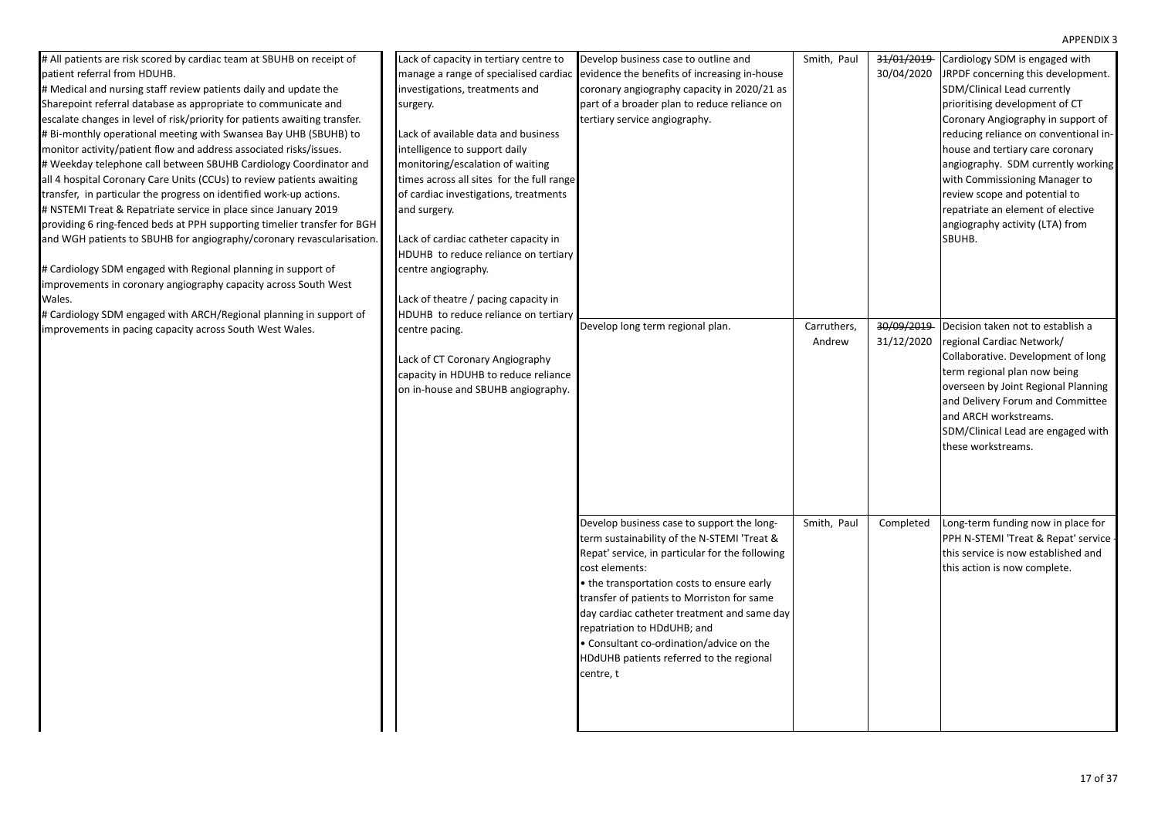#### Smith, Paul 31/01/2019 30/04/2020 Carruthers, Andrew 30/09/2019 31/12/2020 Smith, Paul Completed # All patients are risk scored by cardiac team at SBUHB on receipt of patient referral from HDUHB. # Medical and nursing staff review patients daily and update the Sharepoint referral database as appropriate to communicate and escalate changes in level of risk/priority for patients awaiting transfer. # Bi-monthly operational meeting with Swansea Bay UHB (SBUHB) to monitor activity/patient flow and address associated risks/issues. # Weekday telephone call between SBUHB Cardiology Coordinator and all 4 hospital Coronary Care Units (CCUs) to review patients awaiting transfer, in particular the progress on identified work-up actions. # NSTEMI Treat & Repatriate service in place since January 2019 providing 6 ring-fenced beds at PPH supporting timelier transfer for BGH and WGH patients to SBUHB for angiography/coronary revascularisation. # Cardiology SDM engaged with Regional planning in support of improvements in coronary angiography capacity across South West Wales. # Cardiology SDM engaged with ARCH/Regional planning in support of improvements in pacing capacity across South West Wales. Lack of capacity in tertiary centre to manage a range of specialised cardiac investigations, treatments and surgery. Lack of available data and business intelligence to support daily monitoring/escalation of waiting times across all sites for the full range of cardiac investigations, treatments and surgery. Lack of cardiac catheter capacity in HDUHB to reduce reliance on tertiary centre angiography. Lack of theatre / pacing capacity in HDUHB to reduce reliance on tertiary centre pacing. Lack of CT Coronary Angiography capacity in HDUHB to reduce reliance on in-house and SBUHB angiography. Develop business case to outline and evidence the benefits of increasing in-house coronary angiography capacity in 2020/21 as part of a broader plan to reduce reliance on tertiary service angiography. Cardiology SDM is engaged with JRPDF concerning this development. SDM/Clinical Lead currently prioritising development of CT Coronary Angiography in support of reducing reliance on conventional inhouse and tertiary care coronary angiography. SDM currently working with Commissioning Manager to review scope and potential to repatriate an element of elective angiography activity (LTA) from SBUHB. Develop long term regional plan. **Development and Carruthers, | 30/09/2019** Decision taken not to establish a regional Cardiac Network/ Collaborative. Development of long term regional plan now being overseen by Joint Regional Planning and Delivery Forum and Committee and ARCH workstreams. SDM/Clinical Lead are engaged with these workstreams. Develop business case to support the longterm sustainability of the N-STEMI 'Treat & Repat' service, in particular for the following cost elements: • the transportation costs to ensure early transfer of patients to Morriston for same day cardiac catheter treatment and same day repatriation to HDdUHB; and • Consultant co-ordination/advice on the HDdUHB patients referred to the regional centre, t Long-term funding now in place for PPH N-STEMI 'Treat & Repat' service this service is now established and this action is now complete.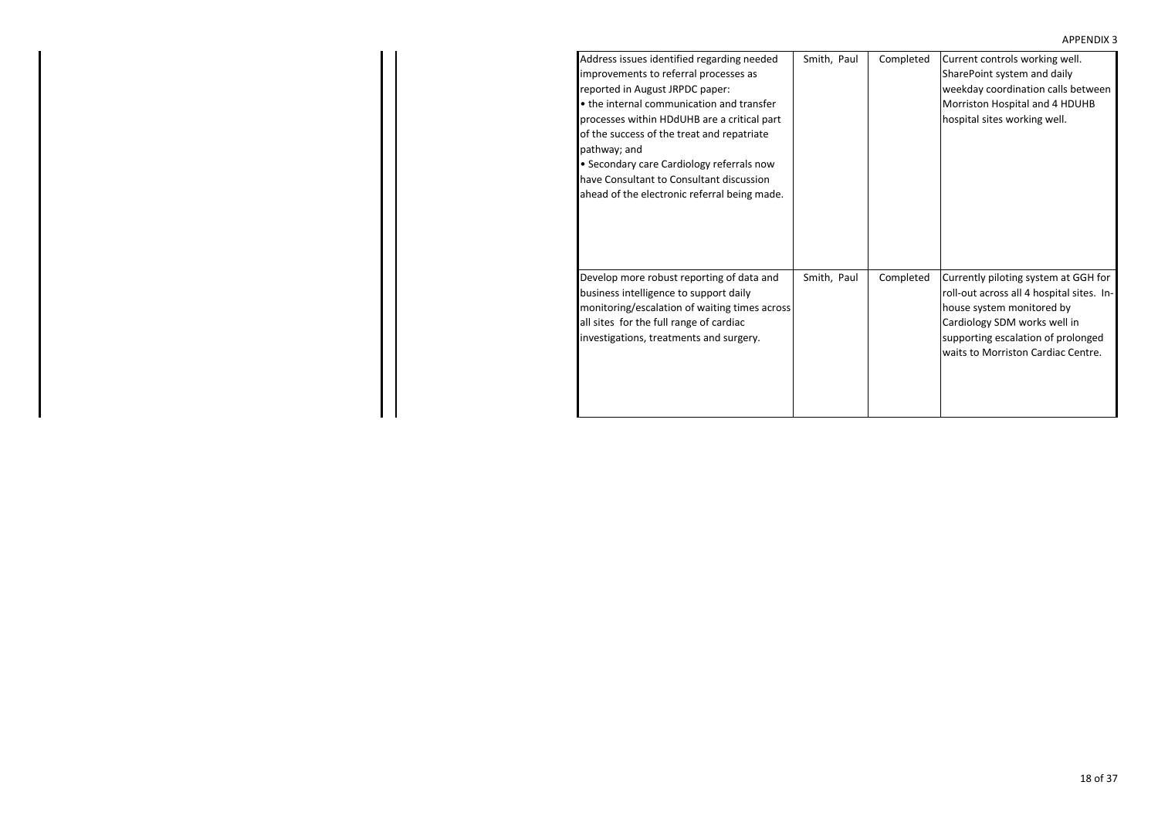| Address issues identified regarding needed    | Smith, Paul | Completed | Current controls working well.            |
|-----------------------------------------------|-------------|-----------|-------------------------------------------|
| improvements to referral processes as         |             |           | SharePoint system and daily               |
| reported in August JRPDC paper:               |             |           | weekday coordination calls between        |
| • the internal communication and transfer     |             |           | Morriston Hospital and 4 HDUHB            |
| processes within HDdUHB are a critical part   |             |           | hospital sites working well.              |
| of the success of the treat and repatriate    |             |           |                                           |
| pathway; and                                  |             |           |                                           |
| • Secondary care Cardiology referrals now     |             |           |                                           |
| have Consultant to Consultant discussion      |             |           |                                           |
| ahead of the electronic referral being made.  |             |           |                                           |
|                                               |             |           |                                           |
|                                               |             |           |                                           |
|                                               |             |           |                                           |
|                                               |             |           |                                           |
| Develop more robust reporting of data and     | Smith, Paul | Completed | Currently piloting system at GGH for      |
| business intelligence to support daily        |             |           | roll-out across all 4 hospital sites. In- |
| monitoring/escalation of waiting times across |             |           | house system monitored by                 |
| all sites for the full range of cardiac       |             |           | Cardiology SDM works well in              |
| investigations, treatments and surgery.       |             |           | supporting escalation of prolonged        |
|                                               |             |           | waits to Morriston Cardiac Centre.        |
|                                               |             |           |                                           |
|                                               |             |           |                                           |
|                                               |             |           |                                           |
|                                               |             |           |                                           |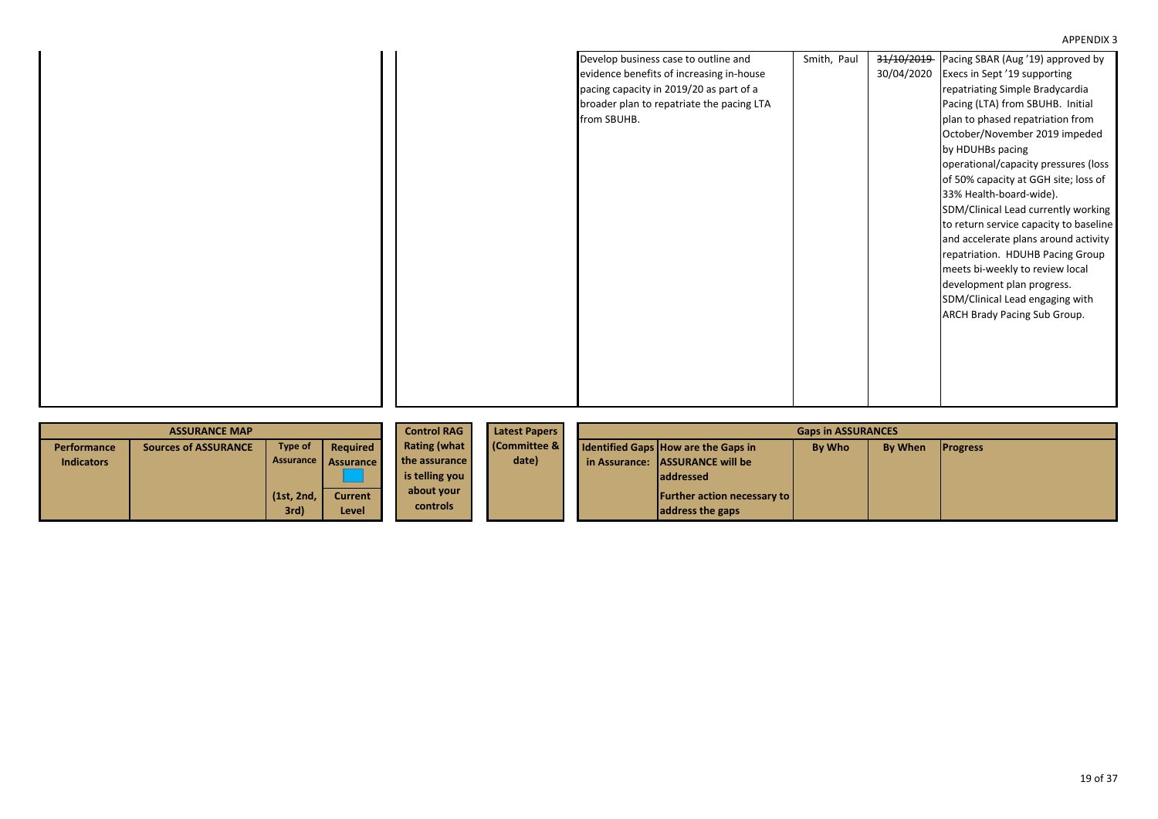|  | Develop business case to outline and<br>evidence benefits of increasing in-house<br>pacing capacity in 2019/20 as part of a<br>broader plan to repatriate the pacing LTA<br>from SBUHB. | Smith, Paul | 31/10/2019<br>30/04/2020 | Pacing SBAR (Aug '19) approved by<br>Execs in Sept '19 supporting<br>repatriating Simple Bradycardia<br>Pacing (LTA) from SBUHB. Initial<br>plan to phased repatriation from<br>October/November 2019 impeded<br>by HDUHBs pacing<br>operational/capacity pressures (loss<br>of 50% capacity at GGH site; loss of<br>33% Health-board-wide).<br>SDM/Clinical Lead currently working<br>to return service capacity to baseline<br>and accelerate plans around activity<br>repatriation. HDUHB Pacing Group<br>meets bi-weekly to review local<br>development plan progress.<br>SDM/Clinical Lead engaging with<br>ARCH Brady Pacing Sub Group. |
|--|-----------------------------------------------------------------------------------------------------------------------------------------------------------------------------------------|-------------|--------------------------|-----------------------------------------------------------------------------------------------------------------------------------------------------------------------------------------------------------------------------------------------------------------------------------------------------------------------------------------------------------------------------------------------------------------------------------------------------------------------------------------------------------------------------------------------------------------------------------------------------------------------------------------------|
|--|-----------------------------------------------------------------------------------------------------------------------------------------------------------------------------------------|-------------|--------------------------|-----------------------------------------------------------------------------------------------------------------------------------------------------------------------------------------------------------------------------------------------------------------------------------------------------------------------------------------------------------------------------------------------------------------------------------------------------------------------------------------------------------------------------------------------------------------------------------------------------------------------------------------------|

|                   | <b>ASSURANCE MAP</b>        | <b>Control RAG</b> | <b>Latest Papers</b> | <b>Gaps in ASSURANCES</b> |                        |  |                                            |        |         |                 |
|-------------------|-----------------------------|--------------------|----------------------|---------------------------|------------------------|--|--------------------------------------------|--------|---------|-----------------|
| Performance       | <b>Sources of ASSURANCE</b> | Type of            | Required             | <b>Rating (what</b>       | <b>Committee &amp;</b> |  | <b>Identified Gaps How are the Gaps in</b> | By Who | By When | <b>Progress</b> |
| <b>Indicators</b> |                             |                    | Assurance Assurance  | the assurance             | date)                  |  | in Assurance: LASSURANCE will be           |        |         |                 |
|                   |                             |                    |                      | is telling you            |                        |  | <b>laddressed</b>                          |        |         |                 |
|                   |                             | (1st, 2nd,         | <b>Current</b>       | about your                |                        |  | <b>Further action necessary to</b>         |        |         |                 |
|                   |                             | 3rd)               | Level                | <b>controls</b>           |                        |  | address the gaps                           |        |         |                 |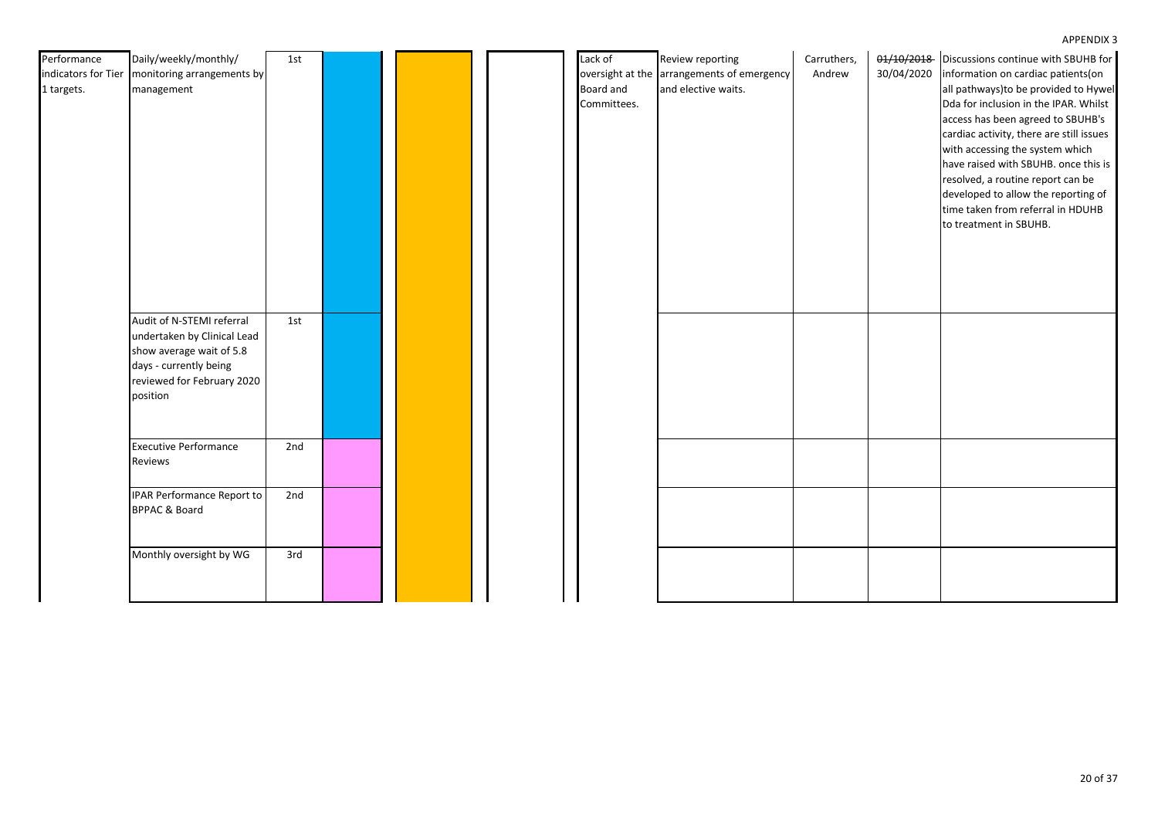| Performance<br>1 targets. | Daily/weekly/monthly/<br>indicators for Tier   monitoring arrangements by<br>management                                                                  | 1st |  | Lack of<br>Board and<br>Committees. | Review reporting<br>oversight at the arrangements of emergency<br>and elective waits. | Carruthers,<br>Andrew | 01/10/2018<br>30/04/2020 | Discussions continue with SBUHB for<br>information on cardiac patients (on<br>all pathways) to be provided to Hywel<br>Dda for inclusion in the IPAR. Whilst<br>access has been agreed to SBUHB's<br>cardiac activity, there are still issues<br>with accessing the system which<br>have raised with SBUHB. once this is<br>resolved, a routine report can be<br>developed to allow the reporting of<br>time taken from referral in HDUHB<br>to treatment in SBUHB. |
|---------------------------|----------------------------------------------------------------------------------------------------------------------------------------------------------|-----|--|-------------------------------------|---------------------------------------------------------------------------------------|-----------------------|--------------------------|---------------------------------------------------------------------------------------------------------------------------------------------------------------------------------------------------------------------------------------------------------------------------------------------------------------------------------------------------------------------------------------------------------------------------------------------------------------------|
|                           | Audit of N-STEMI referral<br>undertaken by Clinical Lead<br>show average wait of 5.8<br>days - currently being<br>reviewed for February 2020<br>position | 1st |  |                                     |                                                                                       |                       |                          |                                                                                                                                                                                                                                                                                                                                                                                                                                                                     |
|                           | <b>Executive Performance</b><br>Reviews                                                                                                                  | 2nd |  |                                     |                                                                                       |                       |                          |                                                                                                                                                                                                                                                                                                                                                                                                                                                                     |
|                           | <b>IPAR Performance Report to</b><br><b>BPPAC &amp; Board</b>                                                                                            | 2nd |  |                                     |                                                                                       |                       |                          |                                                                                                                                                                                                                                                                                                                                                                                                                                                                     |
|                           | Monthly oversight by WG                                                                                                                                  | 3rd |  |                                     |                                                                                       |                       |                          |                                                                                                                                                                                                                                                                                                                                                                                                                                                                     |

 $\sim$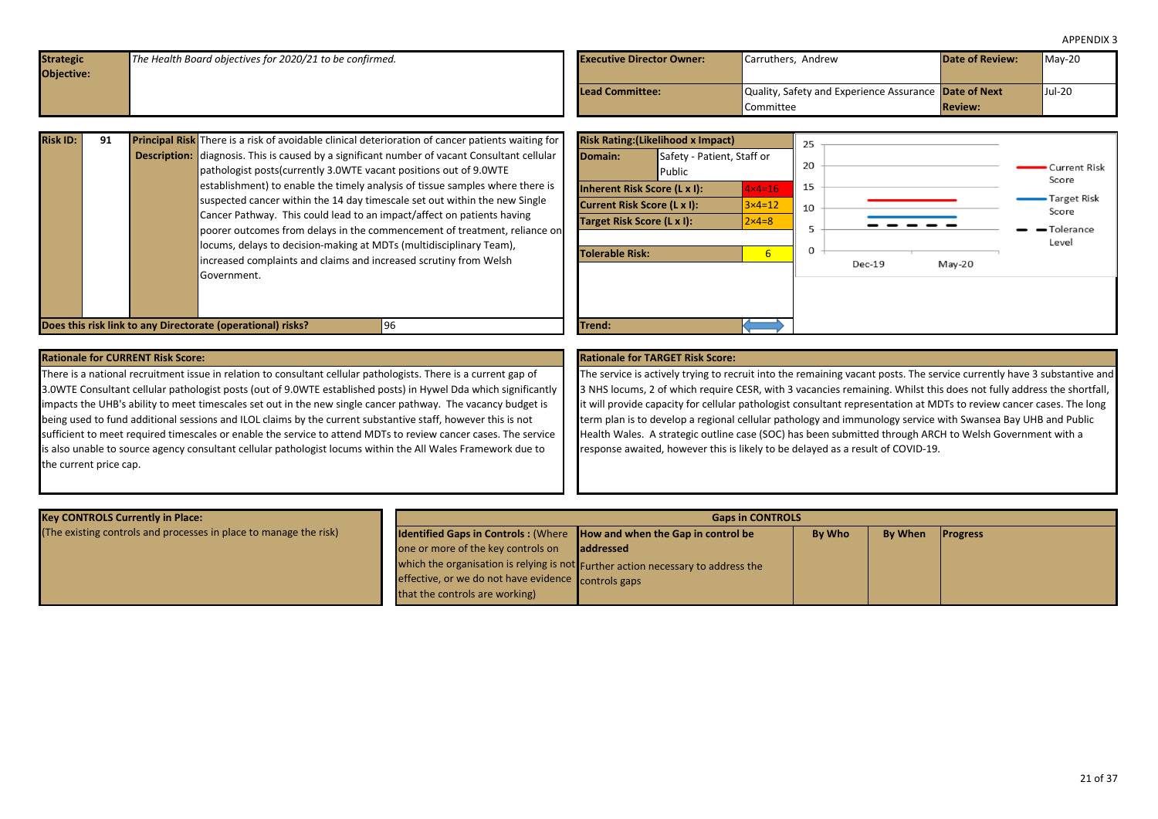<span id="page-20-0"></span>

| Jul-20<br>Quality, Safety and Experience Assurance Date of Next<br>Lead Committee:<br><b>Review:</b><br><b>Committee</b> | <b>Strategic</b> | The Health Board objectives for 2020/21 to be confirmed. | <b>Executive Director Owner:</b> | Carruthers, Andrew | <b>Date of Review:</b> | $Mav-20$ |
|--------------------------------------------------------------------------------------------------------------------------|------------------|----------------------------------------------------------|----------------------------------|--------------------|------------------------|----------|
|                                                                                                                          | Objective:       |                                                          |                                  |                    |                        |          |
|                                                                                                                          |                  |                                                          |                                  |                    |                        |          |
|                                                                                                                          |                  |                                                          |                                  |                    |                        |          |

| <b>Risk ID:</b> | 91 | <b>Principal Risk</b> There is a risk of avoidable clinical deterioration of cancer patients waiting for | <b>Risk Rating: (Like</b> |
|-----------------|----|----------------------------------------------------------------------------------------------------------|---------------------------|
|                 |    | <b>Description:</b> diagnosis. This is caused by a significant number of vacant Consultant cellular      | Domain:                   |
|                 |    | pathologist posts(currently 3.0WTE vacant positions out of 9.0WTE                                        |                           |
|                 |    | establishment) to enable the timely analysis of tissue samples where there is                            | <b>Inherent Risk Sco</b>  |
|                 |    | suspected cancer within the 14 day timescale set out within the new Single                               | <b>Current Risk Sco</b>   |
|                 |    | Cancer Pathway. This could lead to an impact/affect on patients having                                   | <b>Target Risk Score</b>  |
|                 |    | poorer outcomes from delays in the commencement of treatment, reliance on                                |                           |
|                 |    | locums, delays to decision-making at MDTs (multidisciplinary Team),                                      | <b>Tolerable Risk:</b>    |
|                 |    | increased complaints and claims and increased scrutiny from Welsh                                        |                           |
|                 |    | Government.                                                                                              |                           |
|                 |    |                                                                                                          |                           |
|                 |    |                                                                                                          |                           |
|                 |    | Does this risk link to any Directorate (operational) risks?<br>96                                        | Trend:                    |



There is a national recruitment issue in relation to consultant cellular pathologists. There is a current gap of 3.0WTE Consultant cellular pathologist posts (out of 9.0WTE established posts) in Hywel Dda which significantly impacts the UHB's ability to meet timescales set out in the new single cancer pathway. The vacancy budget is being used to fund additional sessions and ILOL claims by the current substantive staff, however this is not sufficient to meet required timescales or enable the service to attend MDTs to review cancer cases. The service is also unable to source agency consultant cellular pathologist locums within the All Wales Framework due to the current price cap.

#### **Rationale for TARGET Risk Score:**

The service is actively trying to recruit into the remaining vacant posts. The service currently have 3 substantive and 3 NHS locums, 2 of which require CESR, with 3 vacancies remaining. Whilst this does not fully address the shortfall, it will provide capacity for cellular pathologist consultant representation at MDTs to review cancer cases. The long term plan is to develop a regional cellular pathology and immunology service with Swansea Bay UHB and Public Health Wales. A strategic outline case (SOC) has been submitted through ARCH to Welsh Government with a response awaited, however this is likely to be delayed as a result of COVID-19.

| <b>Key CONTROLS Currently in Place:</b>                           | <b>Gaps in CONTROLS</b>                                                              |                                                                                  |               |                |                 |  |  |  |
|-------------------------------------------------------------------|--------------------------------------------------------------------------------------|----------------------------------------------------------------------------------|---------------|----------------|-----------------|--|--|--|
| (The existing controls and processes in place to manage the risk) | <b>Identified Gaps in Controls:</b> (Where <b>How and when the Gap in control be</b> |                                                                                  | <b>By Who</b> | <b>By When</b> | <b>Progress</b> |  |  |  |
|                                                                   | one or more of the key controls on                                                   | <b>laddressed</b>                                                                |               |                |                 |  |  |  |
|                                                                   |                                                                                      | which the organisation is relying is not Further action necessary to address the |               |                |                 |  |  |  |
|                                                                   | effective, or we do not have evidence controls gaps                                  |                                                                                  |               |                |                 |  |  |  |
|                                                                   | that the controls are working)                                                       |                                                                                  |               |                |                 |  |  |  |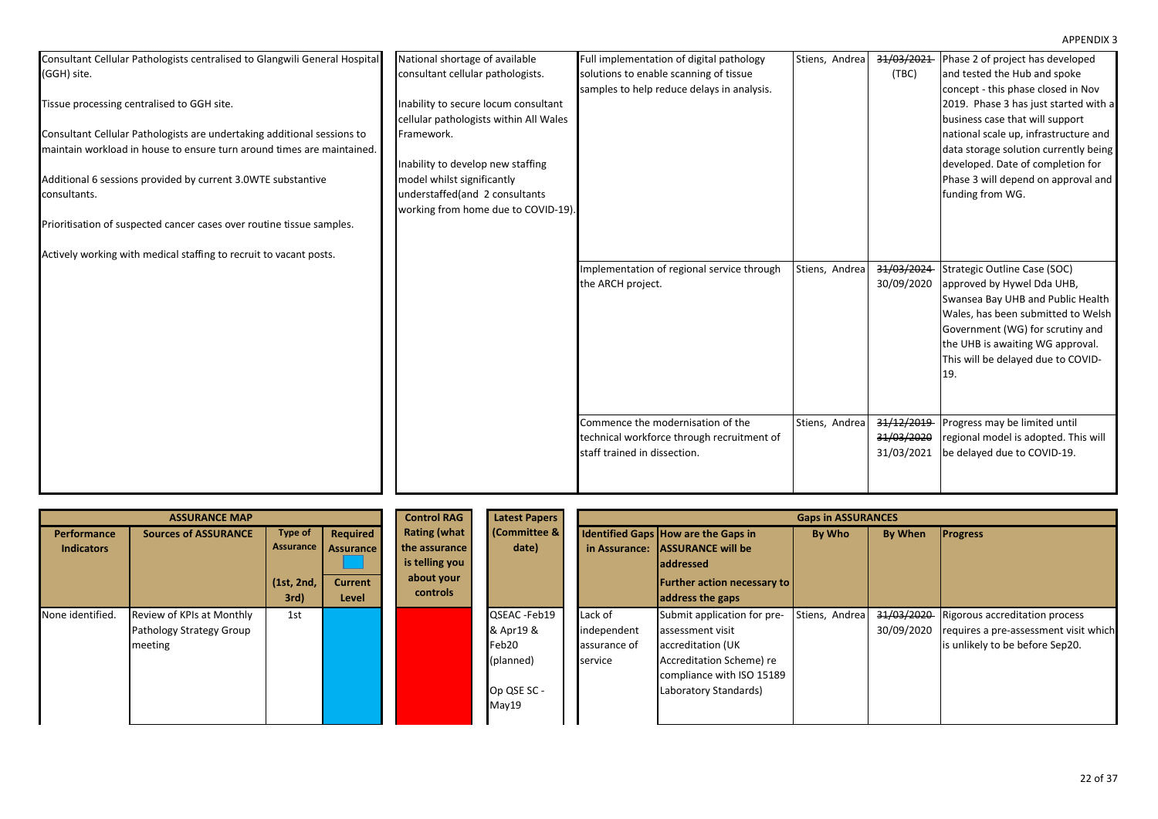| Consultant Cellular Pathologists centralised to Glangwili General Hospital<br>(GGH) site.                                                         | National shortage of available<br>consultant cellular pathologists.                                 | Full implementation of digital pathology<br>solutions to enable scanning of tissue                              | Stiens, Andrea | 31/03/2021<br>(TBC)                    | Phase 2 of project has developed<br>and tested the Hub and spoke                                                                                                                                                                                           |
|---------------------------------------------------------------------------------------------------------------------------------------------------|-----------------------------------------------------------------------------------------------------|-----------------------------------------------------------------------------------------------------------------|----------------|----------------------------------------|------------------------------------------------------------------------------------------------------------------------------------------------------------------------------------------------------------------------------------------------------------|
| Tissue processing centralised to GGH site.                                                                                                        | Inability to secure locum consultant<br>cellular pathologists within All Wales                      | samples to help reduce delays in analysis.                                                                      |                |                                        | concept - this phase closed in Nov<br>2019. Phase 3 has just started with a<br>business case that will support                                                                                                                                             |
| Consultant Cellular Pathologists are undertaking additional sessions to<br>maintain workload in house to ensure turn around times are maintained. | Framework.                                                                                          |                                                                                                                 |                |                                        | national scale up, infrastructure and<br>data storage solution currently being                                                                                                                                                                             |
|                                                                                                                                                   | Inability to develop new staffing                                                                   |                                                                                                                 |                |                                        | developed. Date of completion for                                                                                                                                                                                                                          |
| Additional 6 sessions provided by current 3.0WTE substantive<br>consultants.                                                                      | model whilst significantly<br>understaffed(and 2 consultants<br>working from home due to COVID-19). |                                                                                                                 |                |                                        | Phase 3 will depend on approval and<br>funding from WG.                                                                                                                                                                                                    |
| Prioritisation of suspected cancer cases over routine tissue samples.                                                                             |                                                                                                     |                                                                                                                 |                |                                        |                                                                                                                                                                                                                                                            |
| Actively working with medical staffing to recruit to vacant posts.                                                                                |                                                                                                     |                                                                                                                 |                |                                        |                                                                                                                                                                                                                                                            |
|                                                                                                                                                   |                                                                                                     | Implementation of regional service through<br>the ARCH project.                                                 | Stiens, Andrea | 31/03/2024<br>30/09/2020               | Strategic Outline Case (SOC)<br>approved by Hywel Dda UHB,<br>Swansea Bay UHB and Public Health<br>Wales, has been submitted to Welsh<br>Government (WG) for scrutiny and<br>the UHB is awaiting WG approval.<br>This will be delayed due to COVID-<br>19. |
|                                                                                                                                                   |                                                                                                     | Commence the modernisation of the<br>technical workforce through recruitment of<br>staff trained in dissection. | Stiens, Andrea | 31/12/2019<br>31/03/2020<br>31/03/2021 | Progress may be limited until<br>regional model is adopted. This will<br>be delayed due to COVID-19.                                                                                                                                                       |

|                                         | <b>ASSURANCE MAP</b>                                             |                                            |                                                         | <b>Control RAG</b>                                                               | <b>Latest Papers</b>                                                   |                                                   |                                                                                                                                                        | <b>Gaps in ASSURANCES</b> |                |                                                                                                                       |
|-----------------------------------------|------------------------------------------------------------------|--------------------------------------------|---------------------------------------------------------|----------------------------------------------------------------------------------|------------------------------------------------------------------------|---------------------------------------------------|--------------------------------------------------------------------------------------------------------------------------------------------------------|---------------------------|----------------|-----------------------------------------------------------------------------------------------------------------------|
| <b>Performance</b><br><b>Indicators</b> | <b>Sources of ASSURANCE</b>                                      | Type of<br>Assurance<br>(1st, 2nd,<br>3rd) | Required<br><b>Assurance</b><br><b>Current</b><br>Level | <b>Rating (what</b><br>the assurance<br>is telling you<br>about your<br>controls | <b>Committee &amp;</b><br>date)                                        |                                                   | Identified Gaps How are the Gaps in<br>in Assurance: ASSURANCE will be<br><b>laddressed</b><br><b>Further action necessary to</b><br>address the gaps  | By Who                    | <b>By When</b> | <b>Progress</b>                                                                                                       |
| None identified.                        | Review of KPIs at Monthly<br>Pathology Strategy Group<br>meeting | 1st                                        |                                                         |                                                                                  | QSEAC-Feb19<br>& Apr19 &<br>Feb20<br>(planned)<br>Op QSE SC -<br>May19 | Lack of<br>independent<br>assurance of<br>service | Submit application for pre-<br>assessment visit<br>accreditation (UK<br>Accreditation Scheme) re<br>compliance with ISO 15189<br>Laboratory Standards) | Stiens, Andrea            | 30/09/2020     | 31/03/2020 Rigorous accreditation process<br>requires a pre-assessment visit which<br>is unlikely to be before Sep20. |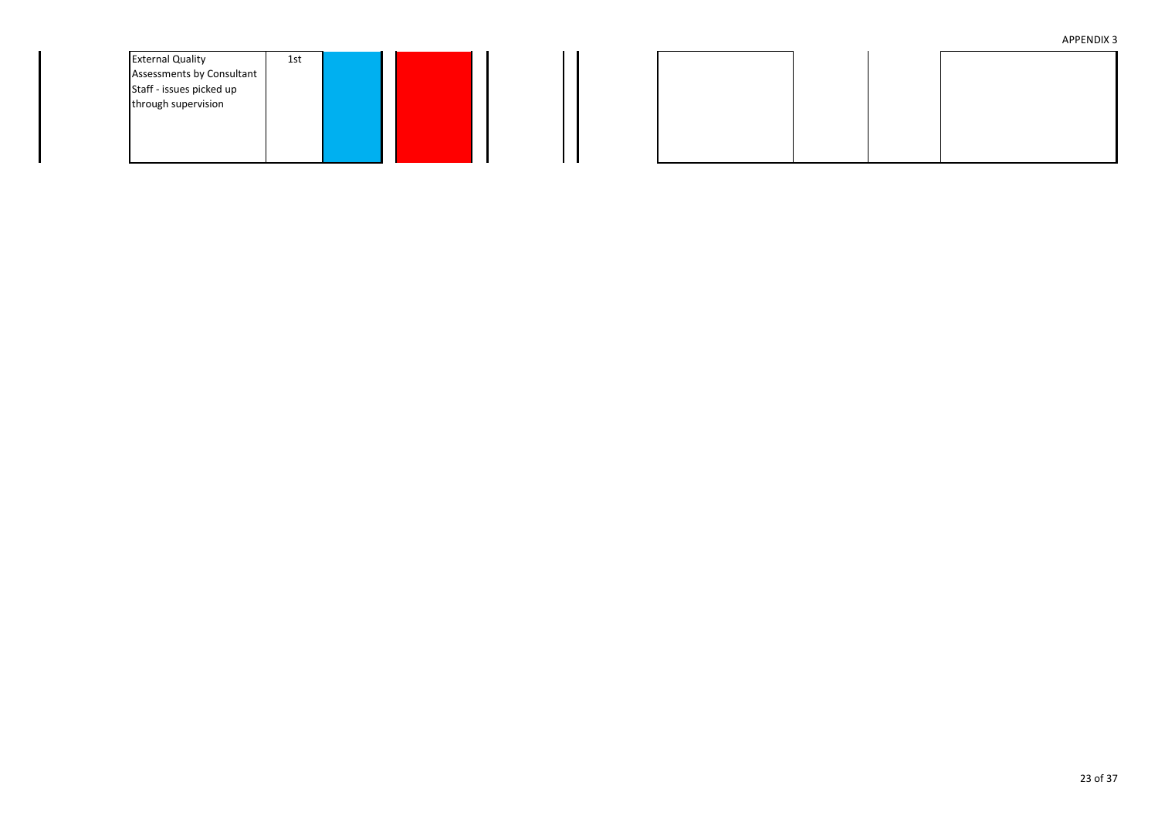| <b>External Quality</b>   | 1st |  |  |  |
|---------------------------|-----|--|--|--|
| Assessments by Consultant |     |  |  |  |
| Staff - issues picked up  |     |  |  |  |
| through supervision       |     |  |  |  |
|                           |     |  |  |  |
|                           |     |  |  |  |
|                           |     |  |  |  |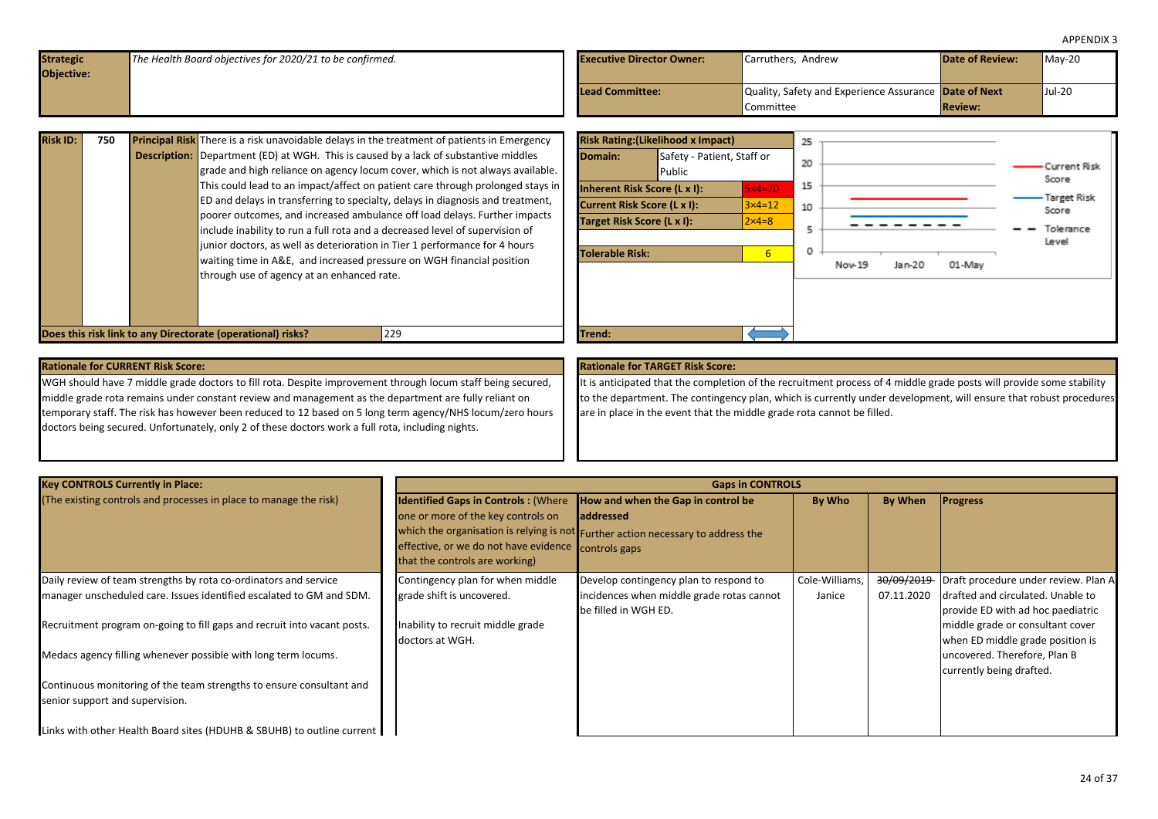<span id="page-23-0"></span>

| <b>Strategic</b> | The Health Board objectives for 2020/21 to be confirmed. | <b>Executive Director Owner:</b> | Carruthers, Andrew                                    | <b>Date of Review:</b> | $May-20$ |
|------------------|----------------------------------------------------------|----------------------------------|-------------------------------------------------------|------------------------|----------|
| Objective:       |                                                          |                                  |                                                       |                        |          |
|                  |                                                          | Lead Committee:                  | Quality, Safety and Experience Assurance Date of Next |                        | Jul-20   |
|                  |                                                          |                                  | Committee                                             | <b>Review:</b>         |          |
|                  |                                                          |                                  |                                                       |                        |          |

| <b>Risk ID:</b> | 750 | Principal Risk There is a risk unavoidable delays in the treatment of patients in Emergency | Risk |
|-----------------|-----|---------------------------------------------------------------------------------------------|------|
|                 |     | <b>Description:</b> Department (ED) at WGH. This is caused by a lack of substantive middles | Don  |
|                 |     | grade and high reliance on agency locum cover, which is not always available.               |      |
|                 |     | This could lead to an impact/affect on patient care through prolonged stays in              | Inhe |
|                 |     | ED and delays in transferring to specialty, delays in diagnosis and treatment,              | Curi |
|                 |     | poorer outcomes, and increased ambulance off load delays. Further impacts                   | Targ |
|                 |     | include inability to run a full rota and a decreased level of supervision of                |      |
|                 |     | junior doctors, as well as deterioration in Tier 1 performance for 4 hours                  | Tole |
|                 |     | waiting time in A&E, and increased pressure on WGH financial position                       |      |
|                 |     | through use of agency at an enhanced rate.                                                  |      |
|                 |     |                                                                                             |      |
|                 |     |                                                                                             |      |
|                 |     |                                                                                             |      |



WGH should have 7 middle grade doctors to fill rota. Despite improvement through locum staff being secured, middle grade rota remains under constant review and management as the department are fully reliant on temporary staff. The risk has however been reduced to 12 based on 5 long term agency/NHS locum/zero hours doctors being secured. Unfortunately, only 2 of these doctors work a full rota, including nights.

#### **Rationale for TARGET Risk Score:**

It is anticipated that the completion of the recruitment process of 4 middle grade posts will provide some stability to the department. The contingency plan, which is currently under development, will ensure that robust procedures are in place in the event that the middle grade rota cannot be filled.

| <b>Key CONTROLS Currently in Place:</b>                                                                                                                                                                                                                                                                                                                                                                                                                                     | <b>Gaps in CONTROLS</b>                                                                                                                                                   |                                                                                                                                      |                          |                                     |                                                                                                                                                                                                                                                    |  |  |
|-----------------------------------------------------------------------------------------------------------------------------------------------------------------------------------------------------------------------------------------------------------------------------------------------------------------------------------------------------------------------------------------------------------------------------------------------------------------------------|---------------------------------------------------------------------------------------------------------------------------------------------------------------------------|--------------------------------------------------------------------------------------------------------------------------------------|--------------------------|-------------------------------------|----------------------------------------------------------------------------------------------------------------------------------------------------------------------------------------------------------------------------------------------------|--|--|
| (The existing controls and processes in place to manage the risk)                                                                                                                                                                                                                                                                                                                                                                                                           | <b>Identified Gaps in Controls: (Where</b><br>one or more of the key controls on<br>effective, or we do not have evidence controls gaps<br>that the controls are working) | How and when the Gap in control be<br>laddressed<br>which the organisation is relying is not Further action necessary to address the | By Who                   | <b>By When</b>                      | <b>Progress</b>                                                                                                                                                                                                                                    |  |  |
| Daily review of team strengths by rota co-ordinators and service<br>manager unscheduled care. Issues identified escalated to GM and SDM.<br>Recruitment program on-going to fill gaps and recruit into vacant posts.<br>Medacs agency filling whenever possible with long term locums.<br>Continuous monitoring of the team strengths to ensure consultant and<br>senior support and supervision.<br>Links with other Health Board sites (HDUHB & SBUHB) to outline current | Contingency plan for when middle<br>grade shift is uncovered.<br>Inability to recruit middle grade<br>doctors at WGH.                                                     | Develop contingency plan to respond to<br>incidences when middle grade rotas cannot<br>be filled in WGH ED.                          | Cole-Williams,<br>Janice | <del>30/09/2019</del><br>07.11.2020 | Draft procedure under review. Plan A<br>drafted and circulated. Unable to<br>provide ED with ad hoc paediatric<br>middle grade or consultant cover<br>when ED middle grade position is<br>uncovered. Therefore, Plan B<br>currently being drafted. |  |  |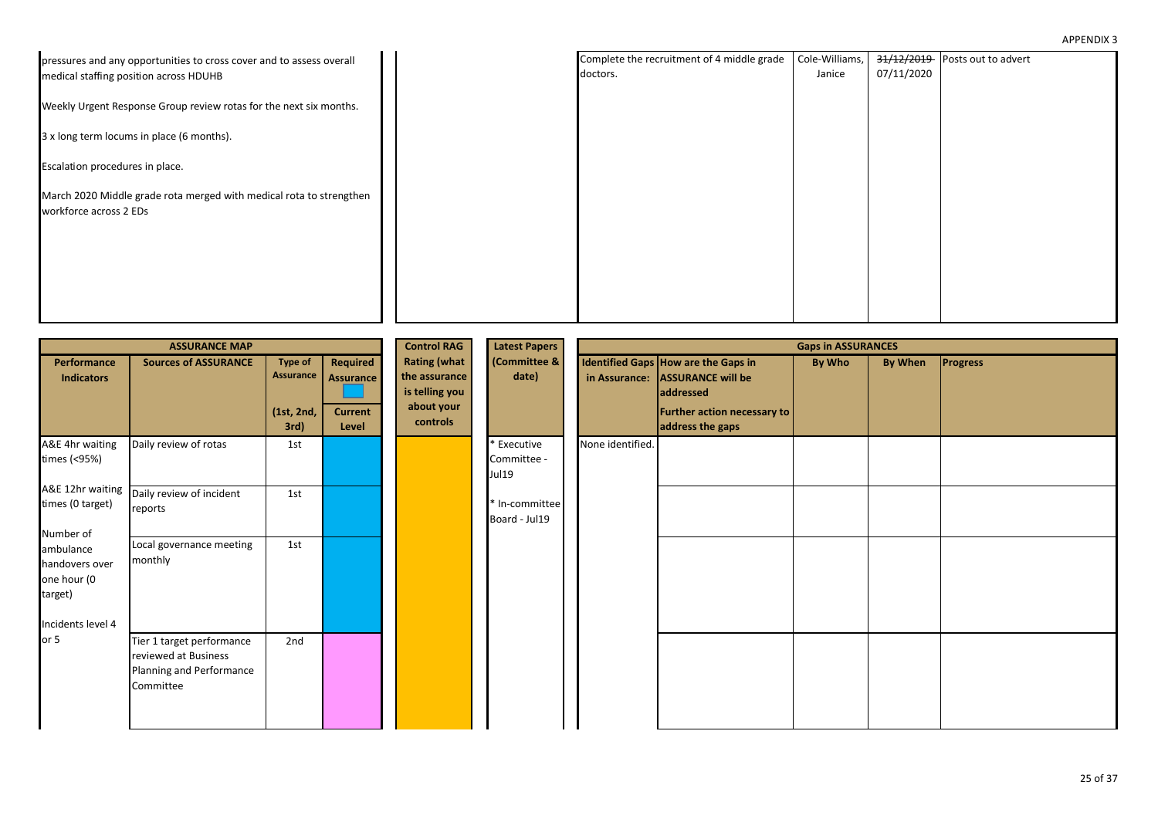| pressures and any opportunities to cross cover and to assess overall   |                     |                         | Complete the recruitment of 4 middle grade | Cole-Williams,            |            | $31/12/2019$ Posts out to advert |
|------------------------------------------------------------------------|---------------------|-------------------------|--------------------------------------------|---------------------------|------------|----------------------------------|
| medical staffing position across HDUHB                                 |                     |                         | doctors.                                   | Janice                    | 07/11/2020 |                                  |
| Weekly Urgent Response Group review rotas for the next six months.     |                     |                         |                                            |                           |            |                                  |
| 3 x long term locums in place (6 months).                              |                     |                         |                                            |                           |            |                                  |
| Escalation procedures in place.                                        |                     |                         |                                            |                           |            |                                  |
| March 2020 Middle grade rota merged with medical rota to strengthen    |                     |                         |                                            |                           |            |                                  |
| workforce across 2 EDs                                                 |                     |                         |                                            |                           |            |                                  |
|                                                                        |                     |                         |                                            |                           |            |                                  |
|                                                                        |                     |                         |                                            |                           |            |                                  |
|                                                                        |                     |                         |                                            |                           |            |                                  |
|                                                                        |                     |                         |                                            |                           |            |                                  |
|                                                                        |                     |                         |                                            |                           |            |                                  |
| <b>ASSURANCE MAP</b>                                                   | <b>Control RAG</b>  | <b>Latest Papers</b>    |                                            | <b>Gaps in ASSURANCES</b> |            |                                  |
| Type of $\ $<br><b>Sources of ASSURANCE</b><br>Required<br>Performance | <b>Rating (what</b> | <b>(Committee &amp;</b> | <b>Identified Gaps How are the Gaps in</b> | By Who                    | By When    | Progress                         |

|                                                                            | <b>ASSURANCE IVIAP</b>                                                                     |                                                   |                                                  | <b>CONTOL RAG</b>                                                                | Latest Papers                       |                  | <b>UADS IN ASSURANCES</b>                                                                                                |        |                |                 |
|----------------------------------------------------------------------------|--------------------------------------------------------------------------------------------|---------------------------------------------------|--------------------------------------------------|----------------------------------------------------------------------------------|-------------------------------------|------------------|--------------------------------------------------------------------------------------------------------------------------|--------|----------------|-----------------|
| Performance<br><b>Indicators</b>                                           | <b>Sources of ASSURANCE</b>                                                                | <b>Type of</b><br>Assurance<br>(1st, 2nd,<br>3rd) | Required<br>Assurance<br><b>Current</b><br>Level | <b>Rating (what</b><br>the assurance<br>is telling you<br>about your<br>controls | (Committee &<br>date)               | in Assurance:    | Identified Gaps How are the Gaps in<br>ASSURANCE will be<br>addressed<br>Further action necessary to<br>address the gaps | By Who | <b>By When</b> | <b>Progress</b> |
| A&E 4hr waiting<br>times (<95%)                                            | Daily review of rotas                                                                      | 1st                                               |                                                  |                                                                                  | * Executive<br>Committee -<br>Jul19 | None identified. |                                                                                                                          |        |                |                 |
| times (0 target)<br>Number of                                              | A&E 12hr waiting Daily review of incident<br>reports                                       | 1st                                               |                                                  |                                                                                  | * In-committee<br>Board - Jul19     |                  |                                                                                                                          |        |                |                 |
| ambulance<br>handovers over<br>one hour (0<br>target)<br>Incidents level 4 | Local governance meeting<br>monthly                                                        | 1st                                               |                                                  |                                                                                  |                                     |                  |                                                                                                                          |        |                |                 |
| or 5                                                                       | Tier 1 target performance<br>reviewed at Business<br>Planning and Performance<br>Committee | 2nd                                               |                                                  |                                                                                  |                                     |                  |                                                                                                                          |        |                |                 |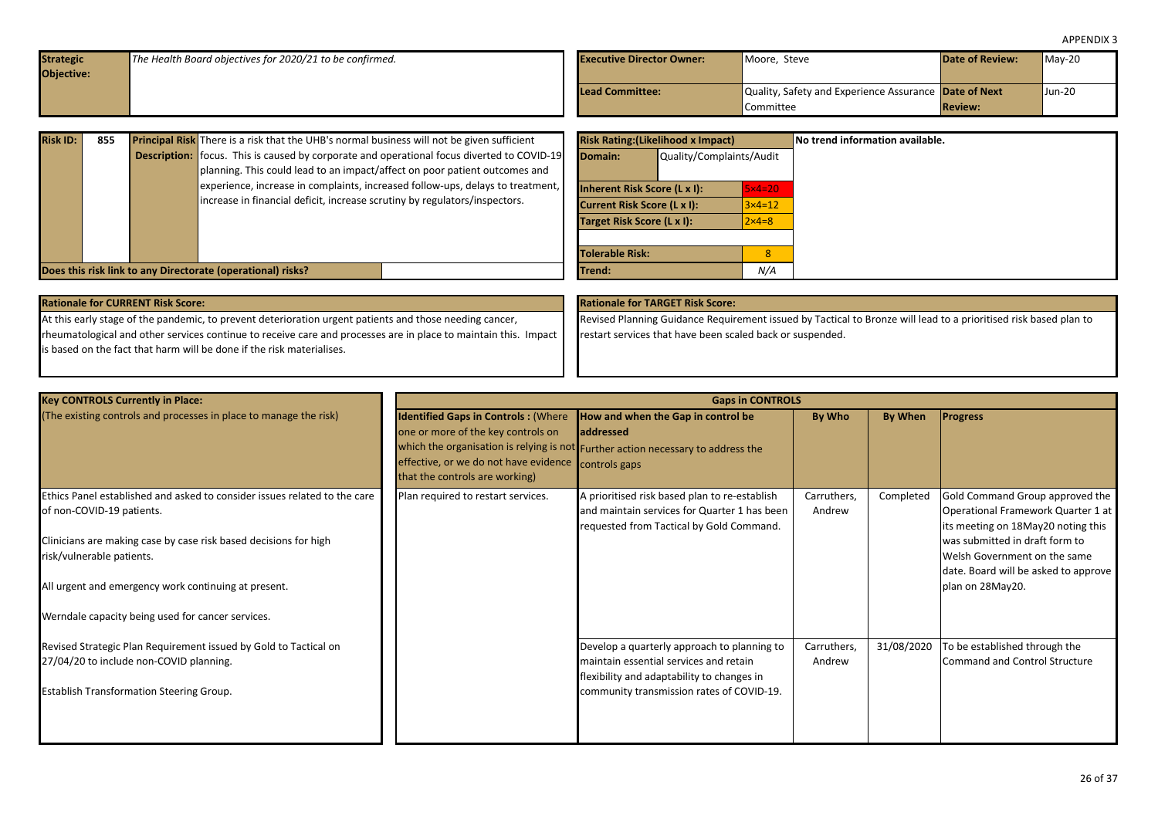<span id="page-25-0"></span>

| <b>Strategic</b> |     | The Health Board objectives for 2020/21 to be confirmed.                                          | <b>Executive Director Owner:</b>          | Moore. Steve                                          | <b>Date of Review:</b> | $Mav-20$ |
|------------------|-----|---------------------------------------------------------------------------------------------------|-------------------------------------------|-------------------------------------------------------|------------------------|----------|
| Objective:       |     |                                                                                                   |                                           |                                                       |                        |          |
|                  |     |                                                                                                   | Lead Committee:                           | Quality, Safety and Experience Assurance Date of Next |                        | Jun-20   |
|                  |     |                                                                                                   |                                           | Committee                                             | <b>Review:</b>         |          |
|                  |     |                                                                                                   |                                           |                                                       |                        |          |
| <b>Risk ID:</b>  | 855 | <b>Principal Risk</b> There is a risk that the UHB's normal business will not be given sufficient | <b>Risk Rating: (Likelihood x Impact)</b> | No trend information available.                       |                        |          |

| <b>Risk ID:</b> | 855 | <b>Principal Risk</b> There is a risk that the UHB's normal business will not be given sufficient |                                    | <b>Risk Rating: (Likelihood x Impact)</b> |                | <b>No trend information available.</b> |
|-----------------|-----|---------------------------------------------------------------------------------------------------|------------------------------------|-------------------------------------------|----------------|----------------------------------------|
|                 |     | <b>Description:</b> focus. This is caused by corporate and operational focus diverted to COVID-19 | Domain:                            | Quality/Complaints/Audit                  |                |                                        |
|                 |     | planning. This could lead to an impact/affect on poor patient outcomes and                        |                                    |                                           |                |                                        |
|                 |     | experience, increase in complaints, increased follow-ups, delays to treatment,                    | Inherent Risk Score (L x I):       |                                           | $5\times 4=20$ |                                        |
|                 |     | increase in financial deficit, increase scrutiny by regulators/inspectors.                        | <b>Current Risk Score (L x I):</b> |                                           | $3\times 4=12$ |                                        |
|                 |     |                                                                                                   | Target Risk Score (L x I):         |                                           | $2\times 4=8$  |                                        |
|                 |     |                                                                                                   |                                    |                                           |                |                                        |
|                 |     |                                                                                                   | <b>Tolerable Risk:</b>             |                                           |                |                                        |
|                 |     | Does this risk link to any Directorate (operational) risks?                                       | lTrend:                            |                                           | N/A            |                                        |

| <b>Rationale for CURRENT Risk Score:</b>                                                                         | <b>Rationale for TARGET Risk Score:</b>                                                                          |
|------------------------------------------------------------------------------------------------------------------|------------------------------------------------------------------------------------------------------------------|
| At this early stage of the pandemic, to prevent deterioration urgent patients and those needing cancer,          | Revised Planning Guidance Requirement issued by Tactical to Bronze will lead to a prioritised risk based plan to |
| Irheumatological and other services continue to receive care and processes are in place to maintain this. Impact | restart services that have been scaled back or suspended.                                                        |
| is based on the fact that harm will be done if the risk materialises.                                            |                                                                                                                  |
|                                                                                                                  |                                                                                                                  |

| <b>Key CONTROLS Currently in Place:</b>                                   |                                                                                                                                                             | <b>Gaps in CONTROLS</b>                                                                                                                                     |             |            |                                                                          |
|---------------------------------------------------------------------------|-------------------------------------------------------------------------------------------------------------------------------------------------------------|-------------------------------------------------------------------------------------------------------------------------------------------------------------|-------------|------------|--------------------------------------------------------------------------|
| (The existing controls and processes in place to manage the risk)         | <b>Identified Gaps in Controls: (Where</b><br>one or more of the key controls on<br>effective, or we do not have evidence<br>that the controls are working) | How and when the Gap in control be<br><b>addressed</b><br>which the organisation is relying is not Further action necessary to address the<br>controls gaps | By Who      | By When    | <b>Progress</b>                                                          |
| Ethics Panel established and asked to consider issues related to the care | Plan required to restart services.                                                                                                                          | A prioritised risk based plan to re-establish                                                                                                               | Carruthers, | Completed  | Gold Command Group approved the                                          |
| of non-COVID-19 patients.                                                 |                                                                                                                                                             | and maintain services for Quarter 1 has been<br>requested from Tactical by Gold Command.                                                                    | Andrew      |            | Operational Framework Quarter 1 at<br>its meeting on 18May20 noting this |
| Clinicians are making case by case risk based decisions for high          |                                                                                                                                                             |                                                                                                                                                             |             |            | was submitted in draft form to                                           |
| risk/vulnerable patients.                                                 |                                                                                                                                                             |                                                                                                                                                             |             |            | Welsh Government on the same<br>date. Board will be asked to approve     |
| All urgent and emergency work continuing at present.                      |                                                                                                                                                             |                                                                                                                                                             |             |            | plan on 28May20.                                                         |
| Werndale capacity being used for cancer services.                         |                                                                                                                                                             |                                                                                                                                                             |             |            |                                                                          |
| Revised Strategic Plan Requirement issued by Gold to Tactical on          |                                                                                                                                                             | Develop a quarterly approach to planning to                                                                                                                 | Carruthers, | 31/08/2020 | To be established through the                                            |
| 27/04/20 to include non-COVID planning.                                   |                                                                                                                                                             | maintain essential services and retain<br>flexibility and adaptability to changes in                                                                        | Andrew      |            | <b>Command and Control Structure</b>                                     |
| <b>Establish Transformation Steering Group.</b>                           |                                                                                                                                                             | community transmission rates of COVID-19.                                                                                                                   |             |            |                                                                          |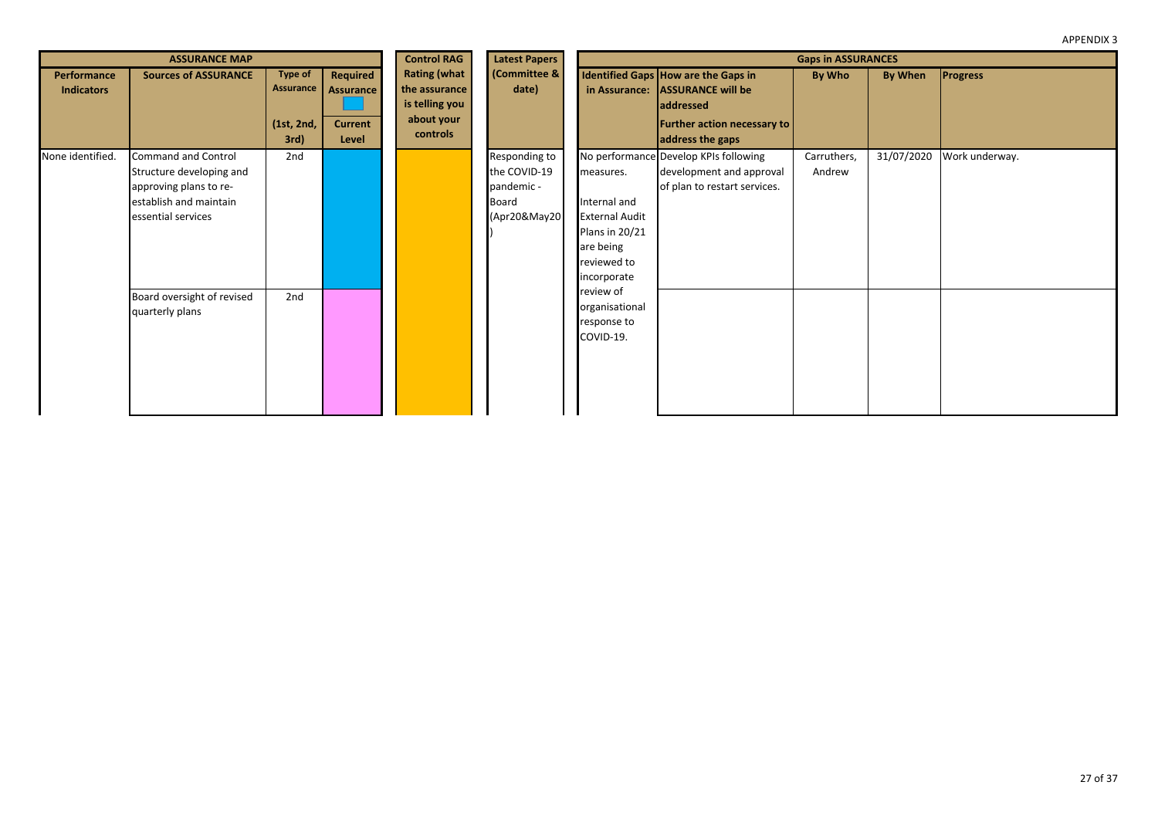| <b>APPENDIX 3</b> |  |
|-------------------|--|
|-------------------|--|

|                                  | <b>ASSURANCE MAP</b>                                                                                                             |                                                   |                                                         | <b>Control RAG</b>                                                               | <b>Latest Papers</b>                                                 |                                                                                                                        |                                                                                                                                 | <b>Gaps in ASSURANCES</b> |            |                 |
|----------------------------------|----------------------------------------------------------------------------------------------------------------------------------|---------------------------------------------------|---------------------------------------------------------|----------------------------------------------------------------------------------|----------------------------------------------------------------------|------------------------------------------------------------------------------------------------------------------------|---------------------------------------------------------------------------------------------------------------------------------|---------------------------|------------|-----------------|
| Performance<br><b>Indicators</b> | <b>Sources of ASSURANCE</b>                                                                                                      | <b>Type of</b><br>Assurance<br>(1st, 2nd,<br>3rd) | <b>Required</b><br>Assurance<br><b>Current</b><br>Level | <b>Rating (what</b><br>the assurance<br>is telling you<br>about your<br>controls | (Committee &<br>date)                                                | in Assurance:                                                                                                          | Identified Gaps How are the Gaps in<br><b>ASSURANCE will be</b><br>addressed<br>Further action necessary to<br>address the gaps | By Who                    | By When    | <b>Progress</b> |
| None identified.                 | <b>Command and Control</b><br>Structure developing and<br>approving plans to re-<br>establish and maintain<br>essential services | 2nd                                               |                                                         |                                                                                  | Responding to<br>the COVID-19<br>pandemic -<br>Board<br>(Apr20&May20 | measures.<br>Internal and<br><b>External Audit</b><br><b>Plans in 20/21</b><br>are being<br>reviewed to<br>incorporate | No performance Develop KPIs following<br>development and approval<br>of plan to restart services.                               | Carruthers,<br>Andrew     | 31/07/2020 | Work underway.  |
|                                  | Board oversight of revised<br>quarterly plans                                                                                    | 2nd                                               |                                                         |                                                                                  |                                                                      | review of<br>organisational<br>response to<br>COVID-19.                                                                |                                                                                                                                 |                           |            |                 |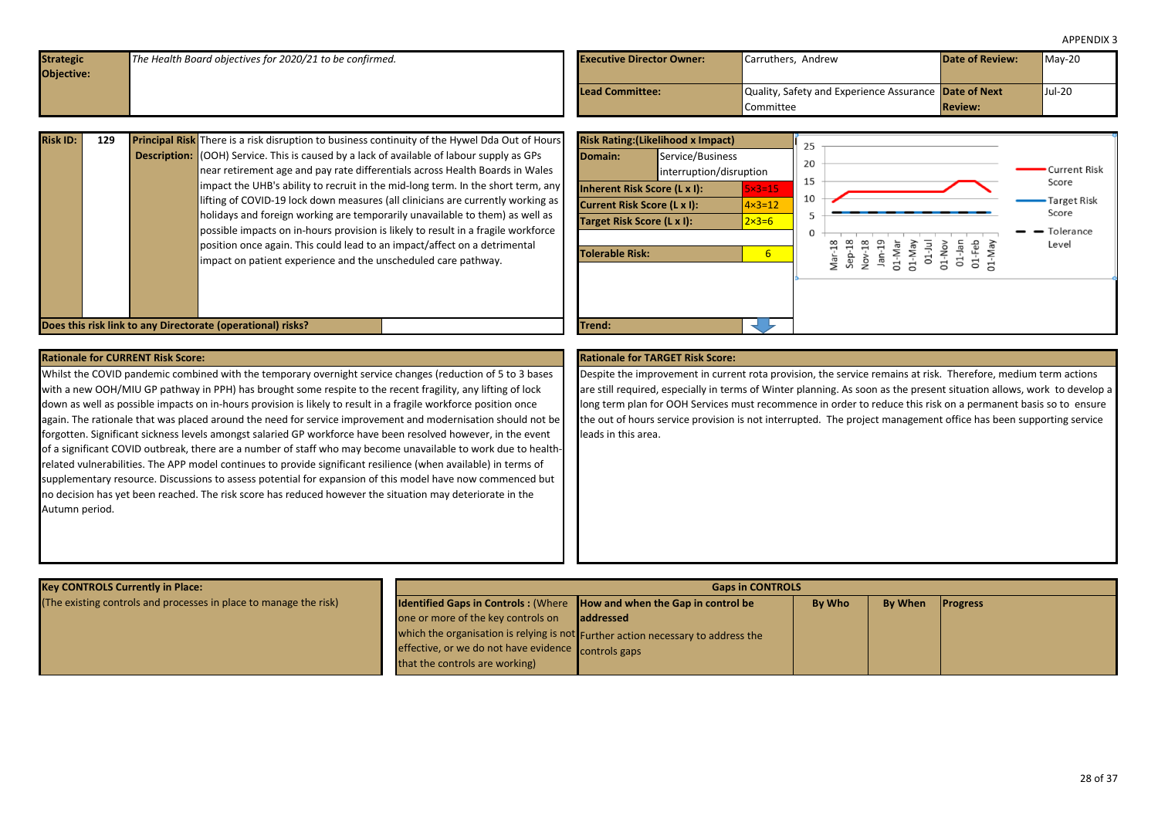<span id="page-27-0"></span>

| <b>Strategic</b> | The Health Board objectives for 2020/21 to be confirmed. | <b>Executive Director Owner:</b> | Carruthers, Andrew                                    | <b>Date of Review:</b> | $May-20$ |
|------------------|----------------------------------------------------------|----------------------------------|-------------------------------------------------------|------------------------|----------|
| Objective:       |                                                          |                                  |                                                       |                        |          |
|                  |                                                          | Lead Committee:                  | Quality, Safety and Experience Assurance Date of Next |                        | Jul-20   |
|                  |                                                          |                                  | Committee                                             | <b>Review:</b>         |          |

| <b>Risk ID:</b> | 129 | <b>Principal Risk</b> There is a risk disruption to business continuity of the Hywel Dda Out of Hours<br><b>Description:</b> (OOH) Service. This is caused by a lack of available of labour supply as GPs<br>near retirement age and pay rate differentials across Health Boards in Wales<br>impact the UHB's ability to recruit in the mid-long term. In the short term, any<br>lifting of COVID-19 lock down measures (all clinicians are currently working as<br>holidays and foreign working are temporarily unavailable to them) as well as<br>possible impacts on in-hours provision is likely to result in a fragile workforce<br>position once again. This could lead to an impact/affect on a detrimental<br>impact on patient experience and the unscheduled care pathway.<br>Does this risk link to any Directorate (operational) risks? | <b>Risk Rating: (Likelihood x Impact)</b><br>Domain:<br>Service/Business<br>interruption/disruption<br>Inherent Risk Score (L x I):<br>$5 \times 3 = 15$<br><b>Current Risk Score (L x I):</b><br>$4 \times 3 = 12$<br>Target Risk Score (L x I):<br>$2\times3=6$<br>$6^{\circ}$<br><b>Tolerable Risk:</b><br>Trend: | 25<br>20<br>Current Risk<br>15<br>Score<br>10<br>Target Risk<br>Score<br>Tolerance<br>Level<br>$\frac{8}{16}$<br>$\tilde{z}$<br>-Mar<br>-May<br>-1Ju |
|-----------------|-----|-----------------------------------------------------------------------------------------------------------------------------------------------------------------------------------------------------------------------------------------------------------------------------------------------------------------------------------------------------------------------------------------------------------------------------------------------------------------------------------------------------------------------------------------------------------------------------------------------------------------------------------------------------------------------------------------------------------------------------------------------------------------------------------------------------------------------------------------------------|----------------------------------------------------------------------------------------------------------------------------------------------------------------------------------------------------------------------------------------------------------------------------------------------------------------------|------------------------------------------------------------------------------------------------------------------------------------------------------|
|                 |     |                                                                                                                                                                                                                                                                                                                                                                                                                                                                                                                                                                                                                                                                                                                                                                                                                                                     |                                                                                                                                                                                                                                                                                                                      |                                                                                                                                                      |

Whilst the COVID pandemic combined with the temporary overnight service changes (reduction of 5 to 3 bases with a new OOH/MIU GP pathway in PPH) has brought some respite to the recent fragility, any lifting of lock down as well as possible impacts on in-hours provision is likely to result in a fragile workforce position once again. The rationale that was placed around the need for service improvement and modernisation should not be forgotten. Significant sickness levels amongst salaried GP workforce have been resolved however, in the event of a significant COVID outbreak, there are a number of staff who may become unavailable to work due to healthrelated vulnerabilities. The APP model continues to provide significant resilience (when available) in terms of supplementary resource. Discussions to assess potential for expansion of this model have now commenced but no decision has yet been reached. The risk score has reduced however the situation may deteriorate in the Autumn period.

#### **Rationale for TARGET Risk Score:**

Despite the improvement in current rota provision, the service remains at risk. Therefore, medium term actions are still required, especially in terms of Winter planning. As soon as the present situation allows, work to develop a long term plan for OOH Services must recommence in order to reduce this risk on a permanent basis so to ensure the out of hours service provision is not interrupted. The project management office has been supporting service leads in this area.

| <b>Key CONTROLS Currently in Place:</b>                           |                                                                               | <b>Gaps in CONTROLS</b>                                                          |               |                |                 |
|-------------------------------------------------------------------|-------------------------------------------------------------------------------|----------------------------------------------------------------------------------|---------------|----------------|-----------------|
| (The existing controls and processes in place to manage the risk) | <b>Identified Gaps in Controls: (Where How and when the Gap in control be</b> |                                                                                  | <b>By Who</b> | <b>By When</b> | <b>Progress</b> |
|                                                                   | one or more of the key controls on                                            | laddressed                                                                       |               |                |                 |
|                                                                   |                                                                               | which the organisation is relying is not Further action necessary to address the |               |                |                 |
|                                                                   | effective, or we do not have evidence controls gaps                           |                                                                                  |               |                |                 |
|                                                                   | that the controls are working)                                                |                                                                                  |               |                |                 |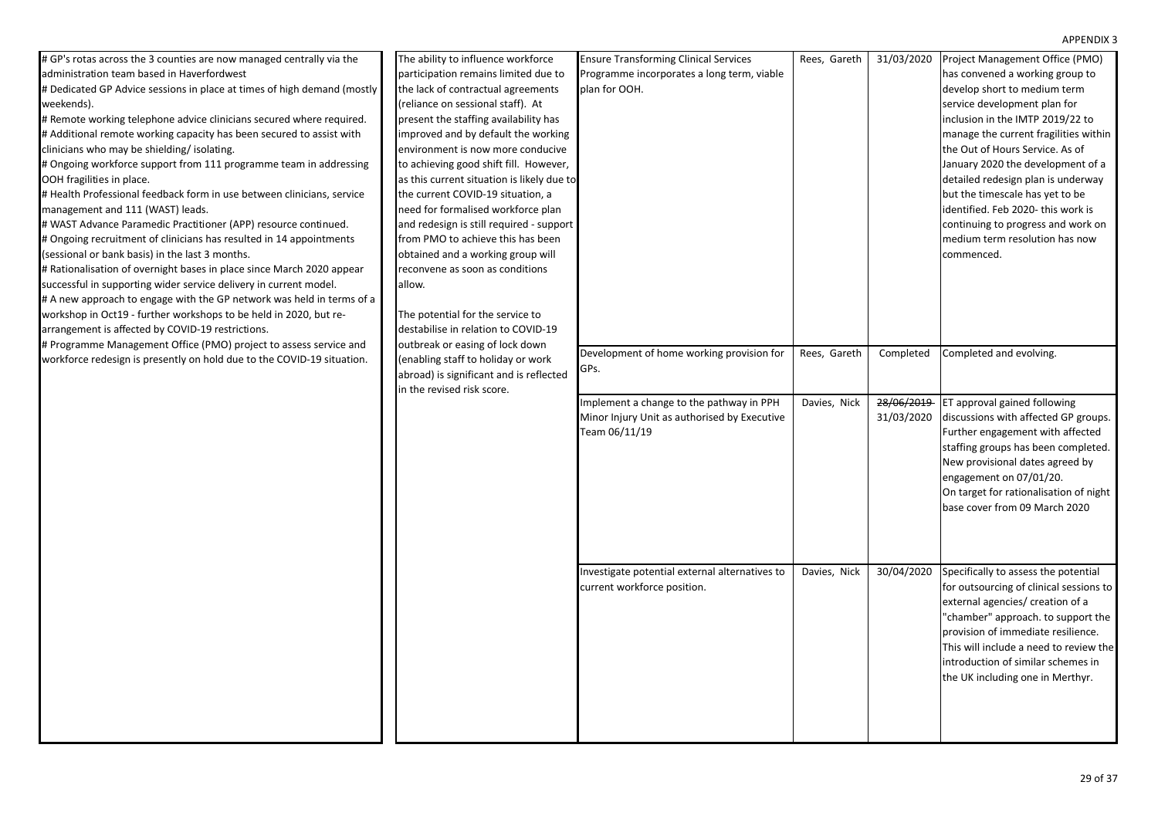#### Rees, Gareth 31/03/2020 Rees, Gareth Completed Davies, Nick 28/06/2019 31/03/2020 Davies, Nick 30/04/2020 Implement a change to the pathway in PPH Minor Injury Unit as authorised by Executive Team 06/11/19 ET approval gained following discussions with affected GP groups. Further engagement with affected staffing groups has been completed. New provisional dates agreed by engagement on 07/01/20. On target for rationalisation of night base cover from 09 March 2020 Investigate potential external alternatives to current workforce position. Specifically to assess the potential for outsourcing of clinical sessions to external agencies/ creation of a "chamber" approach. to support the provision of immediate resilience. This will include a need to review the introduction of similar schemes in the UK including one in Merthyr. # GP's rotas across the 3 counties are now managed centrally via the administration team based in Haverfordwest # Dedicated GP Advice sessions in place at times of high demand (mostly weekends). # Remote working telephone advice clinicians secured where required. # Additional remote working capacity has been secured to assist with clinicians who may be shielding/ isolating. # Ongoing workforce support from 111 programme team in addressing OOH fragilities in place. # Health Professional feedback form in use between clinicians, service management and 111 (WAST) leads. # WAST Advance Paramedic Practitioner (APP) resource continued. # Ongoing recruitment of clinicians has resulted in 14 appointments (sessional or bank basis) in the last 3 months. # Rationalisation of overnight bases in place since March 2020 appear successful in supporting wider service delivery in current model. # A new approach to engage with the GP network was held in terms of a workshop in Oct19 - further workshops to be held in 2020, but rearrangement is affected by COVID-19 restrictions. # Programme Management Office (PMO) project to assess service and workforce redesign is presently on hold due to the COVID-19 situation. The ability to influence workforce participation remains limited due to the lack of contractual agreements (reliance on sessional staff). At present the staffing availability has improved and by default the working environment is now more conducive to achieving good shift fill. However, as this current situation is likely due to the current COVID-19 situation, a need for formalised workforce plan and redesign is still required - support from PMO to achieve this has been obtained and a working group will reconvene as soon as conditions allow. The potential for the service to destabilise in relation to COVID-19 outbreak or easing of lock down (enabling staff to holiday or work abroad) is significant and is reflected in the revised risk score. Ensure Transforming Clinical Services Programme incorporates a long term, viable plan for OOH. Project Management Office (PMO) has convened a working group to develop short to medium term service development plan for inclusion in the IMTP 2019/22 to manage the current fragilities within the Out of Hours Service. As of January 2020 the development of a detailed redesign plan is underway but the timescale has yet to be identified. Feb 2020- this work is continuing to progress and work on medium term resolution has now commenced. Development of home working provision for GPs. Completed and evolving.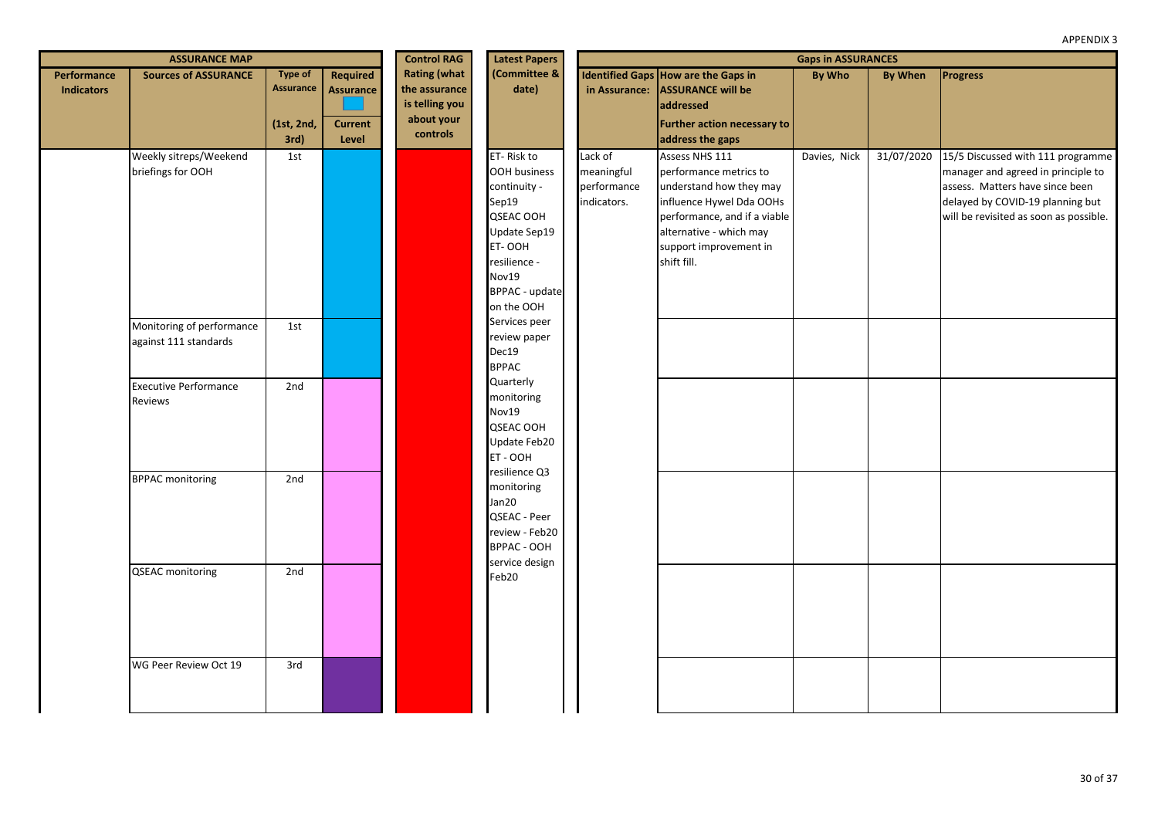|                                  | <b>ASSURANCE MAP</b>                               |                                                  |                                                | <b>Control RAG</b>                                                   | <b>Latest Papers</b>                                                                                                                                              |                                                     |                                                                                                                                                                                                     | <b>Gaps in ASSURANCES</b> |                |                                                                                                                                                                                          |
|----------------------------------|----------------------------------------------------|--------------------------------------------------|------------------------------------------------|----------------------------------------------------------------------|-------------------------------------------------------------------------------------------------------------------------------------------------------------------|-----------------------------------------------------|-----------------------------------------------------------------------------------------------------------------------------------------------------------------------------------------------------|---------------------------|----------------|------------------------------------------------------------------------------------------------------------------------------------------------------------------------------------------|
| Performance<br><b>Indicators</b> | <b>Sources of ASSURANCE</b>                        | <b>Type of</b><br><b>Assurance</b><br>(1st, 2nd, | Required<br><b>Assurance</b><br><b>Current</b> | <b>Rating (what</b><br>the assurance<br>is telling you<br>about your | (Committee &<br>date)                                                                                                                                             | in Assurance:                                       | Identified Gaps How are the Gaps in<br><b>ASSURANCE will be</b><br>addressed<br><b>Further action necessary to</b>                                                                                  | <b>By Who</b>             | <b>By When</b> | Progress                                                                                                                                                                                 |
|                                  |                                                    | 3rd)                                             | Level                                          | controls                                                             |                                                                                                                                                                   |                                                     | address the gaps                                                                                                                                                                                    |                           |                |                                                                                                                                                                                          |
|                                  | Weekly sitreps/Weekend<br>briefings for OOH        | 1st                                              |                                                |                                                                      | ET-Risk to<br><b>OOH business</b><br>continuity -<br>Sep19<br>QSEAC OOH<br>Update Sep19<br>ET-OOH<br>resilience -<br>Nov19<br><b>BPPAC - update</b><br>on the OOH | Lack of<br>meaningful<br>performance<br>indicators. | Assess NHS 111<br>performance metrics to<br>understand how they may<br>influence Hywel Dda OOHs<br>performance, and if a viable<br>alternative - which may<br>support improvement in<br>shift fill. | Davies, Nick              | 31/07/2020     | 15/5 Discussed with 111 programme<br>manager and agreed in principle to<br>assess. Matters have since been<br>delayed by COVID-19 planning but<br>will be revisited as soon as possible. |
|                                  | Monitoring of performance<br>against 111 standards | 1st                                              |                                                |                                                                      | Services peer<br>review paper<br>Dec19<br><b>BPPAC</b><br>Quarterly                                                                                               |                                                     |                                                                                                                                                                                                     |                           |                |                                                                                                                                                                                          |
|                                  | <b>Executive Performance</b><br><b>Reviews</b>     | 2nd                                              |                                                |                                                                      | monitoring<br>Nov19<br>QSEAC OOH<br>Update Feb20<br>ET-OOH                                                                                                        |                                                     |                                                                                                                                                                                                     |                           |                |                                                                                                                                                                                          |
|                                  | <b>BPPAC monitoring</b>                            | 2nd                                              |                                                |                                                                      | resilience Q3<br>monitoring<br>Jan20<br>QSEAC - Peer<br>review - Feb20<br>BPPAC - OOH<br>service design                                                           |                                                     |                                                                                                                                                                                                     |                           |                |                                                                                                                                                                                          |
|                                  | <b>QSEAC</b> monitoring                            | 2nd                                              |                                                |                                                                      | Feb20                                                                                                                                                             |                                                     |                                                                                                                                                                                                     |                           |                |                                                                                                                                                                                          |
|                                  | WG Peer Review Oct 19                              | 3rd                                              |                                                |                                                                      |                                                                                                                                                                   |                                                     |                                                                                                                                                                                                     |                           |                |                                                                                                                                                                                          |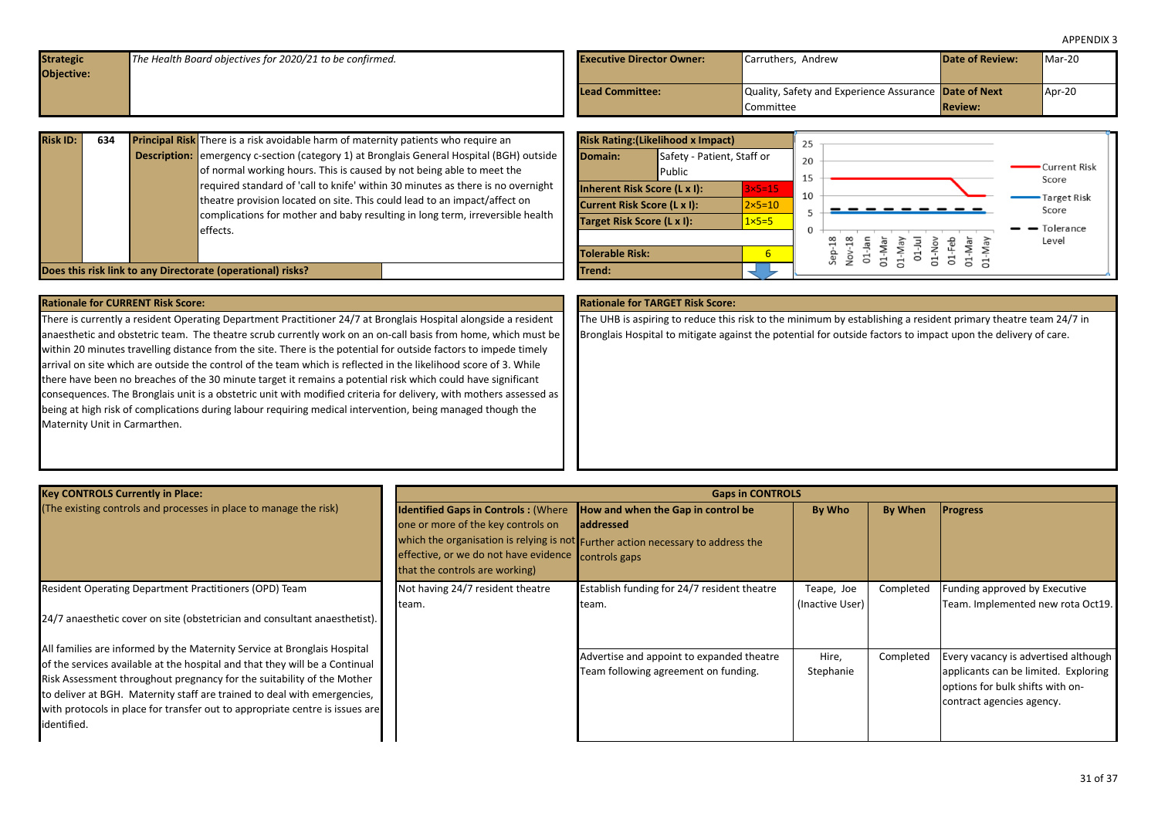<span id="page-30-0"></span>

| <b>Strategic</b> | The Health Board objectives for 2020/21 to be confirmed. | <b>Executive Director Owner:</b> | Carruthers, Andrew                                    | <b>Date of Review:</b> | $Mar-20$ |
|------------------|----------------------------------------------------------|----------------------------------|-------------------------------------------------------|------------------------|----------|
| Objective:       |                                                          |                                  |                                                       |                        |          |
|                  |                                                          | <b>Lead Committee:</b>           | Quality, Safety and Experience Assurance Date of Next |                        | Apr-20   |
|                  |                                                          |                                  | Committee                                             | <b>Review:</b>         |          |
|                  |                                                          |                                  |                                                       |                        |          |

| <b>Risk ID:</b> | 634 | <b>Principal Risk</b> There is a risk avoidable harm of maternity patients who require an                                                                                                                                                                                                                                                                                                                                                |
|-----------------|-----|------------------------------------------------------------------------------------------------------------------------------------------------------------------------------------------------------------------------------------------------------------------------------------------------------------------------------------------------------------------------------------------------------------------------------------------|
|                 |     | <b>Description:</b>   emergency c-section (category 1) at Bronglais General Hospital (BGH) outside<br>of normal working hours. This is caused by not being able to meet the<br>required standard of 'call to knife' within 30 minutes as there is no overnight<br>theatre provision located on site. This could lead to an impact/affect on<br>complications for mother and baby resulting in long term, irreversible health<br>effects. |
|                 |     | Does this risk link to any Directorate (operational) risks?                                                                                                                                                                                                                                                                                                                                                                              |

|                                       | <b>Risk Rating: (Likelihood x Impact)</b>                   |          | 25       |                                                                                                |                        |
|---------------------------------------|-------------------------------------------------------------|----------|----------|------------------------------------------------------------------------------------------------|------------------------|
| Domain:                               | Safety - Patient, Staff or<br>Public                        |          | 20<br>15 |                                                                                                | Current Risk<br>Score  |
|                                       | Inherent Risk Score (L x I):<br>Current Risk Score (L x I): |          |          |                                                                                                | - Target Risk<br>Score |
| Target Risk Score (L x I):            | $1 \times 5 = 5$                                            | $\Omega$ |          | Tolerance<br>Level                                                                             |                        |
| <b>Tolerable Risk:</b><br>6<br>Trend: |                                                             |          |          | $Sep-18$<br>01-Маг<br>01-Мау<br>01-Мы<br>01-Ко<br>01-Маг<br>01-Мау<br>$\sqrt{20}$<br>$01$ -Jan |                        |

There is currently a resident Operating Department Practitioner 24/7 at Bronglais Hospital alongside a resident anaesthetic and obstetric team. The theatre scrub currently work on an on-call basis from home, which must be within 20 minutes travelling distance from the site. There is the potential for outside factors to impede timely arrival on site which are outside the control of the team which is reflected in the likelihood score of 3. While there have been no breaches of the 30 minute target it remains a potential risk which could have significant consequences. The Bronglais unit is a obstetric unit with modified criteria for delivery, with mothers assessed as being at high risk of complications during labour requiring medical intervention, being managed though the Maternity Unit in Carmarthen.

#### **Rationale for TARGET Risk Score:**

The UHB is aspiring to reduce this risk to the minimum by establishing a resident primary theatre team 24/7 in Bronglais Hospital to mitigate against the potential for outside factors to impact upon the delivery of care.

| <b>Key CONTROLS Currently in Place:</b>                                                                                                                                                                                                                                                                                                                                                                      | <b>Gaps in CONTROLS</b>                                                                                                                                                   |                                                                                                                                      |                               |           |                                                                                                                                               |  |  |  |  |
|--------------------------------------------------------------------------------------------------------------------------------------------------------------------------------------------------------------------------------------------------------------------------------------------------------------------------------------------------------------------------------------------------------------|---------------------------------------------------------------------------------------------------------------------------------------------------------------------------|--------------------------------------------------------------------------------------------------------------------------------------|-------------------------------|-----------|-----------------------------------------------------------------------------------------------------------------------------------------------|--|--|--|--|
| (The existing controls and processes in place to manage the risk)                                                                                                                                                                                                                                                                                                                                            | <b>Identified Gaps in Controls: (Where</b><br>one or more of the key controls on<br>effective, or we do not have evidence controls gaps<br>that the controls are working) | How and when the Gap in control be<br>laddressed<br>which the organisation is relying is not Further action necessary to address the | By Who                        | By When   | <b>Progress</b>                                                                                                                               |  |  |  |  |
| Resident Operating Department Practitioners (OPD) Team                                                                                                                                                                                                                                                                                                                                                       | Not having 24/7 resident theatre<br>team.                                                                                                                                 | Establish funding for 24/7 resident theatre<br>team.                                                                                 | Teape, Joe<br>(Inactive User) | Completed | Funding approved by Executive<br>Team. Implemented new rota Oct19.                                                                            |  |  |  |  |
| 24/7 anaesthetic cover on site (obstetrician and consultant anaesthetist).                                                                                                                                                                                                                                                                                                                                   |                                                                                                                                                                           |                                                                                                                                      |                               |           |                                                                                                                                               |  |  |  |  |
| All families are informed by the Maternity Service at Bronglais Hospital<br>of the services available at the hospital and that they will be a Continual<br>Risk Assessment throughout pregnancy for the suitability of the Mother<br>to deliver at BGH. Maternity staff are trained to deal with emergencies,<br>with protocols in place for transfer out to appropriate centre is issues are<br>identified. |                                                                                                                                                                           | Advertise and appoint to expanded theatre<br>Team following agreement on funding.                                                    | Hire,<br>Stephanie            | Completed | Every vacancy is advertised although<br>applicants can be limited. Exploring<br>options for bulk shifts with on-<br>contract agencies agency. |  |  |  |  |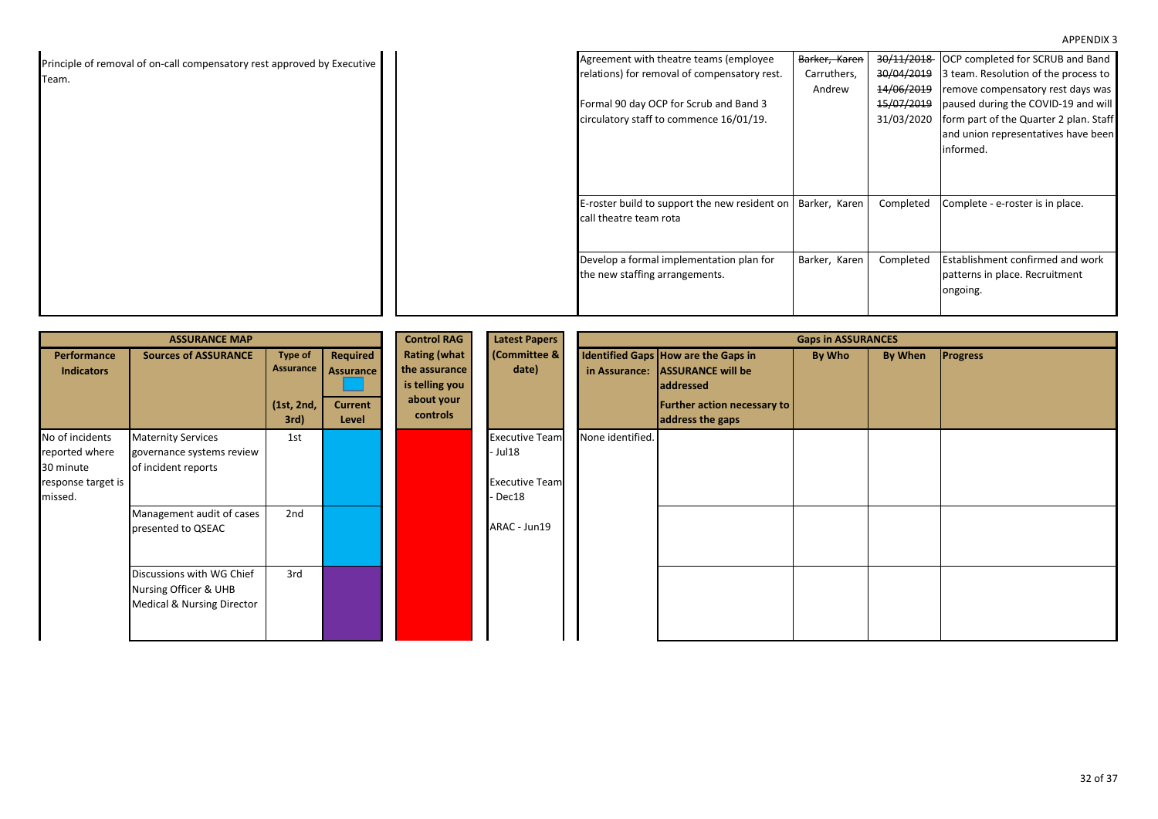| Principle of removal of on-call compensatory rest approved by Executive<br>Team. | Agreement with theatre teams (employee<br>relations) for removal of compensatory rest. | Barker, Karen<br>Carruthers, | 30/11/2018<br>30/04/2019               | OCP completed for SCRUB and Band<br>3 team. Resolution of the process to                                                                                               |
|----------------------------------------------------------------------------------|----------------------------------------------------------------------------------------|------------------------------|----------------------------------------|------------------------------------------------------------------------------------------------------------------------------------------------------------------------|
|                                                                                  | Formal 90 day OCP for Scrub and Band 3<br>circulatory staff to commence 16/01/19.      | Andrew                       | 14/06/2019<br>15/07/2019<br>31/03/2020 | remove compensatory rest days was<br>paused during the COVID-19 and will<br>form part of the Quarter 2 plan. Staff<br>and union representatives have been<br>informed. |
|                                                                                  | E-roster build to support the new resident on<br>call theatre team rota                | Barker, Karen                | Completed                              | Complete - e-roster is in place.                                                                                                                                       |
|                                                                                  | Develop a formal implementation plan for<br>the new staffing arrangements.             | Barker, Karen                | Completed                              | Establishment confirmed and work<br>patterns in place. Recruitment<br>ongoing.                                                                                         |

|                                                                                 | <b>ASSURANCE MAP</b>                                                                        |                                                          |                                                         | <b>Control RAG</b>                                                               | <b>Latest Papers</b>                                                  | <b>Gaps in ASSURANCES</b> |                                                                                                                                               |        |         |                 |  |
|---------------------------------------------------------------------------------|---------------------------------------------------------------------------------------------|----------------------------------------------------------|---------------------------------------------------------|----------------------------------------------------------------------------------|-----------------------------------------------------------------------|---------------------------|-----------------------------------------------------------------------------------------------------------------------------------------------|--------|---------|-----------------|--|
| Performance<br><b>Indicators</b>                                                | <b>Sources of ASSURANCE</b>                                                                 | <b>Type of</b><br><b>Assurance</b><br>(1st, 2nd,<br>3rd) | Required<br><b>Assurance</b><br><b>Current</b><br>Level | <b>Rating (what</b><br>the assurance<br>is telling you<br>about your<br>controls | (Committee &<br>date)                                                 |                           | Identified Gaps How are the Gaps in<br>in Assurance: ASSURANCE will be<br><b>addressed</b><br>Further action necessary to<br>address the gaps | By Who | By When | <b>Progress</b> |  |
| No of incidents<br>reported where<br>30 minute<br>response target is<br>missed. | <b>Maternity Services</b><br>governance systems review<br>of incident reports               | 1st                                                      |                                                         |                                                                                  | <b>Executive Team</b><br>- Jul 18<br><b>Executive Team</b><br>- Dec18 | None identified.          |                                                                                                                                               |        |         |                 |  |
|                                                                                 | Management audit of cases<br>presented to QSEAC                                             | 2nd                                                      |                                                         |                                                                                  | ARAC - Jun19                                                          |                           |                                                                                                                                               |        |         |                 |  |
|                                                                                 | Discussions with WG Chief<br>Nursing Officer & UHB<br><b>Medical &amp; Nursing Director</b> | 3rd                                                      |                                                         |                                                                                  |                                                                       |                           |                                                                                                                                               |        |         |                 |  |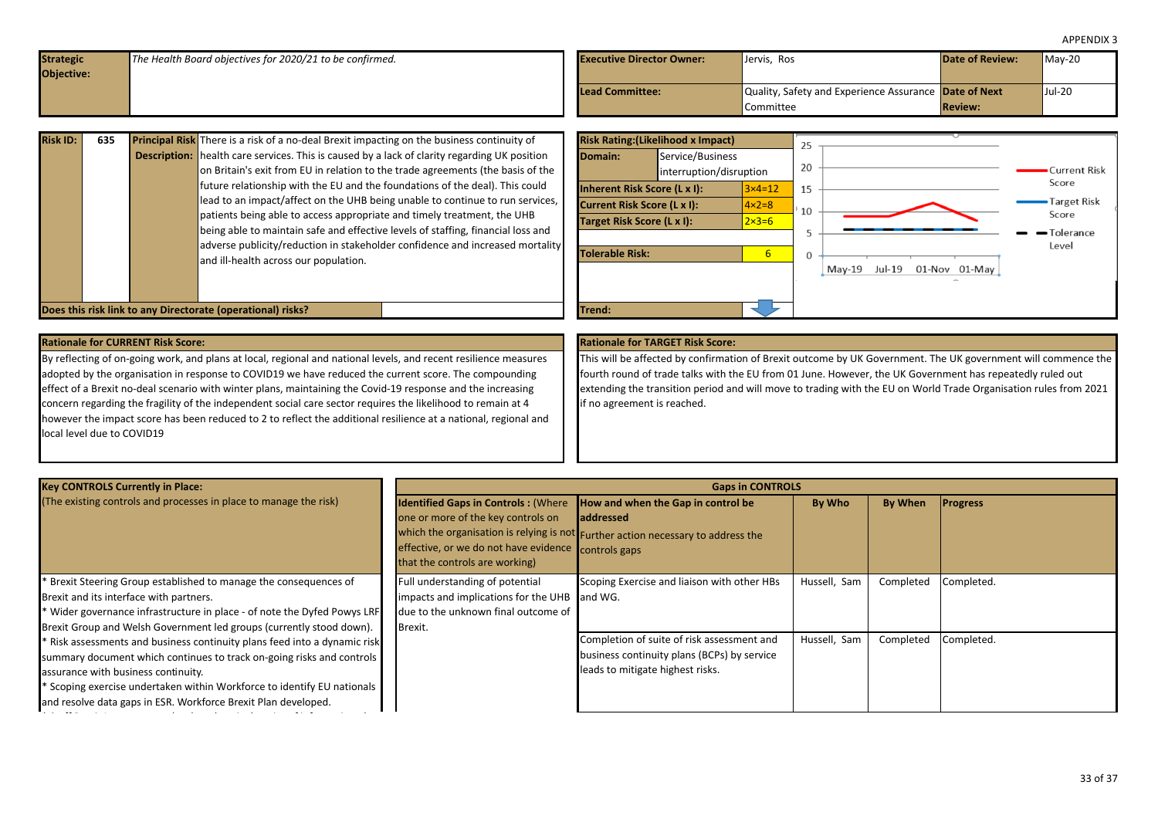<span id="page-32-0"></span>

| <b>Strategic</b><br>Objective: | The Health Board objectives for 2020/21 to be confirmed. | <b>Executive Director Owner:</b> | Jervis, Ros     | Date of Review:                                                    | $May-20$       |        |
|--------------------------------|----------------------------------------------------------|----------------------------------|-----------------|--------------------------------------------------------------------|----------------|--------|
|                                |                                                          |                                  | Lead Committee: | Quality, Safety and Experience Assurance Date of Next<br>Committee | <b>Review:</b> | Jul-20 |

| <b>Risk ID:</b> | 635 | <b>Principal Risk</b> There is a risk of a no-deal Brexit impacting on the business continuity of   | <b>Risk Rating:</b> |
|-----------------|-----|-----------------------------------------------------------------------------------------------------|---------------------|
|                 |     | <b>Description:</b> health care services. This is caused by a lack of clarity regarding UK position | Domain:             |
|                 |     | on Britain's exit from EU in relation to the trade agreements (the basis of the                     |                     |
|                 |     | future relationship with the EU and the foundations of the deal). This could                        | <b>Inherent Ris</b> |
|                 |     | lead to an impact/affect on the UHB being unable to continue to run services,                       | <b>Current Risl</b> |
|                 |     | patients being able to access appropriate and timely treatment, the UHB                             | <b>Target Risk</b>  |
|                 |     | being able to maintain safe and effective levels of staffing, financial loss and                    |                     |
|                 |     | adverse publicity/reduction in stakeholder confidence and increased mortality                       |                     |
|                 |     | and ill-health across our population.                                                               | Tolerable Ri        |
|                 |     |                                                                                                     |                     |
|                 |     |                                                                                                     |                     |



By reflecting of on-going work, and plans at local, regional and national levels, and recent resilience measures adopted by the organisation in response to COVID19 we have reduced the current score. The compounding effect of a Brexit no-deal scenario with winter plans, maintaining the Covid-19 response and the increasing concern regarding the fragility of the independent social care sector requires the likelihood to remain at 4 however the impact score has been reduced to 2 to reflect the additional resilience at a national, regional and local level due to COVID19

#### **Rationale for TARGET Risk Score:**

This will be affected by confirmation of Brexit outcome by UK Government. The UK government will commence the fourth round of trade talks with the EU from 01 June. However, the UK Government has repeatedly ruled out extending the transition period and will move to trading with the EU on World Trade Organisation rules from 2021 if no agreement is reached.

| <b>Key CONTROLS Currently in Place:</b>                                   |                                                     | <b>Gaps in CONTROLS</b>                                                          |              |                |                 |
|---------------------------------------------------------------------------|-----------------------------------------------------|----------------------------------------------------------------------------------|--------------|----------------|-----------------|
| (The existing controls and processes in place to manage the risk)         | <b>Identified Gaps in Controls: (Where</b>          | How and when the Gap in control be                                               | By Who       | <b>By When</b> | <b>Progress</b> |
|                                                                           | one or more of the key controls on                  | <b>laddressed</b>                                                                |              |                |                 |
|                                                                           |                                                     | which the organisation is relying is not Further action necessary to address the |              |                |                 |
|                                                                           | effective, or we do not have evidence controls gaps |                                                                                  |              |                |                 |
|                                                                           | that the controls are working)                      |                                                                                  |              |                |                 |
| Brexit Steering Group established to manage the consequences of           | Full understanding of potential                     | Scoping Exercise and liaison with other HBs                                      | Hussell, Sam | Completed      | Completed.      |
| Brexit and its interface with partners.                                   | impacts and implications for the UHB and WG.        |                                                                                  |              |                |                 |
| * Wider governance infrastructure in place - of note the Dyfed Powys LRF  | due to the unknown final outcome of                 |                                                                                  |              |                |                 |
| Brexit Group and Welsh Government led groups (currently stood down).      | Brexit.                                             |                                                                                  |              |                |                 |
| * Risk assessments and business continuity plans feed into a dynamic risk |                                                     | Completion of suite of risk assessment and                                       | Hussell, Sam | Completed      | Completed.      |
| summary document which continues to track on-going risks and controls     |                                                     | business continuity plans (BCPs) by service                                      |              |                |                 |
| assurance with business continuity.                                       |                                                     | leads to mitigate highest risks.                                                 |              |                |                 |
| * Scoping exercise undertaken within Workforce to identify EU nationals   |                                                     |                                                                                  |              |                |                 |
| and resolve data gaps in ESR. Workforce Brexit Plan developed.            |                                                     |                                                                                  |              |                |                 |
|                                                                           |                                                     |                                                                                  |              |                |                 |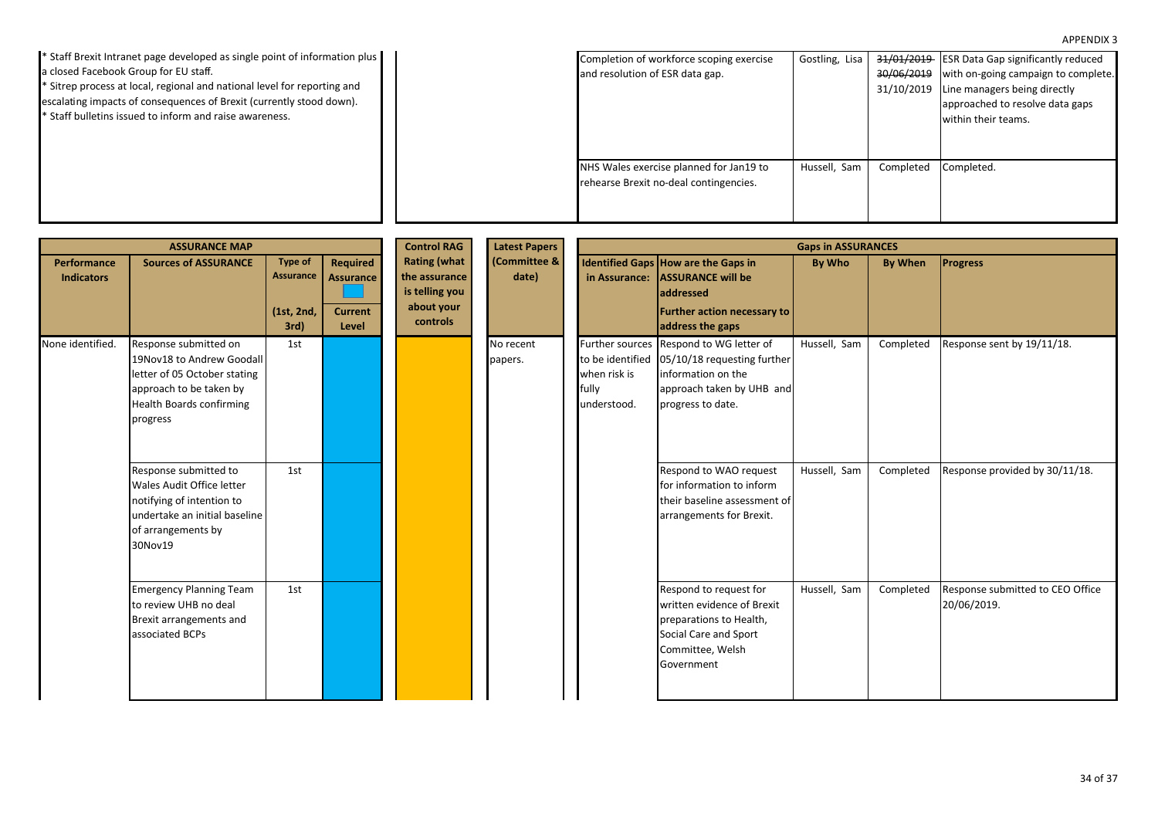| * Staff Brexit Intranet page developed as single point of information plus<br>a closed Facebook Group for EU staff.<br>* Sitrep process at local, regional and national level for reporting and<br>escalating impacts of consequences of Brexit (currently stood down).<br>* Staff bulletins issued to inform and raise awareness. | Completion of workforce scoping exercise<br>and resolution of ESR data gap.       | Gostling, Lisa | <del>30/06/2019</del><br>31/10/2019 | 31/01/2019 ESR Data Gap significantly reduced<br>with on-going campaign to complete.<br>Line managers being directly<br>approached to resolve data gaps<br>within their teams. |
|------------------------------------------------------------------------------------------------------------------------------------------------------------------------------------------------------------------------------------------------------------------------------------------------------------------------------------|-----------------------------------------------------------------------------------|----------------|-------------------------------------|--------------------------------------------------------------------------------------------------------------------------------------------------------------------------------|
|                                                                                                                                                                                                                                                                                                                                    | NHS Wales exercise planned for Jan19 to<br>rehearse Brexit no-deal contingencies. | Hussell, Sam   | Completed                           | Completed.                                                                                                                                                                     |

|                                  | <b>ASSURANCE MAP</b>                                                                                                                                  |                                                          |                                                                | <b>Control RAG</b>                                                               | <b>Latest Papers</b>  | <b>Gaps in ASSURANCES</b>                                                                                       |                                                                                                                                                                 |              |                                |                                                 |
|----------------------------------|-------------------------------------------------------------------------------------------------------------------------------------------------------|----------------------------------------------------------|----------------------------------------------------------------|----------------------------------------------------------------------------------|-----------------------|-----------------------------------------------------------------------------------------------------------------|-----------------------------------------------------------------------------------------------------------------------------------------------------------------|--------------|--------------------------------|-------------------------------------------------|
| Performance<br><b>Indicators</b> | <b>Sources of ASSURANCE</b>                                                                                                                           | <b>Type of</b><br><b>Assurance</b><br>(1st, 2nd,<br>3rd) | <b>Required</b><br><b>Assurance</b><br><b>Current</b><br>Level | <b>Rating (what</b><br>the assurance<br>is telling you<br>about your<br>controls | (Committee &<br>date) |                                                                                                                 | Identified Gaps How are the Gaps in<br>in Assurance: ASSURANCE will be<br>addressed<br><b>Further action necessary to</b><br>address the gaps                   | By Who       | <b>By When</b>                 | <b>Progress</b>                                 |
| None identified.                 | Response submitted on<br>19Nov18 to Andrew Goodall<br>letter of 05 October stating<br>approach to be taken by<br>Health Boards confirming<br>progress | 1st                                                      |                                                                |                                                                                  | No recent<br>papers.  | when risk is<br>fully<br>understood.                                                                            | Further sources Respond to WG letter of<br>to be identified 05/10/18 requesting further<br>information on the<br>approach taken by UHB and<br>progress to date. | Hussell, Sam | Completed                      | Response sent by 19/11/18.                      |
|                                  | Response submitted to<br>Wales Audit Office letter<br>notifying of intention to<br>undertake an initial baseline<br>of arrangements by<br>30Nov19     | 1st                                                      |                                                                |                                                                                  |                       | Respond to WAO request<br>for information to inform<br>their baseline assessment of<br>arrangements for Brexit. | Hussell, Sam                                                                                                                                                    | Completed    | Response provided by 30/11/18. |                                                 |
|                                  | <b>Emergency Planning Team</b><br>to review UHB no deal<br>Brexit arrangements and<br>associated BCPs                                                 | 1st                                                      |                                                                |                                                                                  |                       |                                                                                                                 | Respond to request for<br>written evidence of Brexit<br>preparations to Health,<br>Social Care and Sport<br>Committee, Welsh<br>Government                      | Hussell, Sam | Completed                      | Response submitted to CEO Office<br>20/06/2019. |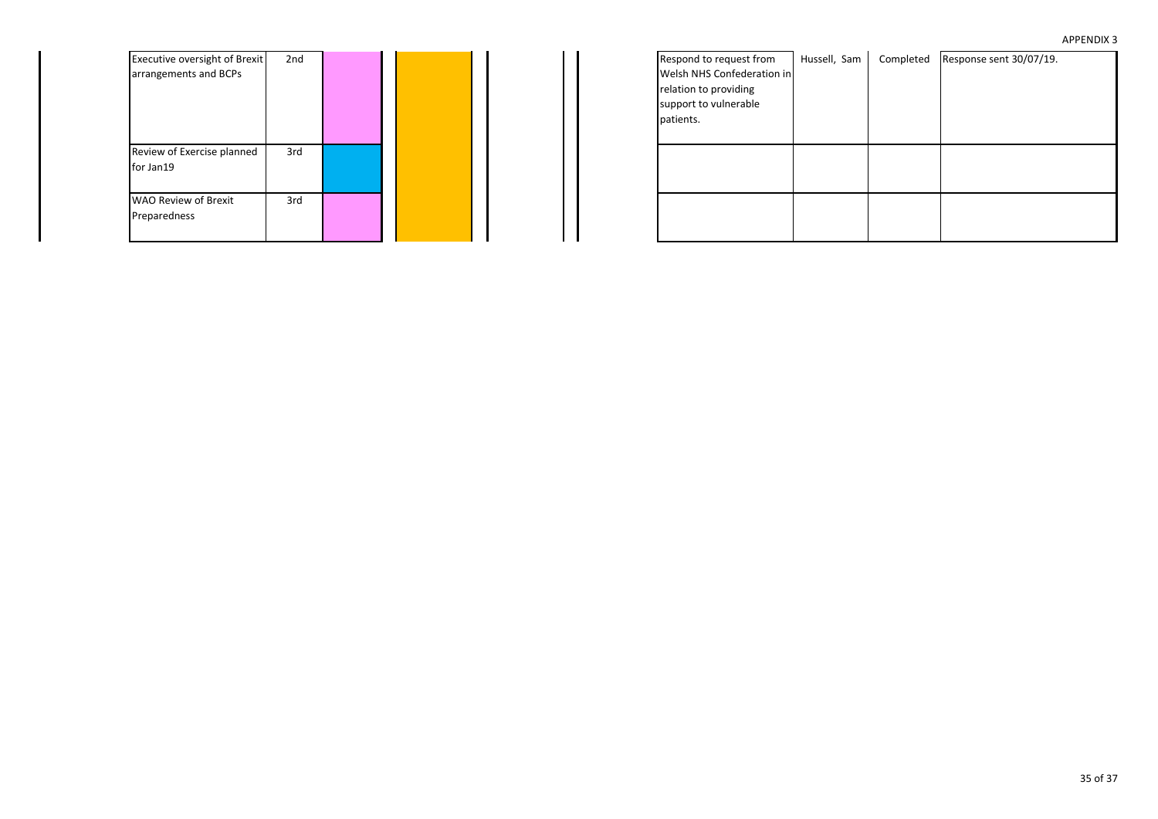| Executive oversight of Brexit | 2 <sub>nd</sub> |  |
|-------------------------------|-----------------|--|
| arrangements and BCPs         |                 |  |
|                               |                 |  |
|                               |                 |  |
|                               |                 |  |
|                               |                 |  |
| Review of Exercise planned    | 3rd             |  |
| for Jan19                     |                 |  |
|                               |                 |  |
| <b>WAO Review of Brexit</b>   | 3rd             |  |
| Preparedness                  |                 |  |
|                               |                 |  |
|                               |                 |  |

| 2nd |  |  |  | Respond to request from<br>Welsh NHS Confederation in<br>relation to providing<br>support to vulnerable<br>patients. | Hussell, Sam | Completed | Response sent 30/07/19. |
|-----|--|--|--|----------------------------------------------------------------------------------------------------------------------|--------------|-----------|-------------------------|
| 3rd |  |  |  |                                                                                                                      |              |           |                         |
| 3rd |  |  |  |                                                                                                                      |              |           |                         |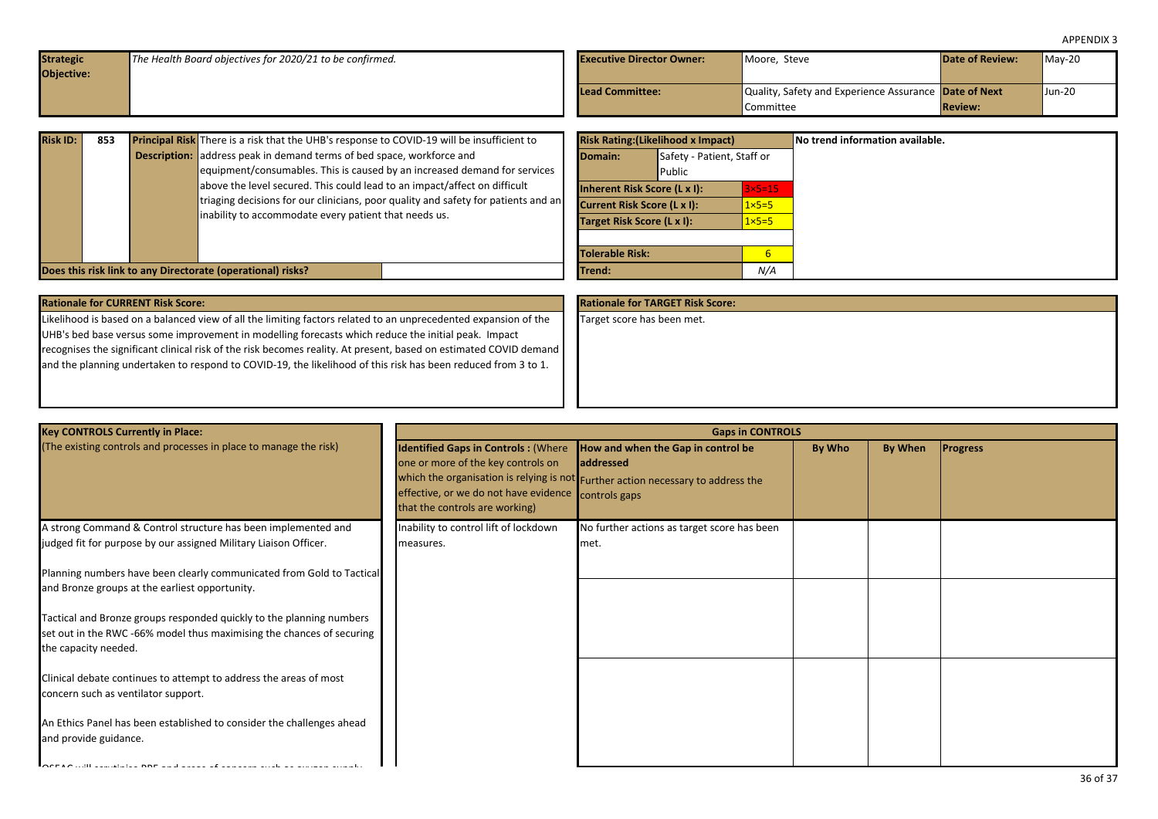<span id="page-35-0"></span>

| <b>Strategic</b> |     | The Health Board objectives for 2020/21 to be confirmed.                                          | <b>Executive Director Owner:</b>          | Moore. Steve                                                              | <b>Date of Review:</b> | $Mav-20$      |
|------------------|-----|---------------------------------------------------------------------------------------------------|-------------------------------------------|---------------------------------------------------------------------------|------------------------|---------------|
| Objective:       |     |                                                                                                   |                                           |                                                                           |                        |               |
|                  |     |                                                                                                   | Lead Committee:                           | Quality, Safety and Experience Assurance Date of Next<br><b>Committee</b> |                        | <b>Jun-20</b> |
|                  |     |                                                                                                   |                                           |                                                                           |                        |               |
| <b>Risk ID:</b>  | 853 | <b>Principal Risk</b> There is a risk that the UHB's response to COVID-19 will be insufficient to | <b>Risk Rating: (Likelihood x Impact)</b> | No trend information available.                                           |                        |               |

| <b>Risk ID:</b> | 853 |  | <b>Principal Risk</b> There is a risk that the UHB's response to COVID-19 will be insufficient to |                            | <b>Risk Rating: (Likelihood x Impact)</b> | No trend informati                          |                  |  |
|-----------------|-----|--|---------------------------------------------------------------------------------------------------|----------------------------|-------------------------------------------|---------------------------------------------|------------------|--|
|                 |     |  | <b>Description:</b> address peak in demand terms of bed space, workforce and                      |                            | Domain:                                   | Safety - Patient, Staff or<br><b>Public</b> |                  |  |
|                 |     |  | equipment/consumables. This is caused by an increased demand for services                         |                            |                                           |                                             |                  |  |
|                 |     |  | above the level secured. This could lead to an impact/affect on difficult                         |                            | Inherent Risk Score (L x I):              |                                             | $3\times 5=15$   |  |
|                 |     |  | triaging decisions for our clinicians, poor quality and safety for patients and an                |                            | Current Risk Score (L x I):               |                                             | $1\times 5=5$    |  |
|                 |     |  | inability to accommodate every patient that needs us.                                             | Target Risk Score (L x I): |                                           |                                             | $1 \times 5 = 5$ |  |
|                 |     |  |                                                                                                   |                            |                                           |                                             |                  |  |
|                 |     |  |                                                                                                   |                            | Tolerable Risk:                           |                                             |                  |  |
|                 |     |  | Does this risk link to any Directorate (operational) risks?                                       |                            | <b>Trend:</b>                             |                                             | N/A              |  |

| <b>Rationale for CURRENT Risk Score:</b>                                                                          | <b>Rationale for TARGET Risk Score:</b> |
|-------------------------------------------------------------------------------------------------------------------|-----------------------------------------|
| Likelihood is based on a balanced view of all the limiting factors related to an unprecedented expansion of the   | Target score has been met.              |
| UHB's bed base versus some improvement in modelling forecasts which reduce the initial peak. Impact               |                                         |
| recognises the significant clinical risk of the risk becomes reality. At present, based on estimated COVID demand |                                         |
| and the planning undertaken to respond to COVID-19, the likelihood of this risk has been reduced from 3 to 1.     |                                         |
|                                                                                                                   |                                         |
|                                                                                                                   |                                         |

| <b>Key CONTROLS Currently in Place:</b>                                                                                                                               | <b>Gaps in CONTROLS</b>                                                                                                                                                   |                                                                                                                                             |        |         |                 |  |  |  |
|-----------------------------------------------------------------------------------------------------------------------------------------------------------------------|---------------------------------------------------------------------------------------------------------------------------------------------------------------------------|---------------------------------------------------------------------------------------------------------------------------------------------|--------|---------|-----------------|--|--|--|
| (The existing controls and processes in place to manage the risk)                                                                                                     | <b>Identified Gaps in Controls: (Where</b><br>one or more of the key controls on<br>effective, or we do not have evidence controls gaps<br>that the controls are working) | How and when the Gap in control be<br><b>laddressed</b><br>which the organisation is relying is not Further action necessary to address the | By Who | By When | <b>Progress</b> |  |  |  |
| A strong Command & Control structure has been implemented and<br>judged fit for purpose by our assigned Military Liaison Officer.                                     | Inability to control lift of lockdown<br>measures.                                                                                                                        | No further actions as target score has been<br>met.                                                                                         |        |         |                 |  |  |  |
| Planning numbers have been clearly communicated from Gold to Tactical<br>and Bronze groups at the earliest opportunity.                                               |                                                                                                                                                                           |                                                                                                                                             |        |         |                 |  |  |  |
| Tactical and Bronze groups responded quickly to the planning numbers<br>set out in the RWC -66% model thus maximising the chances of securing<br>the capacity needed. |                                                                                                                                                                           |                                                                                                                                             |        |         |                 |  |  |  |
| Clinical debate continues to attempt to address the areas of most<br>concern such as ventilator support.                                                              |                                                                                                                                                                           |                                                                                                                                             |        |         |                 |  |  |  |
| An Ethics Panel has been established to consider the challenges ahead<br>and provide guidance.                                                                        |                                                                                                                                                                           |                                                                                                                                             |        |         |                 |  |  |  |
| OCEAC will semisining DDF and anges of concern such as animals superior                                                                                               |                                                                                                                                                                           |                                                                                                                                             |        |         |                 |  |  |  |